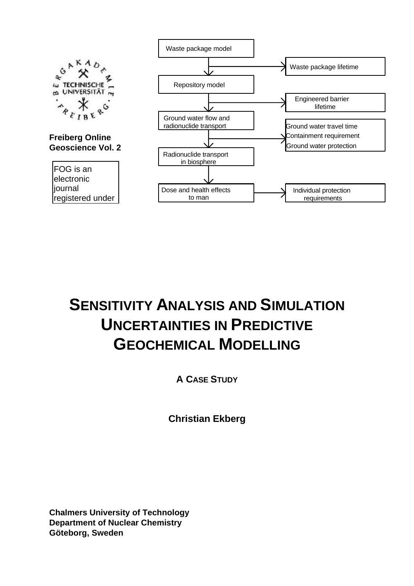

# **SENSITIVITY ANALYSIS AND SIMULATION UNCERTAINTIES IN PREDICTIVE GEOCHEMICAL MODELLING**

**A CASE STUDY**

**Christian Ekberg**

**Chalmers University of Technology Department of Nuclear Chemistry Göteborg, Sweden**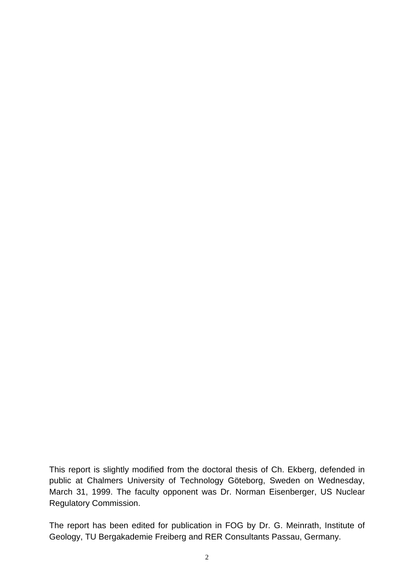This report is slightly modified from the doctoral thesis of Ch. Ekberg, defended in public at Chalmers University of Technology Göteborg, Sweden on Wednesday, March 31, 1999. The faculty opponent was Dr. Norman Eisenberger, US Nuclear Regulatory Commission.

The report has been edited for publication in FOG by Dr. G. Meinrath, Institute of Geology, TU Bergakademie Freiberg and RER Consultants Passau, Germany.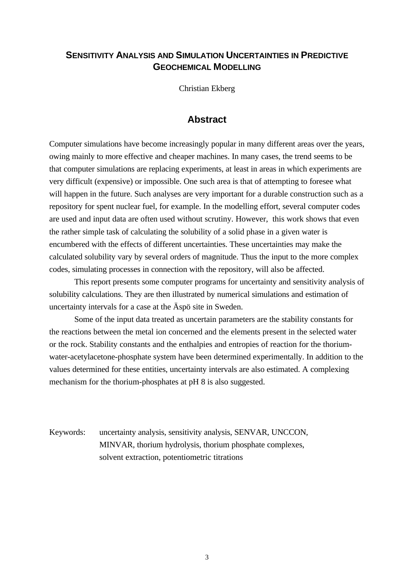## **SENSITIVITY ANALYSIS AND SIMULATION UNCERTAINTIES IN PREDICTIVE GEOCHEMICAL MODELLING**

Christian Ekberg

## **Abstract**

Computer simulations have become increasingly popular in many different areas over the years, owing mainly to more effective and cheaper machines. In many cases, the trend seems to be that computer simulations are replacing experiments, at least in areas in which experiments are very difficult (expensive) or impossible. One such area is that of attempting to foresee what will happen in the future. Such analyses are very important for a durable construction such as a repository for spent nuclear fuel, for example. In the modelling effort, several computer codes are used and input data are often used without scrutiny. However, this work shows that even the rather simple task of calculating the solubility of a solid phase in a given water is encumbered with the effects of different uncertainties. These uncertainties may make the calculated solubility vary by several orders of magnitude. Thus the input to the more complex codes, simulating processes in connection with the repository, will also be affected.

This report presents some computer programs for uncertainty and sensitivity analysis of solubility calculations. They are then illustrated by numerical simulations and estimation of uncertainty intervals for a case at the Äspö site in Sweden.

Some of the input data treated as uncertain parameters are the stability constants for the reactions between the metal ion concerned and the elements present in the selected water or the rock. Stability constants and the enthalpies and entropies of reaction for the thoriumwater-acetylacetone-phosphate system have been determined experimentally. In addition to the values determined for these entities, uncertainty intervals are also estimated. A complexing mechanism for the thorium-phosphates at pH 8 is also suggested.

Keywords: uncertainty analysis, sensitivity analysis, SENVAR, UNCCON, MINVAR, thorium hydrolysis, thorium phosphate complexes, solvent extraction, potentiometric titrations

3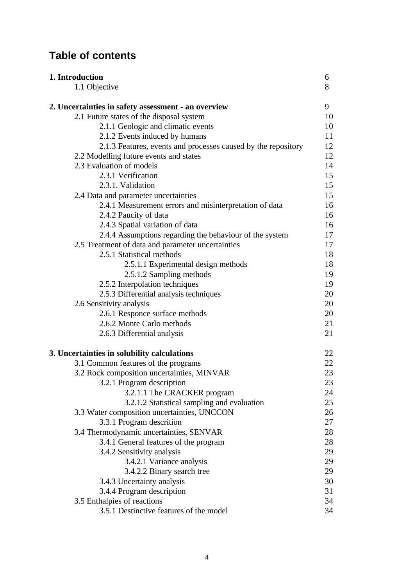## **Table of contents**

| 1. Introduction                                               | 6  |
|---------------------------------------------------------------|----|
| 1.1 Objective                                                 | 8  |
| 2. Uncertainties in safety assessment - an overview           | 9  |
| 2.1 Future states of the disposal system                      | 10 |
| 2.1.1 Geologic and climatic events                            | 10 |
| 2.1.2 Events induced by humans                                | 11 |
| 2.1.3 Features, events and processes caused by the repository | 12 |
| 2.2 Modelling future events and states                        | 12 |
| 2.3 Evaluation of models                                      | 14 |
| 2.3.1 Verification                                            | 15 |
| 2.3.1. Validation                                             | 15 |
| 2.4 Data and parameter uncertainties                          | 15 |
| 2.4.1 Measurement errors and misinterpretation of data        | 16 |
| 2.4.2 Paucity of data                                         | 16 |
| 2.4.3 Spatial variation of data                               | 16 |
| 2.4.4 Assumptions regarding the behaviour of the system       | 17 |
| 2.5 Treatment of data and parameter uncertainties             | 17 |
| 2.5.1 Statistical methods                                     | 18 |
| 2.5.1.1 Experimental design methods                           | 18 |
| 2.5.1.2 Sampling methods                                      | 19 |
| 2.5.2 Interpolation techniques                                | 19 |
| 2.5.3 Differential analysis techniques                        | 20 |
| 2.6 Sensitivity analysis                                      | 20 |
| 2.6.1 Responce surface methods                                | 20 |
| 2.6.2 Monte Carlo methods                                     | 21 |
| 2.6.3 Differential analysis                                   | 21 |
| 3. Uncertainties in solubility calculations                   | 22 |
| 3.1 Common features of the programs                           | 22 |
| 3.2 Rock composition uncertainties, MINVAR                    | 23 |
| 3.2.1 Program description                                     | 23 |
| 3.2.1.1 The CRACKER program                                   | 24 |
| 3.2.1.2 Statistical sampling and evaluation                   | 25 |
| 3.3 Water composition uncertainties, UNCCON                   | 26 |
| 3.3.1 Program descrition                                      | 27 |
| 3.4 Thermodynamic uncertainties, SENVAR                       | 28 |
| 3.4.1 General features of the program                         | 28 |
| 3.4.2 Sensitivity analysis                                    | 29 |
| 3.4.2.1 Variance analysis                                     | 29 |
| 3.4.2.2 Binary search tree                                    | 29 |
| 3.4.3 Uncertainty analysis                                    | 30 |
| 3.4.4 Program description                                     | 31 |
| 3.5 Enthalpies of reactions                                   | 34 |
| 3.5.1 Destinctive features of the model                       | 34 |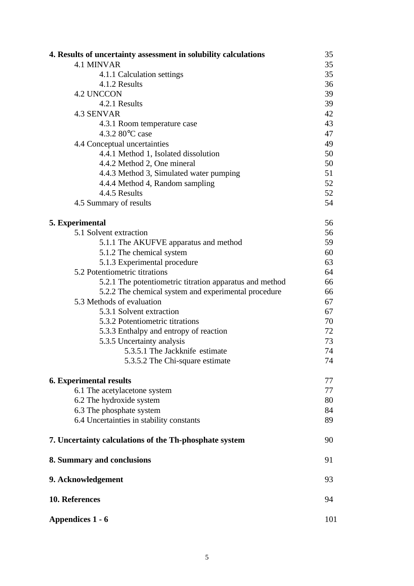| 4. Results of uncertainty assessment in solubility calculations | 35 |  |
|-----------------------------------------------------------------|----|--|
| <b>4.1 MINVAR</b>                                               | 35 |  |
| 4.1.1 Calculation settings                                      | 35 |  |
| 4.1.2 Results                                                   | 36 |  |
| <b>4.2 UNCCON</b>                                               | 39 |  |
| 4.2.1 Results                                                   | 39 |  |
| 4.3 SENVAR                                                      | 42 |  |
| 4.3.1 Room temperature case                                     | 43 |  |
| 4.3.2 80°C case                                                 | 47 |  |
| 4.4 Conceptual uncertainties                                    | 49 |  |
| 4.4.1 Method 1, Isolated dissolution                            | 50 |  |
| 4.4.2 Method 2, One mineral                                     | 50 |  |
| 4.4.3 Method 3, Simulated water pumping                         | 51 |  |
| 4.4.4 Method 4, Random sampling                                 | 52 |  |
| 4.4.5 Results                                                   | 52 |  |
| 4.5 Summary of results                                          | 54 |  |
|                                                                 |    |  |
| 5. Experimental                                                 | 56 |  |
| 5.1 Solvent extraction                                          | 56 |  |
| 5.1.1 The AKUFVE apparatus and method                           | 59 |  |
| 5.1.2 The chemical system                                       | 60 |  |
| 5.1.3 Experimental procedure                                    | 63 |  |
| 5.2 Potentiometric titrations                                   | 64 |  |
| 5.2.1 The potentiometric titration apparatus and method         | 66 |  |
| 5.2.2 The chemical system and experimental procedure            | 66 |  |
| 5.3 Methods of evaluation                                       | 67 |  |
| 5.3.1 Solvent extraction                                        | 67 |  |
| 5.3.2 Potentiometric titrations                                 | 70 |  |
| 5.3.3 Enthalpy and entropy of reaction                          | 72 |  |
| 5.3.5 Uncertainty analysis                                      | 73 |  |
| 5.3.5.1 The Jackknife estimate                                  | 74 |  |
| 5.3.5.2 The Chi-square estimate                                 | 74 |  |
| <b>6. Experimental results</b>                                  | 77 |  |
| 6.1 The acetylacetone system                                    | 77 |  |
| 6.2 The hydroxide system                                        | 80 |  |
| 6.3 The phosphate system                                        | 84 |  |
| 6.4 Uncertainties in stability constants                        | 89 |  |
| 7. Uncertainty calculations of the Th-phosphate system          | 90 |  |
| 8. Summary and conclusions                                      |    |  |
| 9. Acknowledgement                                              |    |  |
| 10. References                                                  |    |  |
| Appendices 1 - 6                                                |    |  |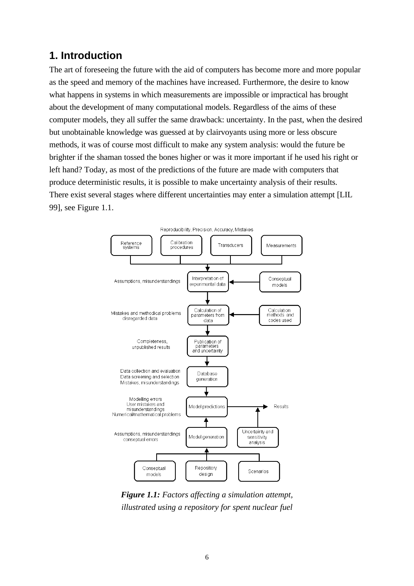## **1. Introduction**

The art of foreseeing the future with the aid of computers has become more and more popular as the speed and memory of the machines have increased. Furthermore, the desire to know what happens in systems in which measurements are impossible or impractical has brought about the development of many computational models. Regardless of the aims of these computer models, they all suffer the same drawback: uncertainty. In the past, when the desired but unobtainable knowledge was guessed at by clairvoyants using more or less obscure methods, it was of course most difficult to make any system analysis: would the future be brighter if the shaman tossed the bones higher or was it more important if he used his right or left hand? Today, as most of the predictions of the future are made with computers that produce deterministic results, it is possible to make uncertainty analysis of their results. There exist several stages where different uncertainties may enter a simulation attempt [LIL 99], see Figure 1.1.



*Figure 1.1: Factors affecting a simulation attempt, illustrated using a repository for spent nuclear fuel*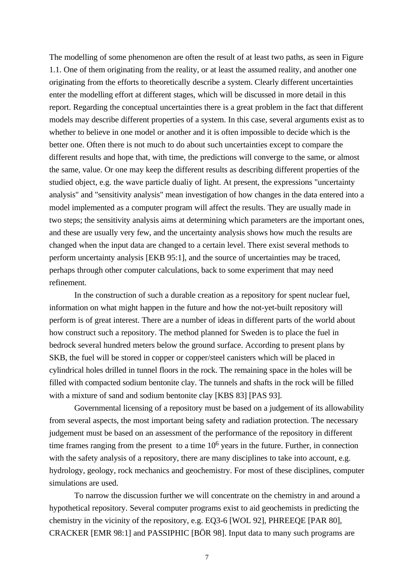The modelling of some phenomenon are often the result of at least two paths, as seen in Figure 1.1. One of them originating from the reality, or at least the assumed reality, and another one originating from the efforts to theoretically describe a system. Clearly different uncertainties enter the modelling effort at different stages, which will be discussed in more detail in this report. Regarding the conceptual uncertainties there is a great problem in the fact that different models may describe different properties of a system. In this case, several arguments exist as to whether to believe in one model or another and it is often impossible to decide which is the better one. Often there is not much to do about such uncertainties except to compare the different results and hope that, with time, the predictions will converge to the same, or almost the same, value. Or one may keep the different results as describing different properties of the studied object, e.g. the wave particle dualiy of light. At present, the expressions "uncertainty analysis" and "sensitivity analysis" mean investigation of how changes in the data entered into a model implemented as a computer program will affect the results. They are usually made in two steps; the sensitivity analysis aims at determining which parameters are the important ones, and these are usually very few, and the uncertainty analysis shows how much the results are changed when the input data are changed to a certain level. There exist several methods to perform uncertainty analysis [EKB 95:1], and the source of uncertainties may be traced, perhaps through other computer calculations, back to some experiment that may need refinement.

In the construction of such a durable creation as a repository for spent nuclear fuel, information on what might happen in the future and how the not-yet-built repository will perform is of great interest. There are a number of ideas in different parts of the world about how construct such a repository. The method planned for Sweden is to place the fuel in bedrock several hundred meters below the ground surface. According to present plans by SKB, the fuel will be stored in copper or copper/steel canisters which will be placed in cylindrical holes drilled in tunnel floors in the rock. The remaining space in the holes will be filled with compacted sodium bentonite clay. The tunnels and shafts in the rock will be filled with a mixture of sand and sodium bentonite clay [KBS 83] [PAS 93].

Governmental licensing of a repository must be based on a judgement of its allowability from several aspects, the most important being safety and radiation protection. The necessary judgement must be based on an assessment of the performance of the repository in different time frames ranging from the present to a time  $10<sup>6</sup>$  years in the future. Further, in connection with the safety analysis of a repository, there are many disciplines to take into account, e.g. hydrology, geology, rock mechanics and geochemistry. For most of these disciplines, computer simulations are used.

To narrow the discussion further we will concentrate on the chemistry in and around a hypothetical repository. Several computer programs exist to aid geochemists in predicting the chemistry in the vicinity of the repository, e.g. EQ3-6 [WOL 92], PHREEQE [PAR 80], CRACKER [EMR 98:1] and PASSIPHIC [BÖR 98]. Input data to many such programs are

7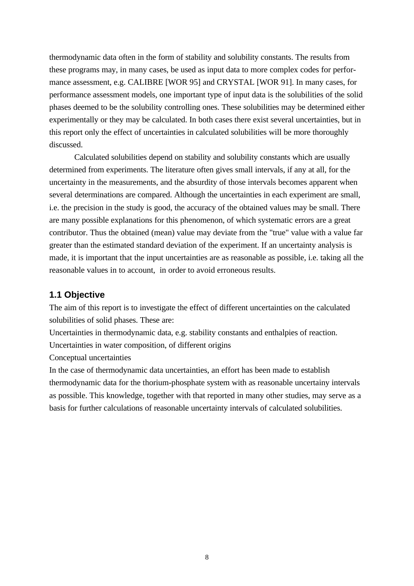thermodynamic data often in the form of stability and solubility constants. The results from these programs may, in many cases, be used as input data to more complex codes for performance assessment, e.g. CALIBRE [WOR 95] and CRYSTAL [WOR 91]. In many cases, for performance assessment models, one important type of input data is the solubilities of the solid phases deemed to be the solubility controlling ones. These solubilities may be determined either experimentally or they may be calculated. In both cases there exist several uncertainties, but in this report only the effect of uncertainties in calculated solubilities will be more thoroughly discussed.

Calculated solubilities depend on stability and solubility constants which are usually determined from experiments. The literature often gives small intervals, if any at all, for the uncertainty in the measurements, and the absurdity of those intervals becomes apparent when several determinations are compared. Although the uncertainties in each experiment are small, i.e. the precision in the study is good, the accuracy of the obtained values may be small. There are many possible explanations for this phenomenon, of which systematic errors are a great contributor. Thus the obtained (mean) value may deviate from the "true" value with a value far greater than the estimated standard deviation of the experiment. If an uncertainty analysis is made, it is important that the input uncertainties are as reasonable as possible, i.e. taking all the reasonable values in to account, in order to avoid erroneous results.

## **1.1 Objective**

The aim of this report is to investigate the effect of different uncertainties on the calculated solubilities of solid phases. These are:

Uncertainties in thermodynamic data, e.g. stability constants and enthalpies of reaction. Uncertainties in water composition, of different origins

Conceptual uncertainties

In the case of thermodynamic data uncertainties, an effort has been made to establish thermodynamic data for the thorium-phosphate system with as reasonable uncertainy intervals as possible. This knowledge, together with that reported in many other studies, may serve as a basis for further calculations of reasonable uncertainty intervals of calculated solubilities.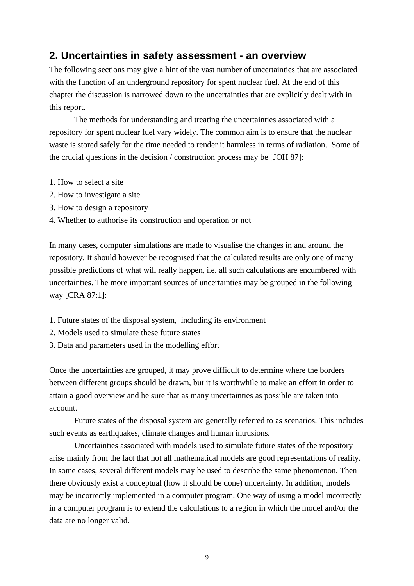## **2. Uncertainties in safety assessment - an overview**

The following sections may give a hint of the vast number of uncertainties that are associated with the function of an underground repository for spent nuclear fuel. At the end of this chapter the discussion is narrowed down to the uncertainties that are explicitly dealt with in this report.

The methods for understanding and treating the uncertainties associated with a repository for spent nuclear fuel vary widely. The common aim is to ensure that the nuclear waste is stored safely for the time needed to render it harmless in terms of radiation. Some of the crucial questions in the decision / construction process may be [JOH 87]:

- 1. How to select a site
- 2. How to investigate a site
- 3. How to design a repository
- 4. Whether to authorise its construction and operation or not

In many cases, computer simulations are made to visualise the changes in and around the repository. It should however be recognised that the calculated results are only one of many possible predictions of what will really happen, i.e. all such calculations are encumbered with uncertainties. The more important sources of uncertainties may be grouped in the following way [CRA 87:1]:

- 1. Future states of the disposal system, including its environment
- 2. Models used to simulate these future states
- 3. Data and parameters used in the modelling effort

Once the uncertainties are grouped, it may prove difficult to determine where the borders between different groups should be drawn, but it is worthwhile to make an effort in order to attain a good overview and be sure that as many uncertainties as possible are taken into account.

Future states of the disposal system are generally referred to as scenarios. This includes such events as earthquakes, climate changes and human intrusions.

Uncertainties associated with models used to simulate future states of the repository arise mainly from the fact that not all mathematical models are good representations of reality. In some cases, several different models may be used to describe the same phenomenon. Then there obviously exist a conceptual (how it should be done) uncertainty. In addition, models may be incorrectly implemented in a computer program. One way of using a model incorrectly in a computer program is to extend the calculations to a region in which the model and/or the data are no longer valid.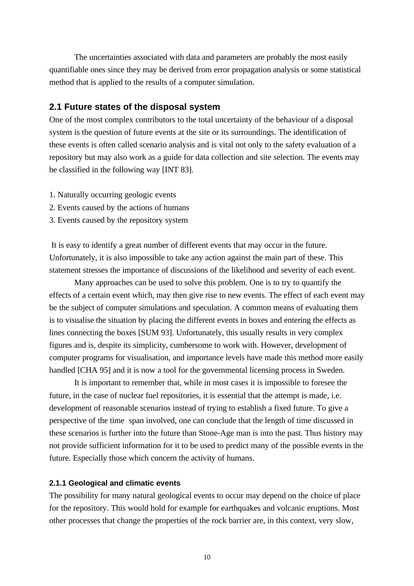The uncertainties associated with data and parameters are probably the most easily quantifiable ones since they may be derived from error propagation analysis or some statistical method that is applied to the results of a computer simulation.

## **2.1 Future states of the disposal system**

One of the most complex contributors to the total uncertainty of the behaviour of a disposal system is the question of future events at the site or its surroundings. The identification of these events is often called scenario analysis and is vital not only to the safety evaluation of a repository but may also work as a guide for data collection and site selection. The events may be classified in the following way [INT 83].

- 1. Naturally occurring geologic events
- 2. Events caused by the actions of humans
- 3. Events caused by the repository system

 It is easy to identify a great number of different events that may occur in the future. Unfortunately, it is also impossible to take any action against the main part of these. This statement stresses the importance of discussions of the likelihood and severity of each event.

Many approaches can be used to solve this problem. One is to try to quantify the effects of a certain event which, may then give rise to new events. The effect of each event may be the subject of computer simulations and speculation. A common means of evaluating them is to visualise the situation by placing the different events in boxes and entering the effects as lines connecting the boxes [SUM 93]. Unfortunately, this usually results in very complex figures and is, despite its simplicity, cumbersome to work with. However, development of computer programs for visualisation, and importance levels have made this method more easily handled [CHA 95] and it is now a tool for the governmental licensing process in Sweden.

It is important to remember that, while in most cases it is impossible to foresee the future, in the case of nuclear fuel repositories, it is essential that the attempt is made, i.e. development of reasonable scenarios instead of trying to establish a fixed future. To give a perspective of the time span involved, one can conclude that the length of time discussed in these scenarios is further into the future than Stone-Age man is into the past. Thus history may not provide sufficient information for it to be used to predict many of the possible events in the future. Especially those which concern the activity of humans.

#### **2.1.1 Geological and climatic events**

The possibility for many natural geological events to occur may depend on the choice of place for the repository. This would hold for example for earthquakes and volcanic eruptions. Most other processes that change the properties of the rock barrier are, in this context, very slow,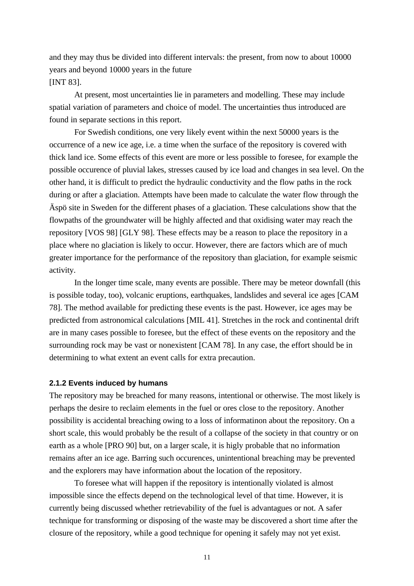and they may thus be divided into different intervals: the present, from now to about 10000 years and beyond 10000 years in the future [INT 83].

At present, most uncertainties lie in parameters and modelling. These may include spatial variation of parameters and choice of model. The uncertainties thus introduced are found in separate sections in this report.

For Swedish conditions, one very likely event within the next 50000 years is the occurrence of a new ice age, i.e. a time when the surface of the repository is covered with thick land ice. Some effects of this event are more or less possible to foresee, for example the possible occurence of pluvial lakes, stresses caused by ice load and changes in sea level. On the other hand, it is difficult to predict the hydraulic conductivity and the flow paths in the rock during or after a glaciation. Attempts have been made to calculate the water flow through the Äspö site in Sweden for the different phases of a glaciation. These calculations show that the flowpaths of the groundwater will be highly affected and that oxidising water may reach the repository [VOS 98] [GLY 98]. These effects may be a reason to place the repository in a place where no glaciation is likely to occur. However, there are factors which are of much greater importance for the performance of the repository than glaciation, for example seismic activity.

In the longer time scale, many events are possible. There may be meteor downfall (this is possible today, too), volcanic eruptions, earthquakes, landslides and several ice ages [CAM 78]. The method available for predicting these events is the past. However, ice ages may be predicted from astronomical calculations [MIL 41]. Stretches in the rock and continental drift are in many cases possible to foresee, but the effect of these events on the repository and the surrounding rock may be vast or nonexistent [CAM 78]. In any case, the effort should be in determining to what extent an event calls for extra precaution.

#### **2.1.2 Events induced by humans**

The repository may be breached for many reasons, intentional or otherwise. The most likely is perhaps the desire to reclaim elements in the fuel or ores close to the repository. Another possibility is accidental breaching owing to a loss of informatinon about the repository. On a short scale, this would probably be the result of a collapse of the society in that country or on earth as a whole [PRO 90] but, on a larger scale, it is higly probable that no information remains after an ice age. Barring such occurences, unintentional breaching may be prevented and the explorers may have information about the location of the repository.

To foresee what will happen if the repository is intentionally violated is almost impossible since the effects depend on the technological level of that time. However, it is currently being discussed whether retrievability of the fuel is advantagues or not. A safer technique for transforming or disposing of the waste may be discovered a short time after the closure of the repository, while a good technique for opening it safely may not yet exist.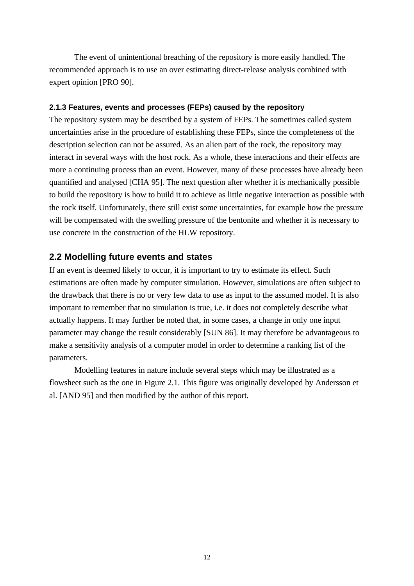The event of unintentional breaching of the repository is more easily handled. The recommended approach is to use an over estimating direct-release analysis combined with expert opinion [PRO 90].

#### **2.1.3 Features, events and processes (FEPs) caused by the repository**

The repository system may be described by a system of FEPs. The sometimes called system uncertainties arise in the procedure of establishing these FEPs, since the completeness of the description selection can not be assured. As an alien part of the rock, the repository may interact in several ways with the host rock. As a whole, these interactions and their effects are more a continuing process than an event. However, many of these processes have already been quantified and analysed [CHA 95]. The next question after whether it is mechanically possible to build the repository is how to build it to achieve as little negative interaction as possible with the rock itself. Unfortunately, there still exist some uncertainties, for example how the pressure will be compensated with the swelling pressure of the bentonite and whether it is necessary to use concrete in the construction of the HLW repository.

#### **2.2 Modelling future events and states**

If an event is deemed likely to occur, it is important to try to estimate its effect. Such estimations are often made by computer simulation. However, simulations are often subject to the drawback that there is no or very few data to use as input to the assumed model. It is also important to remember that no simulation is true, i.e. it does not completely describe what actually happens. It may further be noted that, in some cases, a change in only one input parameter may change the result considerably [SUN 86]. It may therefore be advantageous to make a sensitivity analysis of a computer model in order to determine a ranking list of the parameters.

Modelling features in nature include several steps which may be illustrated as a flowsheet such as the one in Figure 2.1. This figure was originally developed by Andersson et al. [AND 95] and then modified by the author of this report.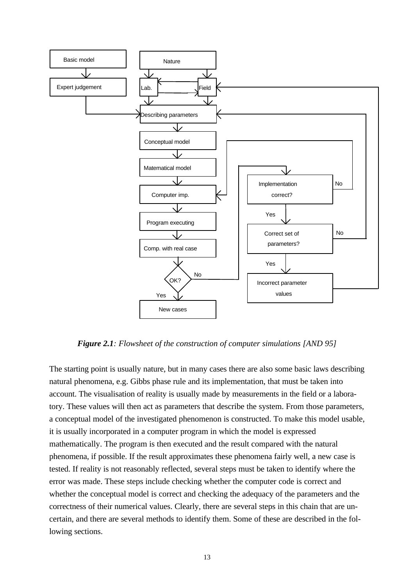

*Figure 2.1: Flowsheet of the construction of computer simulations [AND 95]*

The starting point is usually nature, but in many cases there are also some basic laws describing natural phenomena, e.g. Gibbs phase rule and its implementation, that must be taken into account. The visualisation of reality is usually made by measurements in the field or a laboratory. These values will then act as parameters that describe the system. From those parameters, a conceptual model of the investigated phenomenon is constructed. To make this model usable, it is usually incorporated in a computer program in which the model is expressed mathematically. The program is then executed and the result compared with the natural phenomena, if possible. If the result approximates these phenomena fairly well, a new case is tested. If reality is not reasonably reflected, several steps must be taken to identify where the error was made. These steps include checking whether the computer code is correct and whether the conceptual model is correct and checking the adequacy of the parameters and the correctness of their numerical values. Clearly, there are several steps in this chain that are uncertain, and there are several methods to identify them. Some of these are described in the following sections.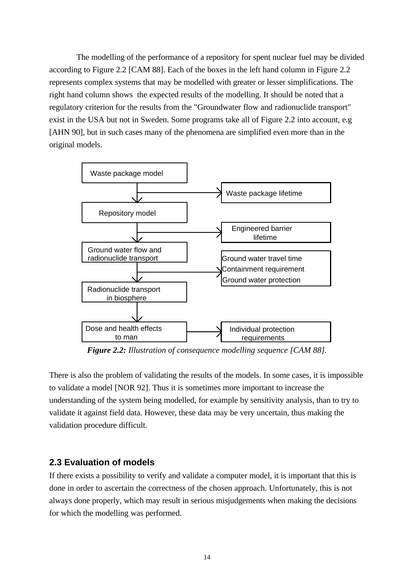The modelling of the performance of a repository for spent nuclear fuel may be divided according to Figure 2.2 [CAM 88]. Each of the boxes in the left hand column in Figure 2.2 represents complex systems that may be modelled with greater or lesser simplifications. The right hand column shows the expected results of the modelling. It should be noted that a regulatory criterion for the results from the "Groundwater flow and radionuclide transport" exist in the USA but not in Sweden. Some programs take all of Figure 2.2 into account, e.g [AHN 90], but in such cases many of the phenomena are simplified even more than in the original models.



*Figure 2.2: Illustration of consequence modelling sequence [CAM 88].*

There is also the problem of validating the results of the models. In some cases, it is impossible to validate a model [NOR 92]. Thus it is sometimes more important to increase the understanding of the system being modelled, for example by sensitivity analysis, than to try to validate it against field data. However, these data may be very uncertain, thus making the validation procedure difficult.

## **2.3 Evaluation of models**

If there exists a possibility to verify and validate a computer model, it is important that this is done in order to ascertain the correctness of the chosen approach. Unfortunately, this is not always done properly, which may result in serious misjudgements when making the decisions for which the modelling was performed.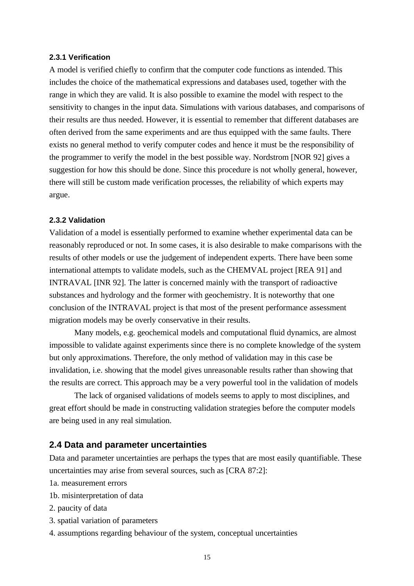## **2.3.1 Verification**

A model is verified chiefly to confirm that the computer code functions as intended. This includes the choice of the mathematical expressions and databases used, together with the range in which they are valid. It is also possible to examine the model with respect to the sensitivity to changes in the input data. Simulations with various databases, and comparisons of their results are thus needed. However, it is essential to remember that different databases are often derived from the same experiments and are thus equipped with the same faults. There exists no general method to verify computer codes and hence it must be the responsibility of the programmer to verify the model in the best possible way. Nordstrom [NOR 92] gives a suggestion for how this should be done. Since this procedure is not wholly general, however, there will still be custom made verification processes, the reliability of which experts may argue.

#### **2.3.2 Validation**

Validation of a model is essentially performed to examine whether experimental data can be reasonably reproduced or not. In some cases, it is also desirable to make comparisons with the results of other models or use the judgement of independent experts. There have been some international attempts to validate models, such as the CHEMVAL project [REA 91] and INTRAVAL [INR 92]. The latter is concerned mainly with the transport of radioactive substances and hydrology and the former with geochemistry. It is noteworthy that one conclusion of the INTRAVAL project is that most of the present performance assessment migration models may be overly conservative in their results.

Many models, e.g. geochemical models and computational fluid dynamics, are almost impossible to validate against experiments since there is no complete knowledge of the system but only approximations. Therefore, the only method of validation may in this case be invalidation, i.e. showing that the model gives unreasonable results rather than showing that the results are correct. This approach may be a very powerful tool in the validation of models

The lack of organised validations of models seems to apply to most disciplines, and great effort should be made in constructing validation strategies before the computer models are being used in any real simulation.

## **2.4 Data and parameter uncertainties**

Data and parameter uncertainties are perhaps the types that are most easily quantifiable. These uncertainties may arise from several sources, such as [CRA 87:2]:

- 1a. measurement errors
- 1b. misinterpretation of data
- 2. paucity of data
- 3. spatial variation of parameters
- 4. assumptions regarding behaviour of the system, conceptual uncertainties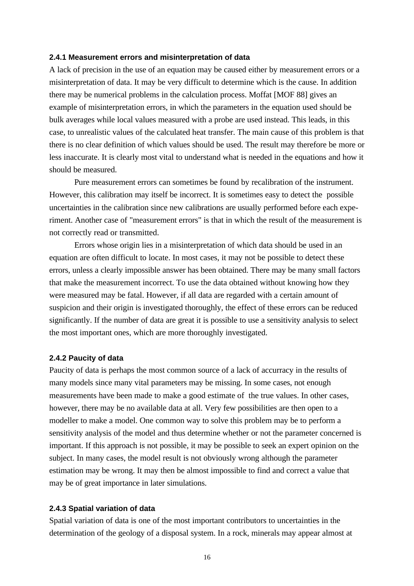#### **2.4.1 Measurement errors and misinterpretation of data**

A lack of precision in the use of an equation may be caused either by measurement errors or a misinterpretation of data. It may be very difficult to determine which is the cause. In addition there may be numerical problems in the calculation process. Moffat [MOF 88] gives an example of misinterpretation errors, in which the parameters in the equation used should be bulk averages while local values measured with a probe are used instead. This leads, in this case, to unrealistic values of the calculated heat transfer. The main cause of this problem is that there is no clear definition of which values should be used. The result may therefore be more or less inaccurate. It is clearly most vital to understand what is needed in the equations and how it should be measured.

Pure measurement errors can sometimes be found by recalibration of the instrument. However, this calibration may itself be incorrect. It is sometimes easy to detect the possible uncertainties in the calibration since new calibrations are usually performed before each experiment. Another case of "measurement errors" is that in which the result of the measurement is not correctly read or transmitted.

Errors whose origin lies in a misinterpretation of which data should be used in an equation are often difficult to locate. In most cases, it may not be possible to detect these errors, unless a clearly impossible answer has been obtained. There may be many small factors that make the measurement incorrect. To use the data obtained without knowing how they were measured may be fatal. However, if all data are regarded with a certain amount of suspicion and their origin is investigated thoroughly, the effect of these errors can be reduced significantly. If the number of data are great it is possible to use a sensitivity analysis to select the most important ones, which are more thoroughly investigated.

#### **2.4.2 Paucity of data**

Paucity of data is perhaps the most common source of a lack of accurracy in the results of many models since many vital parameters may be missing. In some cases, not enough measurements have been made to make a good estimate of the true values. In other cases, however, there may be no available data at all. Very few possibilities are then open to a modeller to make a model. One common way to solve this problem may be to perform a sensitivity analysis of the model and thus determine whether or not the parameter concerned is important. If this approach is not possible, it may be possible to seek an expert opinion on the subject. In many cases, the model result is not obviously wrong although the parameter estimation may be wrong. It may then be almost impossible to find and correct a value that may be of great importance in later simulations.

#### **2.4.3 Spatial variation of data**

Spatial variation of data is one of the most important contributors to uncertainties in the determination of the geology of a disposal system. In a rock, minerals may appear almost at

16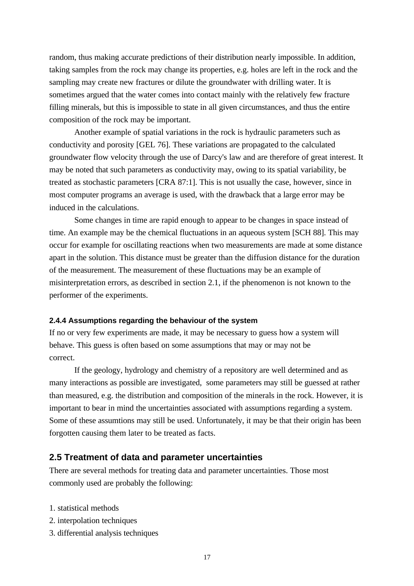random, thus making accurate predictions of their distribution nearly impossible. In addition, taking samples from the rock may change its properties, e.g. holes are left in the rock and the sampling may create new fractures or dilute the groundwater with drilling water. It is sometimes argued that the water comes into contact mainly with the relatively few fracture filling minerals, but this is impossible to state in all given circumstances, and thus the entire composition of the rock may be important.

Another example of spatial variations in the rock is hydraulic parameters such as conductivity and porosity [GEL 76]. These variations are propagated to the calculated groundwater flow velocity through the use of Darcy's law and are therefore of great interest. It may be noted that such parameters as conductivity may, owing to its spatial variability, be treated as stochastic parameters [CRA 87:1]. This is not usually the case, however, since in most computer programs an average is used, with the drawback that a large error may be induced in the calculations.

Some changes in time are rapid enough to appear to be changes in space instead of time. An example may be the chemical fluctuations in an aqueous system [SCH 88]. This may occur for example for oscillating reactions when two measurements are made at some distance apart in the solution. This distance must be greater than the diffusion distance for the duration of the measurement. The measurement of these fluctuations may be an example of misinterpretation errors, as described in section 2.1, if the phenomenon is not known to the performer of the experiments.

#### **2.4.4 Assumptions regarding the behaviour of the system**

If no or very few experiments are made, it may be necessary to guess how a system will behave. This guess is often based on some assumptions that may or may not be correct.

If the geology, hydrology and chemistry of a repository are well determined and as many interactions as possible are investigated, some parameters may still be guessed at rather than measured, e.g. the distribution and composition of the minerals in the rock. However, it is important to bear in mind the uncertainties associated with assumptions regarding a system. Some of these assumtions may still be used. Unfortunately, it may be that their origin has been forgotten causing them later to be treated as facts.

## **2.5 Treatment of data and parameter uncertainties**

There are several methods for treating data and parameter uncertainties. Those most commonly used are probably the following:

- 1. statistical methods
- 2. interpolation techniques
- 3. differential analysis techniques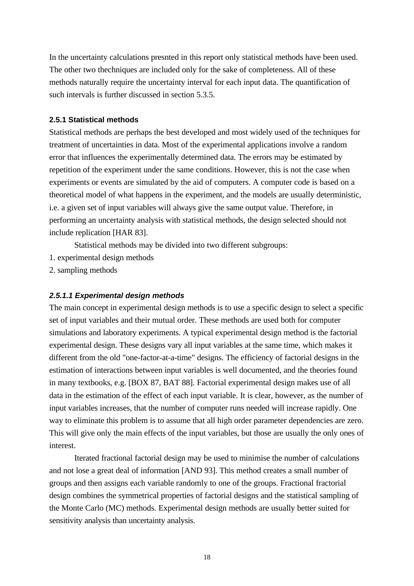In the uncertainty calculations presnted in this report only statistical methods have been used. The other two thechniques are included only for the sake of completeness. All of these methods naturally require the uncertainty interval for each input data. The quantification of such intervals is further discussed in section 5.3.5.

## **2.5.1 Statistical methods**

Statistical methods are perhaps the best developed and most widely used of the techniques for treatment of uncertainties in data. Most of the experimental applications involve a random error that influences the experimentally determined data. The errors may be estimated by repetition of the experiment under the same conditions. However, this is not the case when experiments or events are simulated by the aid of computers. A computer code is based on a theoretical model of what happens in the experiment, and the models are usually deterministic, i.e. a given set of input variables will always give the same output value. Therefore, in performing an uncertainty analysis with statistical methods, the design selected should not include replication [HAR 83].

Statistical methods may be divided into two different subgroups:

- 1. experimental design methods
- 2. sampling methods

## *2.5.1.1 Experimental design methods*

The main concept in experimental design methods is to use a specific design to select a specific set of input variables and their mutual order. These methods are used both for computer simulations and laboratory experiments. A typical experimental design method is the factorial experimental design. These designs vary all input variables at the same time, which makes it different from the old "one-factor-at-a-time" designs. The efficiency of factorial designs in the estimation of interactions between input variables is well documented, and the theories found in many textbooks, e.g. [BOX 87, BAT 88]. Factorial experimental design makes use of all data in the estimation of the effect of each input variable. It is clear, however, as the number of input variables increases, that the number of computer runs needed will increase rapidly. One way to eliminate this problem is to assume that all high order parameter dependencies are zero. This will give only the main effects of the input variables, but those are usually the only ones of interest.

Iterated fractional factorial design may be used to minimise the number of calculations and not lose a great deal of information [AND 93]. This method creates a small number of groups and then assigns each variable randomly to one of the groups. Fractional fractorial design combines the symmetrical properties of factorial designs and the statistical sampling of the Monte Carlo (MC) methods. Experimental design methods are usually better suited for sensitivity analysis than uncertainty analysis.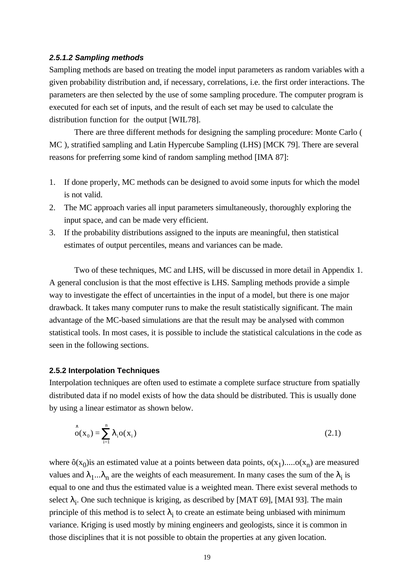#### *2.5.1.2 Sampling methods*

Sampling methods are based on treating the model input parameters as random variables with a given probability distribution and, if necessary, correlations, i.e. the first order interactions. The parameters are then selected by the use of some sampling procedure. The computer program is executed for each set of inputs, and the result of each set may be used to calculate the distribution function for the output [WIL78].

There are three different methods for designing the sampling procedure: Monte Carlo ( MC ), stratified sampling and Latin Hypercube Sampling (LHS) [MCK 79]. There are several reasons for preferring some kind of random sampling method [IMA 87]:

- 1. If done properly, MC methods can be designed to avoid some inputs for which the model is not valid.
- 2. The MC approach varies all input parameters simultaneously, thoroughly exploring the input space, and can be made very efficient.
- 3. If the probability distributions assigned to the inputs are meaningful, then statistical estimates of output percentiles, means and variances can be made.

Two of these techniques, MC and LHS, will be discussed in more detail in Appendix 1. A general conclusion is that the most effective is LHS. Sampling methods provide a simple way to investigate the effect of uncertainties in the input of a model, but there is one major drawback. It takes many computer runs to make the result statistically significant. The main advantage of the MC-based simulations are that the result may be analysed with common statistical tools. In most cases, it is possible to include the statistical calculations in the code as seen in the following sections.

#### **2.5.2 Interpolation Techniques**

Interpolation techniques are often used to estimate a complete surface structure from spatially distributed data if no model exists of how the data should be distributed. This is usually done by using a linear estimator as shown below.

$$
\hat{o}(x_0) = \sum_{i=1}^{n} I_i o(x_i)
$$
\n(2.1)

where  $\hat{o}(x_0)$  is an estimated value at a points between data points,  $o(x_1).....o(x_n)$  are measured values and  $\lambda_1...\lambda_n$  are the weights of each measurement. In many cases the sum of the  $\lambda_i$  is equal to one and thus the estimated value is a weighted mean. There exist several methods to select  $\lambda_i$ . One such technique is kriging, as described by [MAT 69], [MAI 93]. The main principle of this method is to select  $\lambda_i$  to create an estimate being unbiased with minimum variance. Kriging is used mostly by mining engineers and geologists, since it is common in those disciplines that it is not possible to obtain the properties at any given location.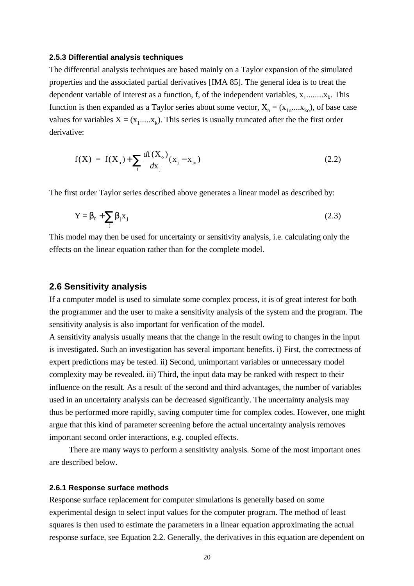#### **2.5.3 Differential analysis techniques**

The differential analysis techniques are based mainly on a Taylor expansion of the simulated properties and the associated partial derivatives [IMA 85]. The general idea is to treat the dependent variable of interest as a function, f, of the independent variables,  $x_1$ ........ $x_k$ . This function is then expanded as a Taylor series about some vector,  $X_0 = (x_{10},...,x_{k0})$ , of base case values for variables  $X = (x_1, ..., x_k)$ . This series is usually truncated after the the first order derivative:

$$
f(X) = f(X_0) + \sum_{j} \frac{df(X_0)}{dx_j} (x_j - x_{j_0})
$$
\n(2.2)

The first order Taylor series described above generates a linear model as described by:

$$
Y = \boldsymbol{b}_0 + \sum_j \boldsymbol{b}_j X_j
$$
 (2.3)

This model may then be used for uncertainty or sensitivity analysis, i.e. calculating only the effects on the linear equation rather than for the complete model.

#### **2.6 Sensitivity analysis**

If a computer model is used to simulate some complex process, it is of great interest for both the programmer and the user to make a sensitivity analysis of the system and the program. The sensitivity analysis is also important for verification of the model.

A sensitivity analysis usually means that the change in the result owing to changes in the input is investigated. Such an investigation has several important benefits. i) First, the correctness of expert predictions may be tested. ii) Second, unimportant variables or unnecessary model complexity may be revealed. iii) Third, the input data may be ranked with respect to their influence on the result. As a result of the second and third advantages, the number of variables used in an uncertainty analysis can be decreased significantly. The uncertainty analysis may thus be performed more rapidly, saving computer time for complex codes. However, one might argue that this kind of parameter screening before the actual uncertainty analysis removes important second order interactions, e.g. coupled effects.

There are many ways to perform a sensitivity analysis. Some of the most important ones are described below.

#### **2.6.1 Response surface methods**

Response surface replacement for computer simulations is generally based on some experimental design to select input values for the computer program. The method of least squares is then used to estimate the parameters in a linear equation approximating the actual response surface, see Equation 2.2. Generally, the derivatives in this equation are dependent on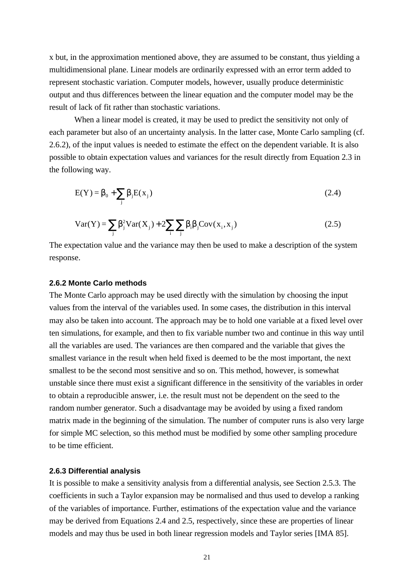x but, in the approximation mentioned above, they are assumed to be constant, thus yielding a multidimensional plane. Linear models are ordinarily expressed with an error term added to represent stochastic variation. Computer models, however, usually produce deterministic output and thus differences between the linear equation and the computer model may be the result of lack of fit rather than stochastic variations.

When a linear model is created, it may be used to predict the sensitivity not only of each parameter but also of an uncertainty analysis. In the latter case, Monte Carlo sampling (cf. 2.6.2), of the input values is needed to estimate the effect on the dependent variable. It is also possible to obtain expectation values and variances for the result directly from Equation 2.3 in the following way.

$$
E(Y) = \boldsymbol{b}_0 + \sum_j \boldsymbol{b}_j E(x_j)
$$
 (2.4)

$$
Var(Y) = \sum_{j} \mathbf{b}_{j}^{2} Var(X_{j}) + 2 \sum_{i} \sum_{j} \mathbf{b}_{i} \mathbf{b}_{j} Cov(x_{i}, x_{j})
$$
(2.5)

The expectation value and the variance may then be used to make a description of the system response.

#### **2.6.2 Monte Carlo methods**

The Monte Carlo approach may be used directly with the simulation by choosing the input values from the interval of the variables used. In some cases, the distribution in this interval may also be taken into account. The approach may be to hold one variable at a fixed level over ten simulations, for example, and then to fix variable number two and continue in this way until all the variables are used. The variances are then compared and the variable that gives the smallest variance in the result when held fixed is deemed to be the most important, the next smallest to be the second most sensitive and so on. This method, however, is somewhat unstable since there must exist a significant difference in the sensitivity of the variables in order to obtain a reproducible answer, i.e. the result must not be dependent on the seed to the random number generator. Such a disadvantage may be avoided by using a fixed random matrix made in the beginning of the simulation. The number of computer runs is also very large for simple MC selection, so this method must be modified by some other sampling procedure to be time efficient.

#### **2.6.3 Differential analysis**

It is possible to make a sensitivity analysis from a differential analysis, see Section 2.5.3. The coefficients in such a Taylor expansion may be normalised and thus used to develop a ranking of the variables of importance. Further, estimations of the expectation value and the variance may be derived from Equations 2.4 and 2.5, respectively, since these are properties of linear models and may thus be used in both linear regression models and Taylor series [IMA 85].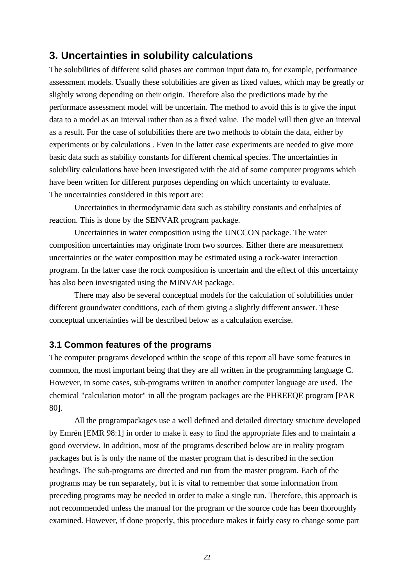## **3. Uncertainties in solubility calculations**

The solubilities of different solid phases are common input data to, for example, performance assessment models. Usually these solubilities are given as fixed values, which may be greatly or slightly wrong depending on their origin. Therefore also the predictions made by the performace assessment model will be uncertain. The method to avoid this is to give the input data to a model as an interval rather than as a fixed value. The model will then give an interval as a result. For the case of solubilities there are two methods to obtain the data, either by experiments or by calculations . Even in the latter case experiments are needed to give more basic data such as stability constants for different chemical species. The uncertainties in solubility calculations have been investigated with the aid of some computer programs which have been written for different purposes depending on which uncertainty to evaluate. The uncertainties considered in this report are:

Uncertainties in thermodynamic data such as stability constants and enthalpies of reaction. This is done by the SENVAR program package.

Uncertainties in water composition using the UNCCON package. The water composition uncertainties may originate from two sources. Either there are measurement uncertainties or the water composition may be estimated using a rock-water interaction program. In the latter case the rock composition is uncertain and the effect of this uncertainty has also been investigated using the MINVAR package.

There may also be several conceptual models for the calculation of solubilities under different groundwater conditions, each of them giving a slightly different answer. These conceptual uncertainties will be described below as a calculation exercise.

## **3.1 Common features of the programs**

The computer programs developed within the scope of this report all have some features in common, the most important being that they are all written in the programming language C. However, in some cases, sub-programs written in another computer language are used. The chemical "calculation motor" in all the program packages are the PHREEQE program [PAR 80].

All the programpackages use a well defined and detailed directory structure developed by Emrén [EMR 98:1] in order to make it easy to find the appropriate files and to maintain a good overview. In addition, most of the programs described below are in reality program packages but is is only the name of the master program that is described in the section headings. The sub-programs are directed and run from the master program. Each of the programs may be run separately, but it is vital to remember that some information from preceding programs may be needed in order to make a single run. Therefore, this approach is not recommended unless the manual for the program or the source code has been thoroughly examined. However, if done properly, this procedure makes it fairly easy to change some part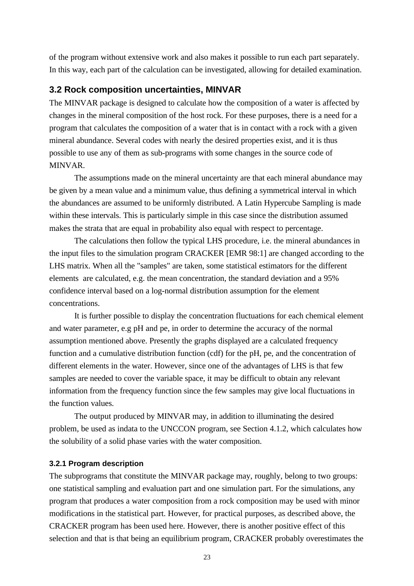of the program without extensive work and also makes it possible to run each part separately. In this way, each part of the calculation can be investigated, allowing for detailed examination.

## **3.2 Rock composition uncertainties, MINVAR**

The MINVAR package is designed to calculate how the composition of a water is affected by changes in the mineral composition of the host rock. For these purposes, there is a need for a program that calculates the composition of a water that is in contact with a rock with a given mineral abundance. Several codes with nearly the desired properties exist, and it is thus possible to use any of them as sub-programs with some changes in the source code of MINVAR.

The assumptions made on the mineral uncertainty are that each mineral abundance may be given by a mean value and a minimum value, thus defining a symmetrical interval in which the abundances are assumed to be uniformly distributed. A Latin Hypercube Sampling is made within these intervals. This is particularly simple in this case since the distribution assumed makes the strata that are equal in probability also equal with respect to percentage.

The calculations then follow the typical LHS procedure, i.e. the mineral abundances in the input files to the simulation program CRACKER [EMR 98:1] are changed according to the LHS matrix. When all the "samples" are taken, some statistical estimators for the different elements are calculated, e.g. the mean concentration, the standard deviation and a 95% confidence interval based on a log-normal distribution assumption for the element concentrations.

It is further possible to display the concentration fluctuations for each chemical element and water parameter, e.g pH and pe, in order to determine the accuracy of the normal assumption mentioned above. Presently the graphs displayed are a calculated frequency function and a cumulative distribution function (cdf) for the pH, pe, and the concentration of different elements in the water. However, since one of the advantages of LHS is that few samples are needed to cover the variable space, it may be difficult to obtain any relevant information from the frequency function since the few samples may give local fluctuations in the function values.

The output produced by MINVAR may, in addition to illuminating the desired problem, be used as indata to the UNCCON program, see Section 4.1.2, which calculates how the solubility of a solid phase varies with the water composition.

#### **3.2.1 Program description**

The subprograms that constitute the MINVAR package may, roughly, belong to two groups: one statistical sampling and evaluation part and one simulation part. For the simulations, any program that produces a water composition from a rock composition may be used with minor modifications in the statistical part. However, for practical purposes, as described above, the CRACKER program has been used here. However, there is another positive effect of this selection and that is that being an equilibrium program, CRACKER probably overestimates the

23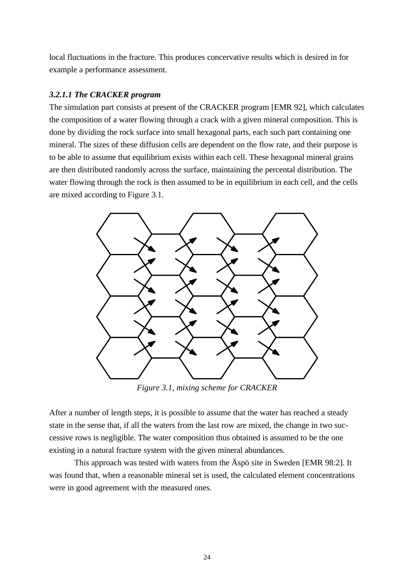local fluctuations in the fracture. This produces concervative results which is desired in for example a performance assessment.

## *3.2.1.1 The CRACKER program*

The simulation part consists at present of the CRACKER program [EMR 92], which calculates the composition of a water flowing through a crack with a given mineral composition. This is done by dividing the rock surface into small hexagonal parts, each such part containing one mineral. The sizes of these diffusion cells are dependent on the flow rate, and their purpose is to be able to assume that equilibrium exists within each cell. These hexagonal mineral grains are then distributed randomly across the surface, maintaining the percental distribution. The water flowing through the rock is then assumed to be in equilibrium in each cell, and the cells are mixed according to Figure 3.1.



*Figure 3.1, mixing scheme for CRACKER*

After a number of length steps, it is possible to assume that the water has reached a steady state in the sense that, if all the waters from the last row are mixed, the change in two successive rows is negligible. The water composition thus obtained is assumed to be the one existing in a natural fracture system with the given mineral abundances.

This approach was tested with waters from the Äspö site in Sweden [EMR 98:2]. It was found that, when a reasonable mineral set is used, the calculated element concentrations were in good agreement with the measured ones.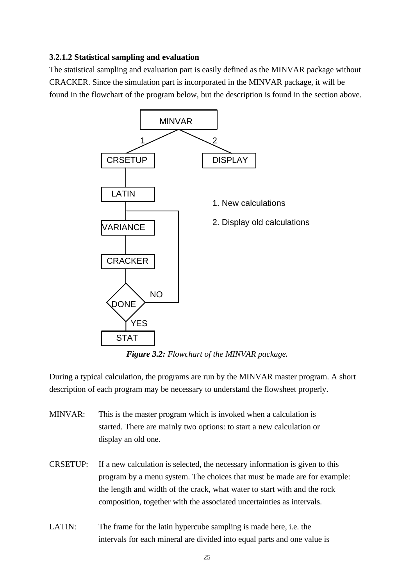## **3.2.1.2 Statistical sampling and evaluation**

The statistical sampling and evaluation part is easily defined as the MINVAR package without CRACKER. Since the simulation part is incorporated in the MINVAR package, it will be found in the flowchart of the program below, but the description is found in the section above.



*Figure 3.2: Flowchart of the MINVAR package.*

During a typical calculation, the programs are run by the MINVAR master program. A short description of each program may be necessary to understand the flowsheet properly.

- MINVAR: This is the master program which is invoked when a calculation is started. There are mainly two options: to start a new calculation or display an old one.
- CRSETUP: If a new calculation is selected, the necessary information is given to this program by a menu system. The choices that must be made are for example: the length and width of the crack, what water to start with and the rock composition, together with the associated uncertainties as intervals.
- LATIN: The frame for the latin hypercube sampling is made here, i.e. the intervals for each mineral are divided into equal parts and one value is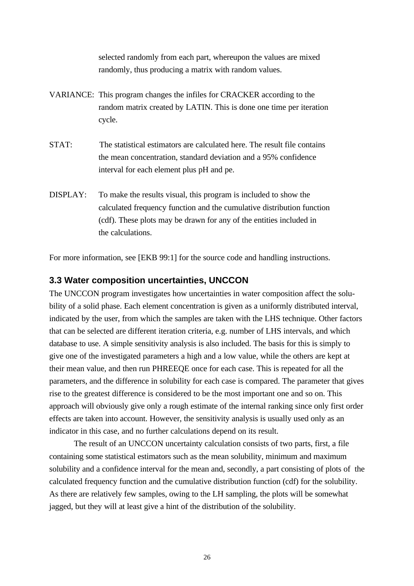selected randomly from each part, whereupon the values are mixed randomly, thus producing a matrix with random values.

- VARIANCE: This program changes the infiles for CRACKER according to the random matrix created by LATIN. This is done one time per iteration cycle.
- STAT: The statistical estimators are calculated here. The result file contains the mean concentration, standard deviation and a 95% confidence interval for each element plus pH and pe.
- DISPLAY: To make the results visual, this program is included to show the calculated frequency function and the cumulative distribution function (cdf). These plots may be drawn for any of the entities included in the calculations.

For more information, see [EKB 99:1] for the source code and handling instructions.

## **3.3 Water composition uncertainties, UNCCON**

The UNCCON program investigates how uncertainties in water composition affect the solubility of a solid phase. Each element concentration is given as a uniformly distributed interval, indicated by the user, from which the samples are taken with the LHS technique. Other factors that can be selected are different iteration criteria, e.g. number of LHS intervals, and which database to use. A simple sensitivity analysis is also included. The basis for this is simply to give one of the investigated parameters a high and a low value, while the others are kept at their mean value, and then run PHREEQE once for each case. This is repeated for all the parameters, and the difference in solubility for each case is compared. The parameter that gives rise to the greatest difference is considered to be the most important one and so on. This approach will obviously give only a rough estimate of the internal ranking since only first order effects are taken into account. However, the sensitivity analysis is usually used only as an indicator in this case, and no further calculations depend on its result.

The result of an UNCCON uncertainty calculation consists of two parts, first, a file containing some statistical estimators such as the mean solubility, minimum and maximum solubility and a confidence interval for the mean and, secondly, a part consisting of plots of the calculated frequency function and the cumulative distribution function (cdf) for the solubility. As there are relatively few samples, owing to the LH sampling, the plots will be somewhat jagged, but they will at least give a hint of the distribution of the solubility.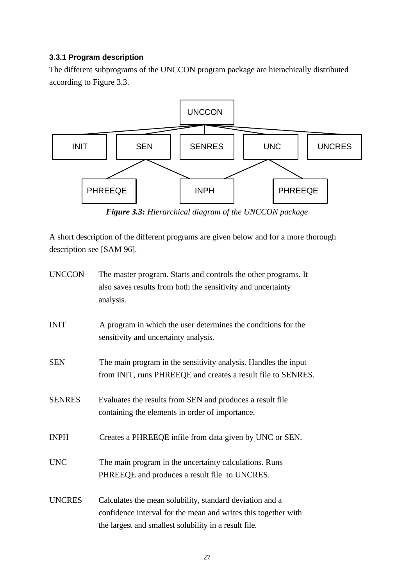## **3.3.1 Program description**

The different subprograms of the UNCCON program package are hierachically distributed according to Figure 3.3.



*Figure 3.3: Hierarchical diagram of the UNCCON package*

A short description of the different programs are given below and for a more thorough description see [SAM 96].

| <b>UNCCON</b> | The master program. Starts and controls the other programs. It<br>also saves results from both the sensitivity and uncertainty<br>analysis.                                         |
|---------------|-------------------------------------------------------------------------------------------------------------------------------------------------------------------------------------|
| <b>INIT</b>   | A program in which the user determines the conditions for the<br>sensitivity and uncertainty analysis.                                                                              |
| <b>SEN</b>    | The main program in the sensitivity analysis. Handles the input<br>from INIT, runs PHREEQE and creates a result file to SENRES.                                                     |
| <b>SENRES</b> | Evaluates the results from SEN and produces a result file<br>containing the elements in order of importance.                                                                        |
| <b>INPH</b>   | Creates a PHREEQE infile from data given by UNC or SEN.                                                                                                                             |
| <b>UNC</b>    | The main program in the uncertainty calculations. Runs<br>PHREEQE and produces a result file to UNCRES.                                                                             |
| <b>UNCRES</b> | Calculates the mean solubility, standard deviation and a<br>confidence interval for the mean and writes this together with<br>the largest and smallest solubility in a result file. |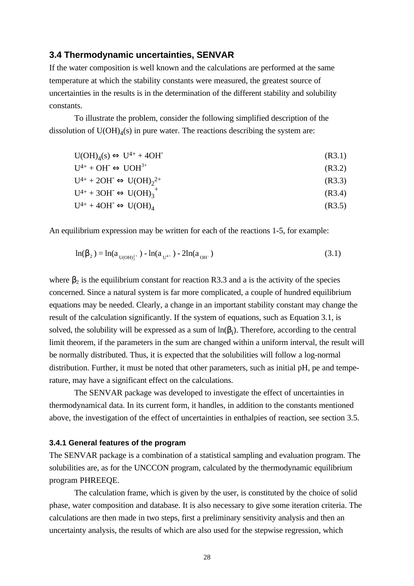## **3.4 Thermodynamic uncertainties, SENVAR**

If the water composition is well known and the calculations are performed at the same temperature at which the stability constants were measured, the greatest source of uncertainties in the results is in the determination of the different stability and solubility constants.

To illustrate the problem, consider the following simplified description of the dissolution of  $U(OH)_4(s)$  in pure water. The reactions describing the system are:

 $U(OH)<sub>4</sub>(s) \Longleftrightarrow U<sup>4+</sup> + 4OH<sup>-</sup>$ (R3.1)

$$
U^{4+} + OH^- \Leftrightarrow UOH^{3+}
$$
\n
$$
U^{4+} + 2OH^- \Leftrightarrow UOH^{3+}
$$
\n
$$
(R3.2)
$$
\n
$$
(R3.2)
$$
\n
$$
(R3.2)
$$
\n
$$
(R3.3)
$$

$$
U^{4+} + 2OH \Leftrightarrow U(OH)_2^{2+}
$$
 (R3.3)

$$
U^{4+} + 3OH^- \Leftrightarrow U(OH)_3^+
$$
 (R3.4)

 $U^{4+} + 4OH^- \Leftrightarrow U(OH)_{4}$ (R3.5)

An equilibrium expression may be written for each of the reactions 1-5, for example:

$$
\ln(\beta_2) = \ln(a_{U(OH)_2^{2^+}}) - \ln(a_{U^{4^+}}) - 2\ln(a_{OH^-})
$$
\n(3.1)

where  $\beta_2$  is the equilibrium constant for reaction R3.3 and a is the activity of the species concerned. Since a natural system is far more complicated, a couple of hundred equilibrium equations may be needed. Clearly, a change in an important stability constant may change the result of the calculation significantly. If the system of equations, such as Equation 3.1, is solved, the solubility will be expressed as a sum of  $ln(\beta_i)$ . Therefore, according to the central limit theorem, if the parameters in the sum are changed within a uniform interval, the result will be normally distributed. Thus, it is expected that the solubilities will follow a log-normal distribution. Further, it must be noted that other parameters, such as initial pH, pe and temperature, may have a significant effect on the calculations.

The SENVAR package was developed to investigate the effect of uncertainties in thermodynamical data. In its current form, it handles, in addition to the constants mentioned above, the investigation of the effect of uncertainties in enthalpies of reaction, see section 3.5.

#### **3.4.1 General features of the program**

The SENVAR package is a combination of a statistical sampling and evaluation program. The solubilities are, as for the UNCCON program, calculated by the thermodynamic equilibrium program PHREEQE.

The calculation frame, which is given by the user, is constituted by the choice of solid phase, water composition and database. It is also necessary to give some iteration criteria. The calculations are then made in two steps, first a preliminary sensitivity analysis and then an uncertainty analysis, the results of which are also used for the stepwise regression, which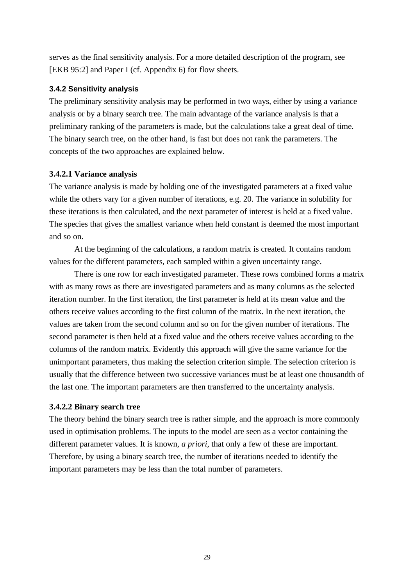serves as the final sensitivity analysis. For a more detailed description of the program, see [EKB 95:2] and Paper I (cf. Appendix 6) for flow sheets.

## **3.4.2 Sensitivity analysis**

The preliminary sensitivity analysis may be performed in two ways, either by using a variance analysis or by a binary search tree. The main advantage of the variance analysis is that a preliminary ranking of the parameters is made, but the calculations take a great deal of time. The binary search tree, on the other hand, is fast but does not rank the parameters. The concepts of the two approaches are explained below.

## **3.4.2.1 Variance analysis**

The variance analysis is made by holding one of the investigated parameters at a fixed value while the others vary for a given number of iterations, e.g. 20. The variance in solubility for these iterations is then calculated, and the next parameter of interest is held at a fixed value. The species that gives the smallest variance when held constant is deemed the most important and so on.

At the beginning of the calculations, a random matrix is created. It contains random values for the different parameters, each sampled within a given uncertainty range.

There is one row for each investigated parameter. These rows combined forms a matrix with as many rows as there are investigated parameters and as many columns as the selected iteration number. In the first iteration, the first parameter is held at its mean value and the others receive values according to the first column of the matrix. In the next iteration, the values are taken from the second column and so on for the given number of iterations. The second parameter is then held at a fixed value and the others receive values according to the columns of the random matrix. Evidently this approach will give the same variance for the unimportant parameters, thus making the selection criterion simple. The selection criterion is usually that the difference between two successive variances must be at least one thousandth of the last one. The important parameters are then transferred to the uncertainty analysis.

## **3.4.2.2 Binary search tree**

The theory behind the binary search tree is rather simple, and the approach is more commonly used in optimisation problems. The inputs to the model are seen as a vector containing the different parameter values. It is known, *a priori*, that only a few of these are important. Therefore, by using a binary search tree, the number of iterations needed to identify the important parameters may be less than the total number of parameters.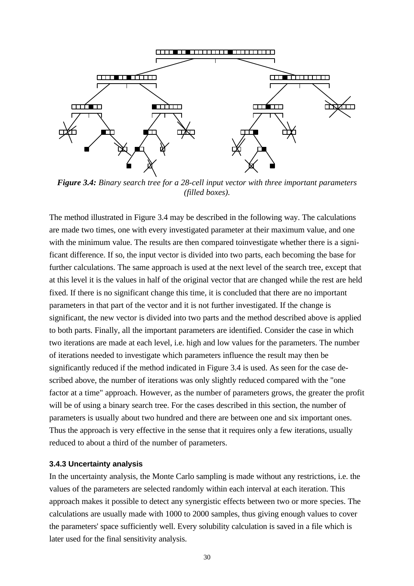

*Figure 3.4: Binary search tree for a 28-cell input vector with three important parameters (filled boxes).*

The method illustrated in Figure 3.4 may be described in the following way. The calculations are made two times, one with every investigated parameter at their maximum value, and one with the minimum value. The results are then compared to investigate whether there is a significant difference. If so, the input vector is divided into two parts, each becoming the base for further calculations. The same approach is used at the next level of the search tree, except that at this level it is the values in half of the original vector that are changed while the rest are held fixed. If there is no significant change this time, it is concluded that there are no important parameters in that part of the vector and it is not further investigated. If the change is significant, the new vector is divided into two parts and the method described above is applied to both parts. Finally, all the important parameters are identified. Consider the case in which two iterations are made at each level, i.e. high and low values for the parameters. The number of iterations needed to investigate which parameters influence the result may then be significantly reduced if the method indicated in Figure 3.4 is used. As seen for the case described above, the number of iterations was only slightly reduced compared with the "one factor at a time" approach. However, as the number of parameters grows, the greater the profit will be of using a binary search tree. For the cases described in this section, the number of parameters is usually about two hundred and there are between one and six important ones. Thus the approach is very effective in the sense that it requires only a few iterations, usually reduced to about a third of the number of parameters.

#### **3.4.3 Uncertainty analysis**

In the uncertainty analysis, the Monte Carlo sampling is made without any restrictions, i.e. the values of the parameters are selected randomly within each interval at each iteration. This approach makes it possible to detect any synergistic effects between two or more species. The calculations are usually made with 1000 to 2000 samples, thus giving enough values to cover the parameters' space sufficiently well. Every solubility calculation is saved in a file which is later used for the final sensitivity analysis.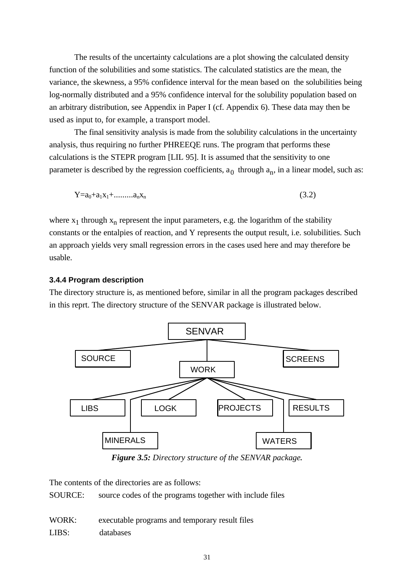The results of the uncertainty calculations are a plot showing the calculated density function of the solubilities and some statistics. The calculated statistics are the mean, the variance, the skewness, a 95% confidence interval for the mean based on the solubilities being log-normally distributed and a 95% confidence interval for the solubility population based on an arbitrary distribution, see Appendix in Paper I (cf. Appendix 6). These data may then be used as input to, for example, a transport model.

The final sensitivity analysis is made from the solubility calculations in the uncertainty analysis, thus requiring no further PHREEQE runs. The program that performs these calculations is the STEPR program [LIL 95]. It is assumed that the sensitivity to one parameter is described by the regression coefficients,  $a_0$  through  $a_n$ , in a linear model, such as:

$$
Y = a_0 + a_1 x_1 + \dots + a_n x_n \tag{3.2}
$$

where  $x_1$  through  $x_n$  represent the input parameters, e.g. the logarithm of the stability constants or the entalpies of reaction, and Y represents the output result, i.e. solubilities. Such an approach yields very small regression errors in the cases used here and may therefore be usable.

## **3.4.4 Program description**

The directory structure is, as mentioned before, similar in all the program packages described in this reprt. The directory structure of the SENVAR package is illustrated below.



*Figure 3.5: Directory structure of the SENVAR package.*

The contents of the directories are as follows:

SOURCE: source codes of the programs together with include files

WORK: executable programs and temporary result files LIBS: databases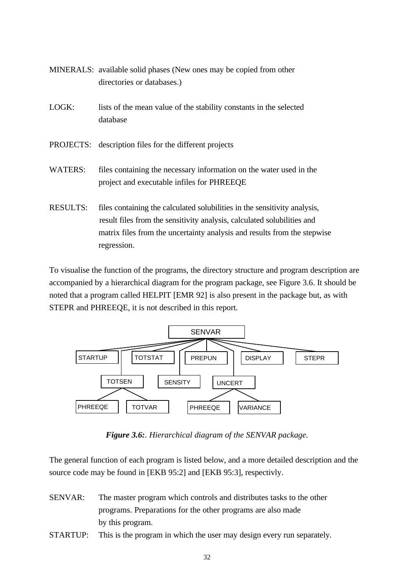- MINERALS: available solid phases (New ones may be copied from other directories or databases.)
- LOGK: lists of the mean value of the stability constants in the selected database
- PROJECTS: description files for the different projects
- WATERS: files containing the necessary information on the water used in the project and executable infiles for PHREEQE
- RESULTS: files containing the calculated solubilities in the sensitivity analysis, result files from the sensitivity analysis, calculated solubilities and matrix files from the uncertainty analysis and results from the stepwise regression.

To visualise the function of the programs, the directory structure and program description are accompanied by a hierarchical diagram for the program package, see Figure 3.6. It should be noted that a program called HELPIT [EMR 92] is also present in the package but, as with STEPR and PHREEQE, it is not described in this report.



*Figure 3.6:. Hierarchical diagram of the SENVAR package.*

The general function of each program is listed below, and a more detailed description and the source code may be found in [EKB 95:2] and [EKB 95:3], respectivly.

- SENVAR: The master program which controls and distributes tasks to the other programs. Preparations for the other programs are also made by this program.
- STARTUP: This is the program in which the user may design every run separately.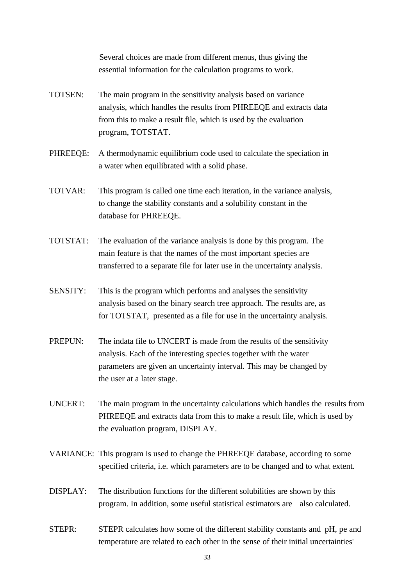Several choices are made from different menus, thus giving the essential information for the calculation programs to work.

- TOTSEN: The main program in the sensitivity analysis based on variance analysis, which handles the results from PHREEQE and extracts data from this to make a result file, which is used by the evaluation program, TOTSTAT.
- PHREEQE: A thermodynamic equilibrium code used to calculate the speciation in a water when equilibrated with a solid phase.
- TOTVAR: This program is called one time each iteration, in the variance analysis, to change the stability constants and a solubility constant in the database for PHREEQE.
- TOTSTAT: The evaluation of the variance analysis is done by this program. The main feature is that the names of the most important species are transferred to a separate file for later use in the uncertainty analysis.
- SENSITY: This is the program which performs and analyses the sensitivity analysis based on the binary search tree approach. The results are, as for TOTSTAT, presented as a file for use in the uncertainty analysis.
- PREPUN: The indata file to UNCERT is made from the results of the sensitivity analysis. Each of the interesting species together with the water parameters are given an uncertainty interval. This may be changed by the user at a later stage.
- UNCERT: The main program in the uncertainty calculations which handles the results from PHREEQE and extracts data from this to make a result file, which is used by the evaluation program, DISPLAY.
- VARIANCE: This program is used to change the PHREEQE database, according to some specified criteria, i.e. which parameters are to be changed and to what extent.
- DISPLAY: The distribution functions for the different solubilities are shown by this program. In addition, some useful statistical estimators are also calculated.
- STEPR: STEPR calculates how some of the different stability constants and pH, pe and temperature are related to each other in the sense of their initial uncertainties'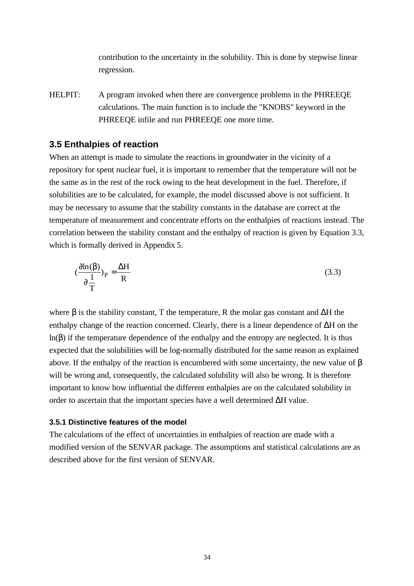contribution to the uncertainty in the solubility. This is done by stepwise linear regression.

HELPIT: A program invoked when there are convergence problems in the PHREEQE calculations. The main function is to include the "KNOBS" keyword in the PHREEQE infile and run PHREEQE one more time.

## **3.5 Enthalpies of reaction**

When an attempt is made to simulate the reactions in groundwater in the vicinity of a repository for spent nuclear fuel, it is important to remember that the temperature will not be the same as in the rest of the rock owing to the heat development in the fuel. Therefore, if solubilities are to be calculated, for example, the model discussed above is not sufficient. It may be necessary to assume that the stability constants in the database are correct at the temperature of measurement and concentrate efforts on the enthalpies of reactions instead. The correlation between the stability constant and the enthalpy of reaction is given by Equation 3.3, which is formally derived in Appendix 5.

$$
(\frac{\sqrt{\pi n(b)}}{\sqrt{\pi}})_P = \frac{\Delta H}{R}
$$
 (3.3)

where  $\beta$  is the stability constant, T the temperature, R the molar gas constant and  $\Delta H$  the enthalpy change of the reaction concerned. Clearly, there is a linear dependence of ΔH on the ln(β) if the temperature dependence of the enthalpy and the entropy are neglected. It is thus expected that the solubilities will be log-normally distributed for the same reason as explained above. If the enthalpy of the reaction is encumbered with some uncertainty, the new value of β will be wrong and, consequently, the calculated solubility will also be wrong. It is therefore important to know how influential the different enthalpies are on the calculated solubility in order to ascertain that the important species have a well determined  $\Delta H$  value.

#### **3.5.1 Distinctive features of the model**

The calculations of the effect of uncertainties in enthalpies of reaction are made with a modified version of the SENVAR package. The assumptions and statistical calculations are as described above for the first version of SENVAR.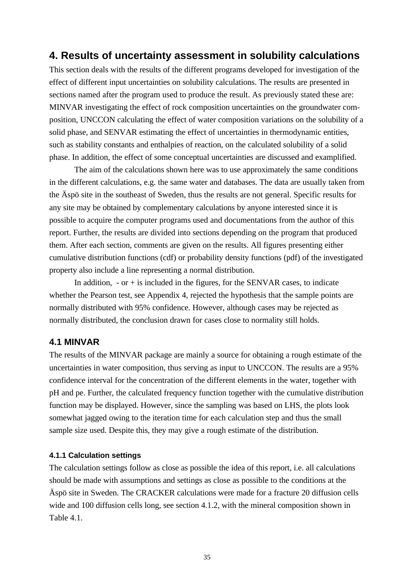## **4. Results of uncertainty assessment in solubility calculations**

This section deals with the results of the different programs developed for investigation of the effect of different input uncertainties on solubility calculations. The results are presented in sections named after the program used to produce the result. As previously stated these are: MINVAR investigating the effect of rock composition uncertainties on the groundwater composition, UNCCON calculating the effect of water composition variations on the solubility of a solid phase, and SENVAR estimating the effect of uncertainties in thermodynamic entities, such as stability constants and enthalpies of reaction, on the calculated solubility of a solid phase. In addition, the effect of some conceptual uncertainties are discussed and examplified.

The aim of the calculations shown here was to use approximately the same conditions in the different calculations, e.g. the same water and databases. The data are usually taken from the Äspö site in the southeast of Sweden, thus the results are not general. Specific results for any site may be obtained by complementary calculations by anyone interested since it is possible to acquire the computer programs used and documentations from the author of this report. Further, the results are divided into sections depending on the program that produced them. After each section, comments are given on the results. All figures presenting either cumulative distribution functions (cdf) or probability density functions (pdf) of the investigated property also include a line representing a normal distribution.

In addition,  $-$  or  $+$  is included in the figures, for the SENVAR cases, to indicate whether the Pearson test, see Appendix 4, rejected the hypothesis that the sample points are normally distributed with 95% confidence. However, although cases may be rejected as normally distributed, the conclusion drawn for cases close to normality still holds.

## **4.1 MINVAR**

The results of the MINVAR package are mainly a source for obtaining a rough estimate of the uncertainties in water composition, thus serving as input to UNCCON. The results are a 95% confidence interval for the concentration of the different elements in the water, together with pH and pe. Further, the calculated frequency function together with the cumulative distribution function may be displayed. However, since the sampling was based on LHS, the plots look somewhat jagged owing to the iteration time for each calculation step and thus the small sample size used. Despite this, they may give a rough estimate of the distribution.

#### **4.1.1 Calculation settings**

The calculation settings follow as close as possible the idea of this report, i.e. all calculations should be made with assumptions and settings as close as possible to the conditions at the Äspö site in Sweden. The CRACKER calculations were made for a fracture 20 diffusion cells wide and 100 diffusion cells long, see section 4.1.2, with the mineral composition shown in Table 4.1.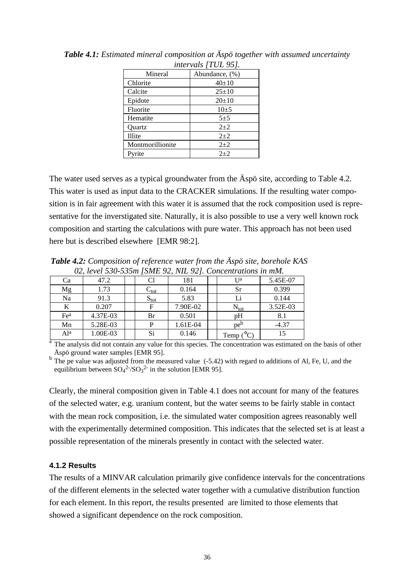| $i$ llet vals $\mu$ OL $\lambda$ . |                |  |  |  |  |
|------------------------------------|----------------|--|--|--|--|
| Mineral                            | Abundance, (%) |  |  |  |  |
| Chlorite                           | $40+10$        |  |  |  |  |
| Calcite                            | $25 \pm 10$    |  |  |  |  |
| Epidote                            | $20 \pm 10$    |  |  |  |  |
| Fluorite                           | $10+5$         |  |  |  |  |
| Hematite                           | $5 + 5$        |  |  |  |  |
| Quartz                             | $2 + 2$        |  |  |  |  |
| Illite                             | $2 + 2$        |  |  |  |  |
| Montmorillionite                   | $2+2$          |  |  |  |  |
| Pyrite                             | $2+2$          |  |  |  |  |

*Table 4.1: Estimated mineral composition at Äspö together with assumed uncertainty intervals [TUL 95].*

The water used serves as a typical groundwater from the Äspö site, according to Table 4.2. This water is used as input data to the CRACKER simulations. If the resulting water composition is in fair agreement with this water it is assumed that the rock composition used is representative for the inverstigated site. Naturally, it is also possible to use a very well known rock composition and starting the calculations with pure water. This approach has not been used here but is described elsewhere [EMR 98:2].

*Table 4.2: Composition of reference water from the Äspö site, borehole KAS 02, level 530-535m [SME 92, NIL 92]. Concentrations in mM.*

| Ca              | 47.2     |  |                     | 181      |  | I Ja                | 5.45E-07 |  |
|-----------------|----------|--|---------------------|----------|--|---------------------|----------|--|
| Mg              | 1.73     |  | $\cup_{\text{tot}}$ | 0.164    |  | <b>Sr</b>           | 0.399    |  |
| Na              | 91.3     |  | $S_{\text{tot}}$    | 5.83     |  |                     | 0.144    |  |
| K               | 0.207    |  | F                   | 7.90E-02 |  | $N_{\text{tot}}$    | 3.52E-03 |  |
| Fe <sup>a</sup> | 4.37E-03 |  | Br                  | 0.501    |  | pH                  | 8.1      |  |
| Mn              | 5.28E-03 |  |                     | 1.61E-04 |  | pe <sup>b</sup>     | $-4.37$  |  |
| Al <sup>a</sup> | 1.00E-03 |  | Si                  | 0.146    |  | $\rm ^{c}C$<br>Temp | 15       |  |

<sup>a</sup> The analysis did not contain any value for this species. The concentration was estimated on the basis of other Äspö ground water samples [EMR 95].

 $b$  The pe value was adjusted from the measured value (-5.42) with regard to additions of Al, Fe, U, and the equilibrium between  $SO_4^2$ <sup>2-</sup>/ $SO_3^2$  in the solution [EMR 95].

Clearly, the mineral composition given in Table 4.1 does not account for many of the features of the selected water, e.g. uranium content, but the water seems to be fairly stable in contact with the mean rock composition, i.e. the simulated water composition agrees reasonably well with the experimentally determined composition. This indicates that the selected set is at least a possible representation of the minerals presently in contact with the selected water.

## **4.1.2 Results**

The results of a MINVAR calculation primarily give confidence intervals for the concentrations of the different elements in the selected water together with a cumulative distribution function for each element. In this report, the results presented are limited to those elements that showed a significant dependence on the rock composition.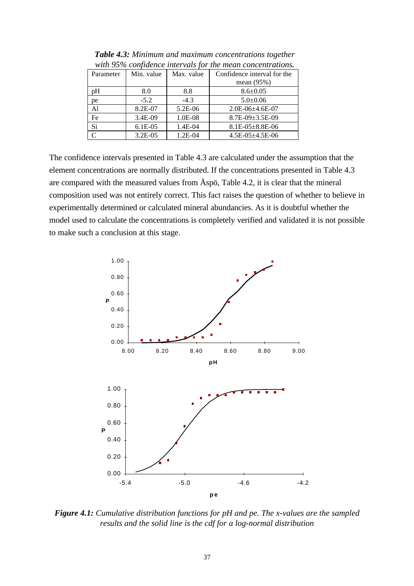| Parameter | Min. value | Max. value | Confidence interval for the |
|-----------|------------|------------|-----------------------------|
|           |            |            | mean $(95%)$                |
| pΗ        | 8.0        | 8.8        | $8.6 \pm 0.05$              |
| pe        | $-5.2$     | $-4.3$     | $5.0 \pm 0.06$              |
| Al        | 8.2E-07    | 5.2E-06    | $2.0E-06+4.6E-07$           |
| Fe        | 3.4E-09    | 1.0E-08    | $8.7E-09+3.5E-09$           |
| Si        | $6.1E-0.5$ | 1.4E-04    | $8.1E-05\pm8.8E-06$         |
|           | 3.2E-05    | $1.2E-04$  | $4.5E - 05 \pm 4.5E - 06$   |

*Table 4.3: Minimum and maximum concentrations together with 95% confidence intervals for the mean concentrations.*

The confidence intervals presented in Table 4.3 are calculated under the assumption that the element concentrations are normally distributed. If the concentrations presented in Table 4.3 are compared with the measured values from Äspö, Table 4.2, it is clear that the mineral composition used was not entirely correct. This fact raises the question of whether to believe in experimentally determined or calculated mineral abundancies. As it is doubtful whether the model used to calculate the concentrations is completely verified and validated it is not possible to make such a conclusion at this stage.



*Figure 4.1: Cumulative distribution functions for pH and pe. The x-values are the sampled results and the solid line is the cdf for a log-normal distribution*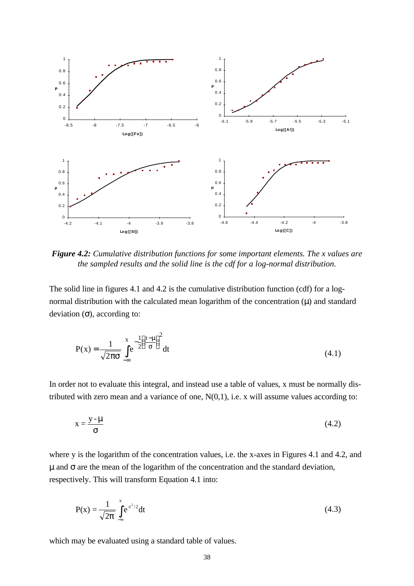

*Figure 4.2: Cumulative distribution functions for some important elements. The x values are the sampled results and the solid line is the cdf for a log-normal distribution.*

The solid line in figures 4.1 and 4.2 is the cumulative distribution function (cdf) for a lognormal distribution with the calculated mean logarithm of the concentration (μ) and standard deviation  $(\sigma)$ , according to:

$$
P(x) = \frac{1}{\sqrt{2\pi\sigma}} \int_{-\infty}^{x} e^{-\frac{1}{2} \left(\frac{t-\mu}{\sigma}\right)^2} dt
$$
 (4.1)

In order not to evaluate this integral, and instead use a table of values, x must be normally distributed with zero mean and a variance of one,  $N(0,1)$ , i.e. x will assume values according to:

$$
x = \frac{y - m}{s}
$$
 (4.2)

where y is the logarithm of the concentration values, i.e. the x-axes in Figures 4.1 and 4.2, and μ and σ are the mean of the logarithm of the concentration and the standard deviation, respectively. This will transform Equation 4.1 into:

$$
P(x) = \frac{1}{\sqrt{2p}} \int_{-\infty}^{x} e^{-t^2/2} dt
$$
 (4.3)

which may be evaluated using a standard table of values.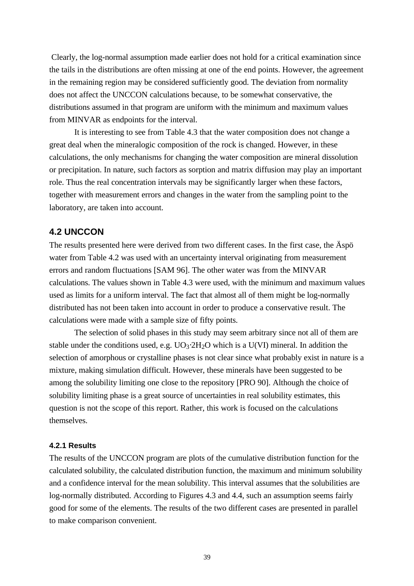Clearly, the log-normal assumption made earlier does not hold for a critical examination since the tails in the distributions are often missing at one of the end points. However, the agreement in the remaining region may be considered sufficiently good. The deviation from normality does not affect the UNCCON calculations because, to be somewhat conservative, the distributions assumed in that program are uniform with the minimum and maximum values from MINVAR as endpoints for the interval.

It is interesting to see from Table 4.3 that the water composition does not change a great deal when the mineralogic composition of the rock is changed. However, in these calculations, the only mechanisms for changing the water composition are mineral dissolution or precipitation. In nature, such factors as sorption and matrix diffusion may play an important role. Thus the real concentration intervals may be significantly larger when these factors, together with measurement errors and changes in the water from the sampling point to the laboratory, are taken into account.

# **4.2 UNCCON**

The results presented here were derived from two different cases. In the first case, the Äspö water from Table 4.2 was used with an uncertainty interval originating from measurement errors and random fluctuations [SAM 96]. The other water was from the MINVAR calculations. The values shown in Table 4.3 were used, with the minimum and maximum values used as limits for a uniform interval. The fact that almost all of them might be log-normally distributed has not been taken into account in order to produce a conservative result. The calculations were made with a sample size of fifty points.

The selection of solid phases in this study may seem arbitrary since not all of them are stable under the conditions used, e.g.  $UO_3·2H_2O$  which is a U(VI) mineral. In addition the selection of amorphous or crystalline phases is not clear since what probably exist in nature is a mixture, making simulation difficult. However, these minerals have been suggested to be among the solubility limiting one close to the repository [PRO 90]. Although the choice of solubility limiting phase is a great source of uncertainties in real solubility estimates, this question is not the scope of this report. Rather, this work is focused on the calculations themselves.

### **4.2.1 Results**

The results of the UNCCON program are plots of the cumulative distribution function for the calculated solubility, the calculated distribution function, the maximum and minimum solubility and a confidence interval for the mean solubility. This interval assumes that the solubilities are log-normally distributed. According to Figures 4.3 and 4.4, such an assumption seems fairly good for some of the elements. The results of the two different cases are presented in parallel to make comparison convenient.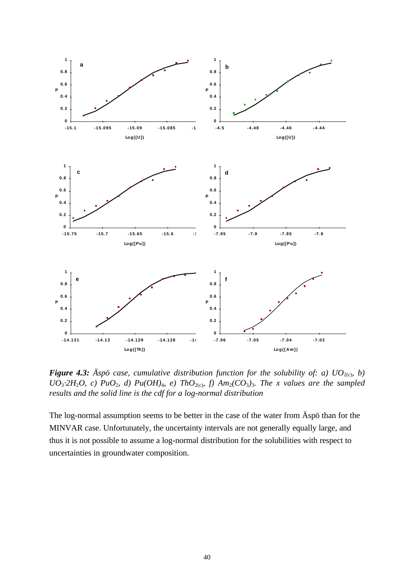

*Figure 4.3:* Aspot case, cumulative distribution function for the solubility of: a)  $UO_{2(c)}$ , b) *UO*<sub>3</sub><sup>2</sup>*H*<sub>2</sub>*O, c) PuO*<sub>2</sub>*, d) Pu*(*OH*)<sub>4</sub>*, e) ThO*<sub>2(c)</sub>*, f) Am*<sub>2</sub>(*CO*<sub>3</sub>)<sub>3</sub>*. The x values are the sampled results and the solid line is the cdf for a log-normal distribution*

The log-normal assumption seems to be better in the case of the water from Äspö than for the MINVAR case. Unfortunately, the uncertainty intervals are not generally equally large, and thus it is not possible to assume a log-normal distribution for the solubilities with respect to uncertainties in groundwater composition.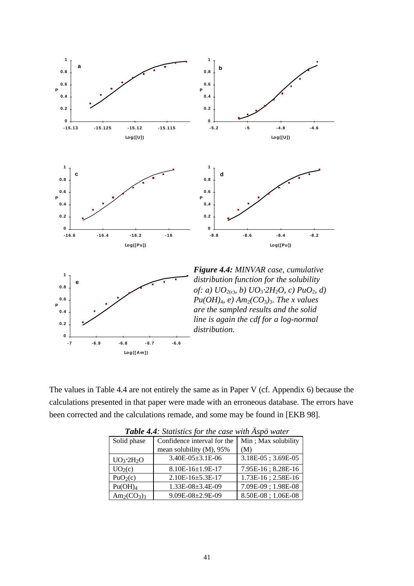

The values in Table 4.4 are not entirely the same as in Paper V (cf. Appendix 6) because the calculations presented in that paper were made with an erroneous database. The errors have been corrected and the calculations remade, and some may be found in [EKB 98].

|                      | <b>There 7.7.</b> BRITING for the case will inpo water |                     |  |  |
|----------------------|--------------------------------------------------------|---------------------|--|--|
| Solid phase          | Confidence interval for the                            | Min; Max solubility |  |  |
|                      | mean solubility (M), 95%                               | (M)                 |  |  |
| $UO_3 \cdot 2H_2O$   | $3.40E-05\pm3.1E-06$                                   | 3.18E-05; 3.69E-05  |  |  |
| UO <sub>2</sub> (c)  | $8.10E-16\pm1.9E-17$                                   | 7.95E-16; 8.28E-16  |  |  |
| PuO <sub>2</sub> (c) | $2.10E-16\pm5.3E-17$                                   | 1.73E-16; 2.58E-16  |  |  |
| Pu(OH) <sub>4</sub>  | $1.33E-08\pm3.4E-09$                                   | 7.09E-09; 1.98E-08  |  |  |
| $Am_2(CO_3)$         | $9.09E - 08 \pm 2.9E - 09$                             | 8.50E-08; 1.06E-08  |  |  |

*Table 4.4: Statistics for the case with Äspö water*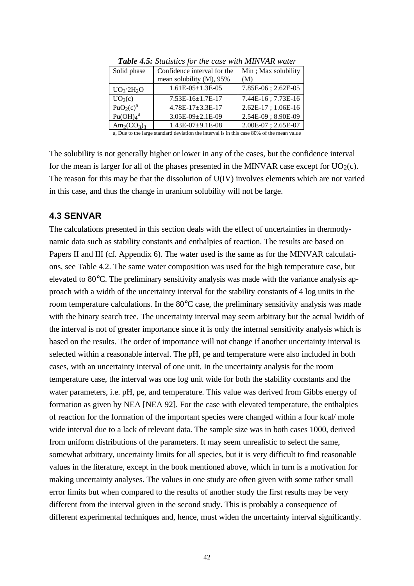| Solid phase                                                                               | Confidence interval for the | Min; Max solubility     |  |
|-------------------------------------------------------------------------------------------|-----------------------------|-------------------------|--|
|                                                                                           | mean solubility (M), 95%    | (M)                     |  |
| $UO_3 \cdot 2H_2O$                                                                        | $1.61E-05\pm1.3E-05$        | 7.85E-06; 2.62E-05      |  |
| UO <sub>2</sub> (c)                                                                       | $7.53E-16\pm1.7E-17$        | 7.44E-16; 7.73E-16      |  |
| PuO <sub>2</sub> (c) <sup>a</sup>                                                         | $4.78E - 17 \pm 3.3E - 17$  | $2.62E-17$ ; $1.06E-16$ |  |
| Pu(OH) <sub>4</sub> <sup>a</sup>                                                          | $3.05E-09\pm2.1E-09$        | 2.54E-09; 8.90E-09      |  |
| $Am_2(CO_3)$                                                                              | 1.43E-07±9.1E-08            | 2.00E-07; 2.65E-07      |  |
| a, Due to the large standard deviation the interval is in this case 80% of the mean value |                             |                         |  |

*Table 4.5: Statistics for the case with MINVAR water*

The solubility is not generally higher or lower in any of the cases, but the confidence interval for the mean is larger for all of the phases presented in the MINVAR case except for  $UO<sub>2</sub>(c)$ . The reason for this may be that the dissolution of U(IV) involves elements which are not varied in this case, and thus the change in uranium solubility will not be large.

# **4.3 SENVAR**

The calculations presented in this section deals with the effect of uncertainties in thermodynamic data such as stability constants and enthalpies of reaction. The results are based on Papers II and III (cf. Appendix 6). The water used is the same as for the MINVAR calculations, see Table 4.2. The same water composition was used for the high temperature case, but elevated to 80°C. The preliminary sensitivity analysis was made with the variance analysis approach with a width of the uncertainty interval for the stability constants of 4 log units in the room temperature calculations. In the 80°C case, the preliminary sensitivity analysis was made with the binary search tree. The uncertainty interval may seem arbitrary but the actual lwidth of the interval is not of greater importance since it is only the internal sensitivity analysis which is based on the results. The order of importance will not change if another uncertainty interval is selected within a reasonable interval. The pH, pe and temperature were also included in both cases, with an uncertainty interval of one unit. In the uncertainty analysis for the room temperature case, the interval was one log unit wide for both the stability constants and the water parameters, i.e. pH, pe, and temperature. This value was derived from Gibbs energy of formation as given by NEA [NEA 92]. For the case with elevated temperature, the enthalpies of reaction for the formation of the important species were changed within a four kcal/ mole wide interval due to a lack of relevant data. The sample size was in both cases 1000, derived from uniform distributions of the parameters. It may seem unrealistic to select the same, somewhat arbitrary, uncertainty limits for all species, but it is very difficult to find reasonable values in the literature, except in the book mentioned above, which in turn is a motivation for making uncertainty analyses. The values in one study are often given with some rather small error limits but when compared to the results of another study the first results may be very different from the interval given in the second study. This is probably a consequence of different experimental techniques and, hence, must widen the uncertainty interval significantly.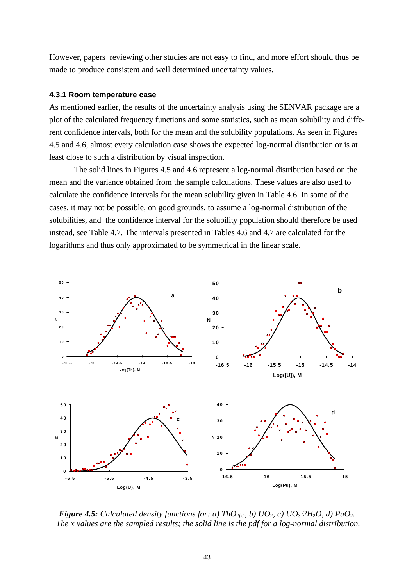However, papers reviewing other studies are not easy to find, and more effort should thus be made to produce consistent and well determined uncertainty values.

### **4.3.1 Room temperature case**

As mentioned earlier, the results of the uncertainty analysis using the SENVAR package are a plot of the calculated frequency functions and some statistics, such as mean solubility and different confidence intervals, both for the mean and the solubility populations. As seen in Figures 4.5 and 4.6, almost every calculation case shows the expected log-normal distribution or is at least close to such a distribution by visual inspection.

The solid lines in Figures 4.5 and 4.6 represent a log-normal distribution based on the mean and the variance obtained from the sample calculations. These values are also used to calculate the confidence intervals for the mean solubility given in Table 4.6. In some of the cases, it may not be possible, on good grounds, to assume a log-normal distribution of the solubilities, and the confidence interval for the solubility population should therefore be used instead, see Table 4.7. The intervals presented in Tables 4.6 and 4.7 are calculated for the logarithms and thus only approximated to be symmetrical in the linear scale.



*<i>Figure 4.5:* Calculated density functions for: a) ThO<sub>2(c)</sub>, b)  $UO_2$ , c)  $UO_3$ <sup>2</sup> $H_2O$ , d)  $PuO_2$ .  *The x values are the sampled results; the solid line is the pdf for a log-normal distribution.*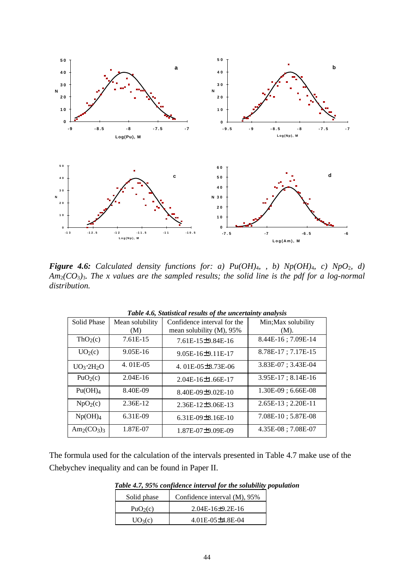

*Figure 4.6: Calculated density functions for: a) Pu(OH)*4*, , b) Np(OH)*4*, c) NpO*2*, d) Am*2*(CO*3*)*3*. The x values are the sampled results; the solid line is the pdf for a log-normal distribution.*

| <b>Solid Phase</b>   | Mean solubility | Confidence interval for the | Min; Max solubility     |
|----------------------|-----------------|-----------------------------|-------------------------|
|                      | (M)             | mean solubility (M), 95%    | (M).                    |
| ThO <sub>2</sub> (c) | 7.61E-15        | 7.61E-15±9.84E-16           | 8.44E-16; 7.09E-14      |
| UO <sub>2</sub> (c)  | $9.05E-16$      | 9.05E-16±9.11E-17           | 8.78E-17; 7.17E-15      |
| $UO_3 \cdot 2H_2O$   | 4.01E-05        | 4.01E-05±8.73E-06           | $3.83E-07$ ; $3.43E-04$ |
| PuO <sub>2</sub> (c) | $2.04E-16$      | 2.04E-16±1.66E-17           | $3.95E-17$ ; $8.14E-16$ |
| Pu(OH) <sub>4</sub>  | 8.40E-09        | 8.40E-09±9.02E-10           | $1.30E-09$ ; 6.66E-08   |
| NpO <sub>2</sub> (c) | 2.36E-12        | $2.36E-12\pm3.06E-13$       | 2.65E-13; 2.20E-11      |
| Np(OH) <sub>4</sub>  | 6.31E-09        | 6.31E-09 $\pm$ 8.16E-10     | 7.08E-10; 5.87E-08      |
| $Am_2(CO_3)$         | 1.87E-07        | 1.87E-07±9.09E-09           | 4.35E-08; 7.08E-07      |

*Table 4.6, Statistical results of the uncertainty analysis*

The formula used for the calculation of the intervals presented in Table 4.7 make use of the Chebychev inequality and can be found in Paper II.

*Table 4.7, 95% confidence interval for the solubility population*

| Solid phase          | Confidence interval (M), 95% |
|----------------------|------------------------------|
| PuO <sub>2</sub> (c) | $2.04E - 16 \pm 9.2E - 16$   |
| $UO_3(c)$            | 4.01E-05±4.8E-04             |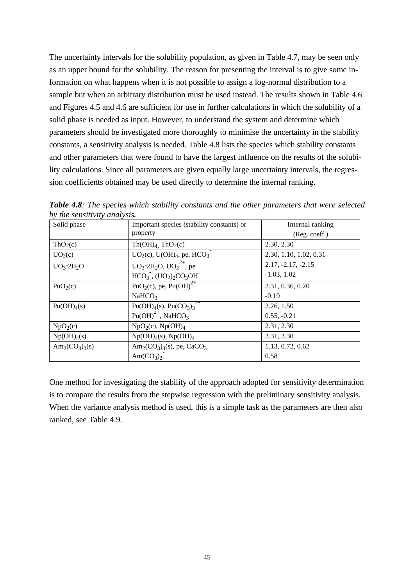The uncertainty intervals for the solubility population, as given in Table 4.7, may be seen only as an upper bound for the solubility. The reason for presenting the interval is to give some information on what happens when it is not possible to assign a log-normal distribution to a sample but when an arbitrary distribution must be used instead. The results shown in Table 4.6 and Figures 4.5 and 4.6 are sufficient for use in further calculations in which the solubility of a solid phase is needed as input. However, to understand the system and determine which parameters should be investigated more thoroughly to minimise the uncertainty in the stability constants, a sensitivity analysis is needed. Table 4.8 lists the species which stability constants and other parameters that were found to have the largest influence on the results of the solubility calculations. Since all parameters are given equally large uncertainty intervals, the regression coefficients obtained may be used directly to determine the internal ranking.

| Solid phase             | Important species (stability constants) or                                  | Internal ranking       |
|-------------------------|-----------------------------------------------------------------------------|------------------------|
|                         | property                                                                    | (Reg. coeff.)          |
| ThO <sub>2</sub> (c)    | $Th(OH)4$ , $ThO2(c)$                                                       | 2.30, 2.30             |
| UO <sub>2</sub> (c)     | $UO2(c)$ , $U(OH)4$ , pe, $HCO3$                                            | 2.30, 1.10, 1.02, 0.31 |
| $UO_3 \cdot 2H_2O$      | $UO_3 \cdot 2H_2O$ , $UO_2^{2+}$ , pe                                       | $2.17, -2.17, -2.15$   |
|                         | $HCO3$ , $(UO2)2CO3OH$                                                      | $-1.03, 1.02$          |
| PuO <sub>2</sub> (c)    | PuO <sub>2</sub> (c), pe, Pu(OH) <sup>2+</sup>                              | 2.31, 0.36, 0.20       |
|                         | NaHCO <sub>3</sub>                                                          | $-0.19$                |
| Pu(OH) <sub>4</sub> (s) | Pu(OH) <sub>4</sub> (s), Pu( $\overline{CO_3}$ ) <sub>3</sub> <sup>Z-</sup> | 2.26, 1.50             |
|                         | $Pu(OH)2+$ , NaHCO <sub>3</sub>                                             | $0.55, -0.21$          |
| NpO <sub>2</sub> (c)    | $NpO2(c)$ , $Np(OH)4$                                                       | 2.31, 2.30             |
| Np(OH) <sub>4</sub> (s) | $Np(OH)4(s)$ , $Np(OH)4$                                                    | 2.31, 2.30             |
| $Am_2(CO_3)_{3}(s)$     | $Am_2(CO_3)_3(s)$ , pe, CaCO <sub>3</sub>                                   | 1.13, 0.72, 0.62       |
|                         | Am $(CO_3)$                                                                 | 0.58                   |

*Table 4.8: The species which stability constants and the other parameters that were selected by the sensitivity analysis.*

One method for investigating the stability of the approach adopted for sensitivity determination is to compare the results from the stepwise regression with the preliminary sensitivity analysis. When the variance analysis method is used, this is a simple task as the parameters are then also ranked, see Table 4.9.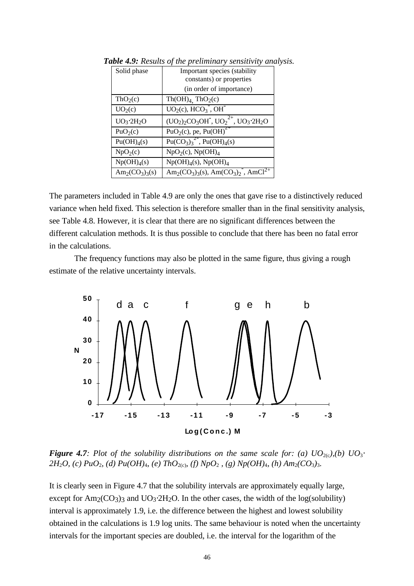| Solid phase             | Important species (stability                                                                                |  |  |
|-------------------------|-------------------------------------------------------------------------------------------------------------|--|--|
|                         | constants) or properties                                                                                    |  |  |
|                         | (in order of importance)                                                                                    |  |  |
| ThO <sub>2</sub> (c)    | $Th(OH)4$ , $ThO2(c)$                                                                                       |  |  |
| UO <sub>2</sub> (c)     | $UO2(c)$ , $HCO3$ , OH                                                                                      |  |  |
| $UO_3 \cdot 2H_2O$      | $(UO_2)_2CO_3OH$ , $UO_2^{2+}$ , $UO_3 \cdot 2H_2O$                                                         |  |  |
| PuO <sub>2</sub> (c)    | PuO <sub>2</sub> (c), pe, Pu(OH) <sup><math>2+</math></sup>                                                 |  |  |
| Pu(OH) <sub>4</sub> (s) | $Pu(CO_3)_3^2$ , $Pu(OH)_4(s)$                                                                              |  |  |
| NpO <sub>2</sub> (c)    | $NpO2(c)$ , $Np(OH)4$                                                                                       |  |  |
| Np(OH) <sub>4</sub> (s) | $Np(OH)4(s)$ , $Np(OH)4$                                                                                    |  |  |
| $Am_2(CO_3)_{3}(s)$     | Am <sub>2</sub> (CO <sub>3</sub> ) <sub>3</sub> (s), Am(CO <sub>3</sub> ) <sub>2</sub> , AmCl <sup>2+</sup> |  |  |

*Table 4.9: Results of the preliminary sensitivity analysis.*

The parameters included in Table 4.9 are only the ones that gave rise to a distinctively reduced variance when held fixed. This selection is therefore smaller than in the final sensitivity analysis, see Table 4.8. However, it is clear that there are no significant differences between the different calculation methods. It is thus possible to conclude that there has been no fatal error in the calculations.

The frequency functions may also be plotted in the same figure, thus giving a rough estimate of the relative uncertainty intervals.



*Figure 4.7: Plot of the solubility distributions on the same scale for: (a)*  $UO_{2(c)}(b) UO_{3}$ *<sup><i>i*</sup> *2H*<sub>2</sub>*O,* (c) PuO<sub>2</sub>*,* (d) Pu(OH)<sub>4</sub>*,* (e) ThO<sub>2(c)</sub>*,* (f) NpO<sub>2</sub>*,* (g) Np(OH)<sub>4</sub>*,* (h) Am<sub>2</sub>(CO<sub>3</sub>)<sub>3</sub>*.* 

It is clearly seen in Figure 4.7 that the solubility intervals are approximately equally large, except for  $Am_2(CO_3)$ <sub>3</sub> and  $UO_3·2H_2O$ . In the other cases, the width of the log(solubility) interval is approximately 1.9, i.e. the difference between the highest and lowest solubility obtained in the calculations is 1.9 log units. The same behaviour is noted when the uncertainty intervals for the important species are doubled, i.e. the interval for the logarithm of the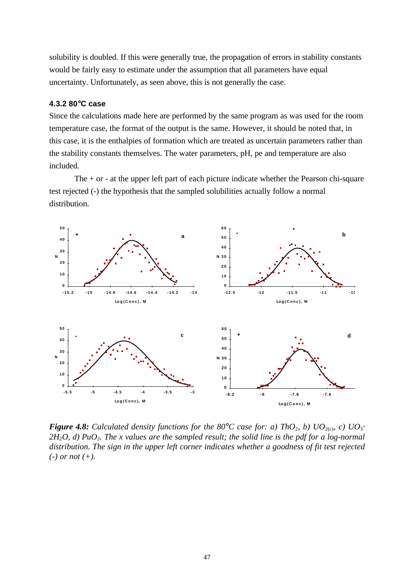solubility is doubled. If this were generally true, the propagation of errors in stability constants would be fairly easy to estimate under the assumption that all parameters have equal uncertainty. Unfortunately, as seen above, this is not generally the case.

# **4.3.2 80**°**C case**

Since the calculations made here are performed by the same program as was used for the room temperature case, the format of the output is the same. However, it should be noted that, in this case, it is the enthalpies of formation which are treated as uncertain parameters rather than the stability constants themselves. The water parameters, pH, pe and temperature are also included.

The  $+$  or  $-$  at the upper left part of each picture indicate whether the Pearson chi-square test rejected (-) the hypothesis that the sampled solubilities actually follow a normal distribution.



*<i>Figure 4.8:* Calculated density functions for the 80<sup>°</sup>C case for: a) ThO<sub>2</sub>, b)  $UO_{2(c)}$ , c)  $UO_{3}$ <sup>*z*</sup> *2H*2*O, d) PuO*2*. The x values are the sampled result; the solid line is the pdf for a log-normal distribution. The sign in the upper left corner indicates whether a goodness of fit test rejected (-) or not (+).*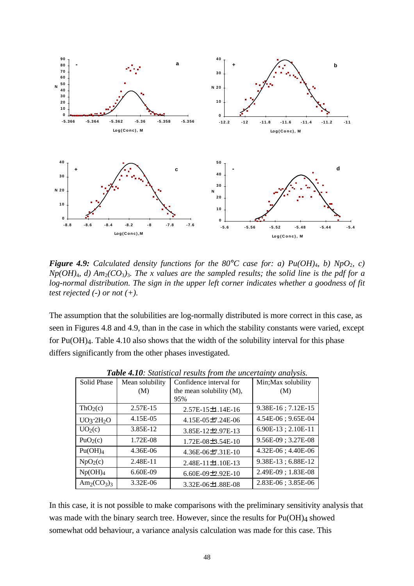

*Figure 4.9: Calculated density functions for the 80<sup>°</sup><i>C case for: a) Pu(OH)<sub>4</sub>, b) NpO*<sub>2</sub>*, c)*  $Np(OH)_4$ , *d*)  $Am_2(CO_3)_3$ . The x values are the sampled results; the solid line is the pdf for a *log-normal distribution. The sign in the upper left corner indicates whether a goodness of fit test rejected (-) or not (+).*

The assumption that the solubilities are log-normally distributed is more correct in this case, as seen in Figures 4.8 and 4.9, than in the case in which the stability constants were varied, except for Pu(OH)4. Table 4.10 also shows that the width of the solubility interval for this phase differs significantly from the other phases investigated.

| Solid Phase          | Mean solubility | Confidence interval for  | Min; Max solubility |
|----------------------|-----------------|--------------------------|---------------------|
|                      | (M)             | the mean solubility (M), | (M)                 |
|                      |                 | 95%                      |                     |
| ThO <sub>2</sub> (c) | 2.57E-15        | $2.57E-15\pm1.14E-16$    | 9.38E-16; 7.12E-15  |
| $UO_3 \cdot 2H_2O$   | 4.15E-05        | 4.15E-05±7.24E-06        | 4.54E-06; 9.65E-04  |
| UO <sub>2</sub> (c)  | 3.85E-12        | 3.85E-12±2.97E-13        | 6.90E-13; 2.10E-11  |
| PuO <sub>2</sub> (c) | 1.72E-08        | 1.72E-08±3.54E-10        | 9.56E-09; 3.27E-08  |
| Pu(OH) <sub>4</sub>  | 4.36E-06        | 4.36E-06±7.31E-10        | 4.32E-06; 4.40E-06  |
| NpO <sub>2</sub> (c) | 2.48E-11        | 2.48E-11±1.10E-13        | 9.38E-13; 6.88E-12  |
| Np(OH) <sub>4</sub>  | 6.60E-09        | 6.60E-09±2.92E-10        | 2.49E-09; 1.83E-08  |
| $Am_2(CO_3)$         | 3.32E-06        | 3.32E-06±1.88E-08        | 2.83E-06; 3.85E-06  |

*Table 4.10: Statistical results from the uncertainty analysis.*

In this case, it is not possible to make comparisons with the preliminary sensitivity analysis that was made with the binary search tree. However, since the results for  $Pu(OH)_4$  showed somewhat odd behaviour, a variance analysis calculation was made for this case. This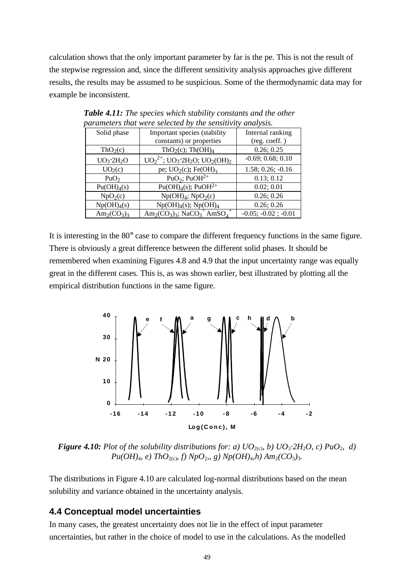calculation shows that the only important parameter by far is the pe. This is not the result of the stepwise regression and, since the different sensitivity analysis approaches give different results, the results may be assumed to be suspicious. Some of the thermodynamic data may for example be inconsistent.

| Solid phase             | Important species (stability                                      | Internal ranking      |
|-------------------------|-------------------------------------------------------------------|-----------------------|
|                         | constants) or properties                                          | (reg. coeff.)         |
| ThO <sub>2</sub> (c)    | ThO <sub>2</sub> (c); Th(OH) <sub>4</sub>                         | 0.26; 0.25            |
| $UO_3 \cdot 2H_2O$      | $UO_2^{2+}$ ; $UO_3 \tcdot 2H_2O$ ; $UO_2(OH)_2$                  | $-0.69; 0.68; 0.10$   |
| UO <sub>2</sub> (c)     | pe; $UO2(c)$ ; Fe(OH) <sub>3</sub>                                | $1.58; 0.26; -0.16$   |
| PuO <sub>2</sub>        | PuO <sub>2</sub> ; PuOH <sup>2+</sup>                             | 0.13; 0.12            |
| Pu(OH) <sub>4</sub> (s) | $Pu(OH)4(s); PuOH2+$                                              | 0.02; 0.01            |
| $NpO_2(c)$              | $Np(OH)_4$ ; $NpO_2(c)$                                           | 0.26; 0.26            |
| Np(OH) <sub>4</sub> (s) | $Np(OH)4(s); Np(OH)4$                                             | 0.26; 0.26            |
| $Am_2(CO_3)$            | $Am_2(CO_3)_3$ ; NaCO <sub>3</sub> AmSO <sub>4</sub> <sup>+</sup> | $-0.05; -0.02; -0.01$ |

*Table 4.11: The species which stability constants and the other parameters that were selected by the sensitivity analysis.*

It is interesting in the 80° case to compare the different frequency functions in the same figure. There is obviously a great difference between the different solid phases. It should be remembered when examining Figures 4.8 and 4.9 that the input uncertainty range was equally great in the different cases. This is, as was shown earlier, best illustrated by plotting all the empirical distribution functions in the same figure.



*<i>Figure 4.10:* Plot of the solubility distributions for: a)  $UO_{2(c)}$ , b)  $UO_{3} \times 2H_{2}O$ , c)  $PuO_{2}$ , d) *Pu*( $OH$ )<sub>4</sub>*, e*) *ThO*<sub>2(c)</sub>*, f*) *NpO*<sub>2</sub>*,, g*) *Np*( $OH$ )<sub>4</sub>*,h*)  $Am_2(CO_3)_{3}$ *.* 

The distributions in Figure 4.10 are calculated log-normal distributions based on the mean solubility and variance obtained in the uncertainty analysis.

# **4.4 Conceptual model uncertainties**

In many cases, the greatest uncertainty does not lie in the effect of input parameter uncertainties, but rather in the choice of model to use in the calculations. As the modelled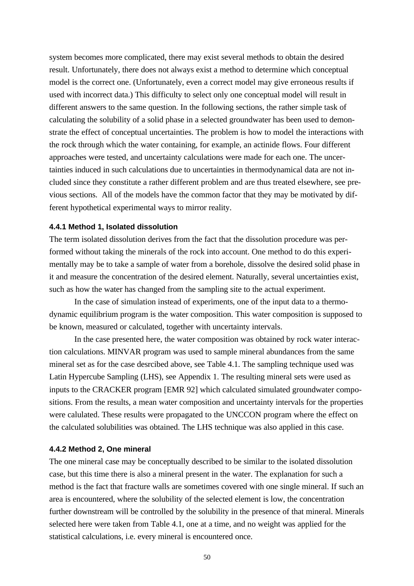system becomes more complicated, there may exist several methods to obtain the desired result. Unfortunately, there does not always exist a method to determine which conceptual model is the correct one. (Unfortunately, even a correct model may give erroneous results if used with incorrect data.) This difficulty to select only one conceptual model will result in different answers to the same question. In the following sections, the rather simple task of calculating the solubility of a solid phase in a selected groundwater has been used to demonstrate the effect of conceptual uncertainties. The problem is how to model the interactions with the rock through which the water containing, for example, an actinide flows. Four different approaches were tested, and uncertainty calculations were made for each one. The uncertainties induced in such calculations due to uncertainties in thermodynamical data are not included since they constitute a rather different problem and are thus treated elsewhere, see previous sections. All of the models have the common factor that they may be motivated by different hypothetical experimental ways to mirror reality.

#### **4.4.1 Method 1, Isolated dissolution**

The term isolated dissolution derives from the fact that the dissolution procedure was performed without taking the minerals of the rock into account. One method to do this experimentally may be to take a sample of water from a borehole, dissolve the desired solid phase in it and measure the concentration of the desired element. Naturally, several uncertainties exist, such as how the water has changed from the sampling site to the actual experiment.

In the case of simulation instead of experiments, one of the input data to a thermodynamic equilibrium program is the water composition. This water composition is supposed to be known, measured or calculated, together with uncertainty intervals.

In the case presented here, the water composition was obtained by rock water interaction calculations. MINVAR program was used to sample mineral abundances from the same mineral set as for the case desrcibed above, see Table 4.1. The sampling technique used was Latin Hypercube Sampling (LHS), see Appendix 1. The resulting mineral sets were used as inputs to the CRACKER program [EMR 92] which calculated simulated groundwater compositions. From the results, a mean water composition and uncertainty intervals for the properties were calulated. These results were propagated to the UNCCON program where the effect on the calculated solubilities was obtained. The LHS technique was also applied in this case.

### **4.4.2 Method 2, One mineral**

The one mineral case may be conceptually described to be similar to the isolated dissolution case, but this time there is also a mineral present in the water. The explanation for such a method is the fact that fracture walls are sometimes covered with one single mineral. If such an area is encountered, where the solubility of the selected element is low, the concentration further downstream will be controlled by the solubility in the presence of that mineral. Minerals selected here were taken from Table 4.1, one at a time, and no weight was applied for the statistical calculations, i.e. every mineral is encountered once.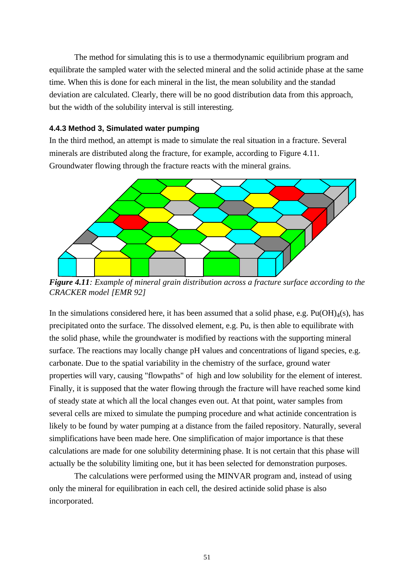The method for simulating this is to use a thermodynamic equilibrium program and equilibrate the sampled water with the selected mineral and the solid actinide phase at the same time. When this is done for each mineral in the list, the mean solubility and the standad deviation are calculated. Clearly, there will be no good distribution data from this approach, but the width of the solubility interval is still interesting.

### **4.4.3 Method 3, Simulated water pumping**

In the third method, an attempt is made to simulate the real situation in a fracture. Several minerals are distributed along the fracture, for example, according to Figure 4.11. Groundwater flowing through the fracture reacts with the mineral grains.



*Figure 4.11: Example of mineral grain distribution across a fracture surface according to the CRACKER model [EMR 92]*

In the simulations considered here, it has been assumed that a solid phase, e.g.  $Pu(OH)<sub>4</sub>(s)$ , has precipitated onto the surface. The dissolved element, e.g. Pu, is then able to equilibrate with the solid phase, while the groundwater is modified by reactions with the supporting mineral surface. The reactions may locally change pH values and concentrations of ligand species, e.g. carbonate. Due to the spatial variability in the chemistry of the surface, ground water properties will vary, causing "flowpaths" of high and low solubility for the element of interest. Finally, it is supposed that the water flowing through the fracture will have reached some kind of steady state at which all the local changes even out. At that point, water samples from several cells are mixed to simulate the pumping procedure and what actinide concentration is likely to be found by water pumping at a distance from the failed repository. Naturally, several simplifications have been made here. One simplification of major importance is that these calculations are made for one solubility determining phase. It is not certain that this phase will actually be the solubility limiting one, but it has been selected for demonstration purposes.

The calculations were performed using the MINVAR program and, instead of using only the mineral for equilibration in each cell, the desired actinide solid phase is also incorporated.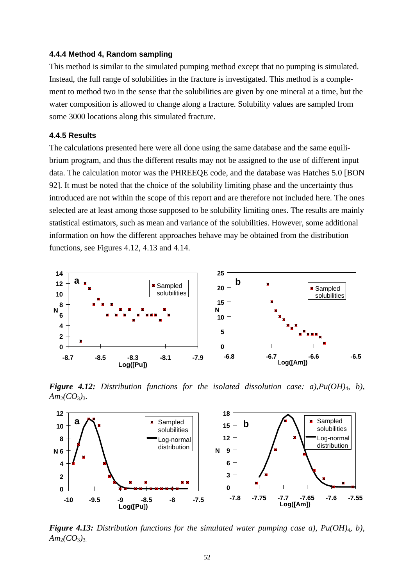### **4.4.4 Method 4, Random sampling**

This method is similar to the simulated pumping method except that no pumping is simulated. Instead, the full range of solubilities in the fracture is investigated. This method is a complement to method two in the sense that the solubilities are given by one mineral at a time, but the water composition is allowed to change along a fracture. Solubility values are sampled from some 3000 locations along this simulated fracture.

# **4.4.5 Results**

The calculations presented here were all done using the same database and the same equilibrium program, and thus the different results may not be assigned to the use of different input data. The calculation motor was the PHREEQE code, and the database was Hatches 5.0 [BON 92]. It must be noted that the choice of the solubility limiting phase and the uncertainty thus introduced are not within the scope of this report and are therefore not included here. The ones selected are at least among those supposed to be solubility limiting ones. The results are mainly statistical estimators, such as mean and variance of the solubilities. However, some additional information on how the different approaches behave may be obtained from the distribution functions, see Figures 4.12, 4.13 and 4.14.



*Figure 4.12: Distribution functions for the isolated dissolution case: a),Pu(OH)*4*, b), Am*2*(CO*3*)*3*.*



*Figure 4.13: Distribution functions for the simulated water pumping case a), Pu(OH)*4*, b),*  $Am_2(CO_3)_{3.}$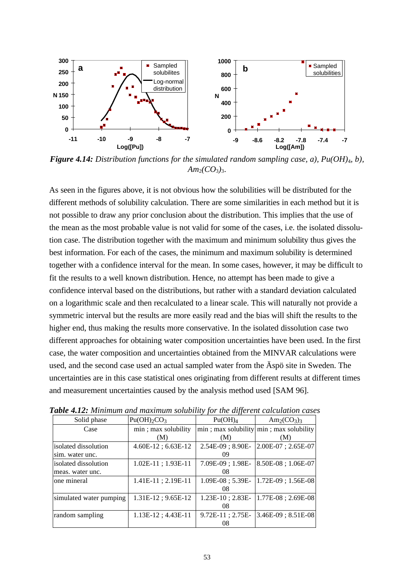

*Figure 4.14: Distribution functions for the simulated random sampling case, a), Pu(OH)*4*, b),*  $Am_2(CO_3)_{3}.$ 

As seen in the figures above, it is not obvious how the solubilities will be distributed for the different methods of solubility calculation. There are some similarities in each method but it is not possible to draw any prior conclusion about the distribution. This implies that the use of the mean as the most probable value is not valid for some of the cases, i.e. the isolated dissolution case. The distribution together with the maximum and minimum solubility thus gives the best information. For each of the cases, the minimum and maximum solubility is determined together with a confidence interval for the mean. In some cases, however, it may be difficult to fit the results to a well known distribution. Hence, no attempt has been made to give a confidence interval based on the distributions, but rather with a standard deviation calculated on a logarithmic scale and then recalculated to a linear scale. This will naturally not provide a symmetric interval but the results are more easily read and the bias will shift the results to the higher end, thus making the results more conservative. In the isolated dissolution case two different approaches for obtaining water composition uncertainties have been used. In the first case, the water composition and uncertainties obtained from the MINVAR calculations were used, and the second case used an actual sampled water from the Äspö site in Sweden. The uncertainties are in this case statistical ones originating from different results at different times and measurement uncertainties caused by the analysis method used [SAM 96].

| Solid phase             | Pu(OH) <sub>2</sub> CO <sub>3</sub> | Pu(OH) <sub>4</sub>   | $Am_2(CO_3)$                                  |
|-------------------------|-------------------------------------|-----------------------|-----------------------------------------------|
| Case                    | min; max solubility                 |                       | $min$ ; max solubility $min$ ; max solubility |
|                         | (M)                                 | (M)                   | (M)                                           |
| isolated dissolution    | $4.60E-12$ ; 6.63E-12               | $2.54E-09$ ; $8.90E-$ | $2.00E-07$ ; $2.65E-07$                       |
| sim. water unc.         |                                     | 09                    |                                               |
| isolated dissolution    | 1.02E-11; 1.93E-11                  | $7.09E-09:1.98E-$     | 8.50E-08; 1.06E-07                            |
| meas. water unc.        |                                     | 08                    |                                               |
| one mineral             | $1.41E-11$ ; $2.19E-11$             | $1.09E-08$ ; 5.39E-   | 1.72E-09; 1.56E-08                            |
|                         |                                     | 08                    |                                               |
| simulated water pumping | $1.31E-12$ ; $9.65E-12$             | $1.23E-10$ ; $2.83E-$ | 1.77E-08; 2.69E-08                            |
|                         |                                     | 08                    |                                               |
| random sampling         | $1.13E-12$ ; $4.43E-11$             | $9.72E-11$ ; $2.75E-$ | $3.46E-09$ ; $8.51E-08$                       |
|                         |                                     | 08                    |                                               |

*Table 4.12: Minimum and maximum solubility for the different calculation cases*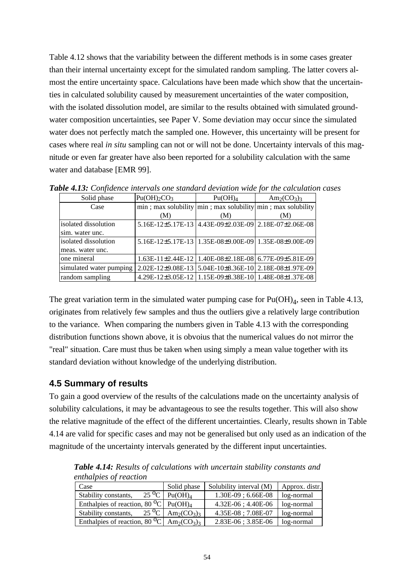Table 4.12 shows that the variability between the different methods is in some cases greater than their internal uncertainty except for the simulated random sampling. The latter covers almost the entire uncertainty space. Calculations have been made which show that the uncertainties in calculated solubility caused by measurement uncertainties of the water composition, with the isolated dissolution model, are similar to the results obtained with simulated groundwater composition uncertainties, see Paper V. Some deviation may occur since the simulated water does not perfectly match the sampled one. However, this uncertainty will be present for cases where real *in situ* sampling can not or will not be done. Uncertainty intervals of this magnitude or even far greater have also been reported for a solubility calculation with the same water and database [EMR 99].

| Solid phase             | Pu(OH) <sub>2</sub> CO <sub>3</sub> | Pu(OH) <sub>4</sub>                                                  | $Am_2(CO_3)$ |
|-------------------------|-------------------------------------|----------------------------------------------------------------------|--------------|
| Case                    |                                     | $min$ ; max solubility $min$ ; max solubility $min$ ; max solubility |              |
|                         | (M)                                 | (M)                                                                  | (M)          |
| isolated dissolution    |                                     | 5.16E-12±5.17E-13 4.43E-09±2.03E-09 2.18E-07±2.06E-08                |              |
| sim. water unc.         |                                     |                                                                      |              |
| lisolated dissolution   |                                     | 5.16E-12±5.17E-13   1.35E-08±9.00E-09   1.35E-08±9.00E-09            |              |
| meas. water unc.        |                                     |                                                                      |              |
| one mineral             |                                     | 1.63E-11±2.44E-12   1.40E-08±2.18E-08   6.77E-09±5.81E-09            |              |
| simulated water pumping |                                     | 2.02E-12±9.08E-13 5.04E-10±8.36E-10 2.18E-08±1.97E-09                |              |
| random sampling         |                                     | 4.29E-12±3.05E-12 1.15E-09±8.38E-10 1.48E-08±1.37E-08                |              |

*Table 4.13: Confidence intervals one standard deviation wide for the calculation cases*

The great variation term in the simulated water pumping case for  $Pu(OH)_4$ , seen in Table 4.13, originates from relatively few samples and thus the outliers give a relatively large contribution to the variance. When comparing the numbers given in Table 4.13 with the corresponding distribution functions shown above, it is obvoius that the numerical values do not mirror the "real" situation. Care must thus be taken when using simply a mean value together with its standard deviation without knowledge of the underlying distribution.

# **4.5 Summary of results**

To gain a good overview of the results of the calculations made on the uncertainty analysis of solubility calculations, it may be advantageous to see the results together. This will also show the relative magnitude of the effect of the different uncertainties. Clearly, results shown in Table 4.14 are valid for specific cases and may not be generalised but only used as an indication of the magnitude of the uncertainty intervals generated by the different input uncertainties.

*Table 4.14: Results of calculations with uncertain stability constants and enthalpies of reaction*

| Case                                                                                              | Solid phase                                                             | Solubility interval (M) | Approx. distr. |
|---------------------------------------------------------------------------------------------------|-------------------------------------------------------------------------|-------------------------|----------------|
| $25\,^{\circ}C$<br>Stability constants,                                                           | Pu(OH) <sub>A</sub>                                                     | $1.30E-09$ ; 6.66E-08   | log-normal     |
| Enthalpies of reaction, 80 <sup>o</sup> C   Pu( $\overline{\text{OH}_A}$ )                        |                                                                         | $4.32E-06$ ; $4.40E-06$ | log-normal     |
| Stability constants,                                                                              | $25 \,^{\circ}\text{C}$ Am <sub>2</sub> (CO <sub>3</sub> ) <sub>3</sub> | $4.35E-08$ ; $7.08E-07$ | log-normal     |
| Enthalpies of reaction, 80 <sup>O</sup> C $\vert$ Am <sub>2</sub> (CO <sub>3</sub> ) <sub>3</sub> |                                                                         | 2.83E-06; 3.85E-06      | log-normal     |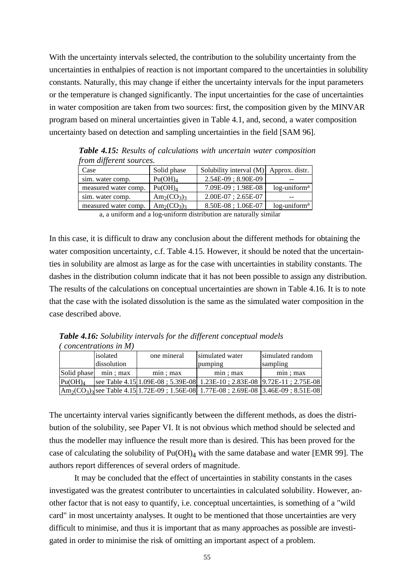With the uncertainty intervals selected, the contribution to the solubility uncertainty from the uncertainties in enthalpies of reaction is not important compared to the uncertainties in solubility constants. Naturally, this may change if either the uncertainty intervals for the input parameters or the temperature is changed significantly. The input uncertainties for the case of uncertainties in water composition are taken from two sources: first, the composition given by the MINVAR program based on mineral uncertainties given in Table 4.1, and, second, a water composition uncertainty based on detection and sampling uncertainties in the field [SAM 96].

| pont agjerent sources. |                     |                                          |                             |  |  |
|------------------------|---------------------|------------------------------------------|-----------------------------|--|--|
| Case                   | Solid phase         | Solubility interval $(M)$ Approx. distr. |                             |  |  |
| sim. water comp.       | Pu(OH) <sub>4</sub> | $2.54E-09$ ; $8.90E-09$                  |                             |  |  |
| measured water comp.   | Pu(OH) <sub>4</sub> | $7.09E-09$ ; $1.98E-08$                  | $log$ -uniform <sup>a</sup> |  |  |
| sim. water comp.       | $Am_2(CO_3)$        | $2.00E-07: 2.65E-07$                     |                             |  |  |
| measured water comp.   | $Am_2(CO_3)$        | $8.50E-08$ ; 1.06E-07                    | $log$ -uniform <sup>a</sup> |  |  |

*Table 4.15: Results of calculations with uncertain water composition from different sources.*

a, a uniform and a log-uniform distribution are naturally similar

In this case, it is difficult to draw any conclusion about the different methods for obtaining the water composition uncertainty, c.f. Table 4.15. However, it should be noted that the uncertainties in solubility are almost as large as for the case with uncertainties in stability constants. The dashes in the distribution column indicate that it has not been possible to assign any distribution. The results of the calculations on conceptual uncertainties are shown in Table 4.16. It is to note that the case with the isolated dissolution is the same as the simulated water composition in the case described above.

*Table 4.16: Solubility intervals for the different conceptual models ( concentrations in M)*

|                     | isolated    | one mineral | simulated water                                                                                           | simulated random |
|---------------------|-------------|-------------|-----------------------------------------------------------------------------------------------------------|------------------|
|                     | dissolution |             | pumping                                                                                                   | sampling         |
| Solid phase         | min; max    | min: max    | min: max                                                                                                  | min: max         |
| Pu(OH) <sub>4</sub> |             |             | see Table 4.15 1.09E-08 ; 5.39E-08 1.23E-10 ; 2.83E-08 9.72E-11 ; 2.75E-08                                |                  |
|                     |             |             | $\text{Am}_{2}(\text{CO}_{3})$ see Table 4.15 1.72E-09 ; 1.56E-08 1.77E-08 ; 2.69E-08 3.46E-09 ; 8.51E-08 |                  |

The uncertainty interval varies significantly between the different methods, as does the distribution of the solubility, see Paper VI. It is not obvious which method should be selected and thus the modeller may influence the result more than is desired. This has been proved for the case of calculating the solubility of  $Pu(OH)<sub>4</sub>$  with the same database and water [EMR 99]. The authors report differences of several orders of magnitude.

It may be concluded that the effect of uncertainties in stability constants in the cases investigated was the greatest contributer to uncertainties in calculated solubility. However, another factor that is not easy to quantify, i.e. conceptual uncertainties, is something of a "wild card" in most uncertainty analyses. It ought to be mentioned that those uncertainties are very difficult to minimise, and thus it is important that as many approaches as possible are investigated in order to minimise the risk of omitting an important aspect of a problem.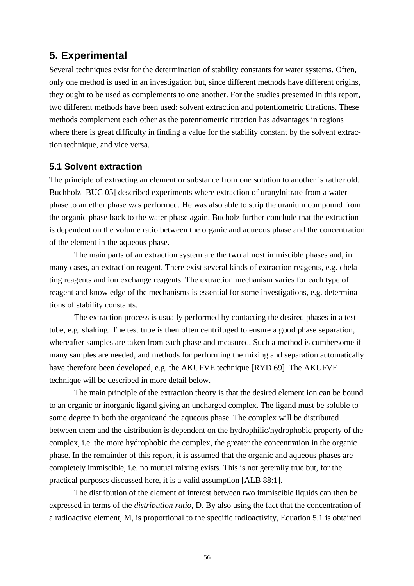# **5. Experimental**

Several techniques exist for the determination of stability constants for water systems. Often, only one method is used in an investigation but, since different methods have different origins, they ought to be used as complements to one another. For the studies presented in this report, two different methods have been used: solvent extraction and potentiometric titrations. These methods complement each other as the potentiometric titration has advantages in regions where there is great difficulty in finding a value for the stability constant by the solvent extraction technique, and vice versa.

# **5.1 Solvent extraction**

The principle of extracting an element or substance from one solution to another is rather old. Buchholz [BUC 05] described experiments where extraction of uranylnitrate from a water phase to an ether phase was performed. He was also able to strip the uranium compound from the organic phase back to the water phase again. Bucholz further conclude that the extraction is dependent on the volume ratio between the organic and aqueous phase and the concentration of the element in the aqueous phase.

The main parts of an extraction system are the two almost immiscible phases and, in many cases, an extraction reagent. There exist several kinds of extraction reagents, e.g. chelating reagents and ion exchange reagents. The extraction mechanism varies for each type of reagent and knowledge of the mechanisms is essential for some investigations, e.g. determinations of stability constants.

The extraction process is usually performed by contacting the desired phases in a test tube, e.g. shaking. The test tube is then often centrifuged to ensure a good phase separation, whereafter samples are taken from each phase and measured. Such a method is cumbersome if many samples are needed, and methods for performing the mixing and separation automatically have therefore been developed, e.g. the AKUFVE technique [RYD 69]. The AKUFVE technique will be described in more detail below.

The main principle of the extraction theory is that the desired element ion can be bound to an organic or inorganic ligand giving an uncharged complex. The ligand must be soluble to some degree in both the organicand the aqueous phase. The complex will be distributed between them and the distribution is dependent on the hydrophilic/hydrophobic property of the complex, i.e. the more hydrophobic the complex, the greater the concentration in the organic phase. In the remainder of this report, it is assumed that the organic and aqueous phases are completely immiscible, i.e. no mutual mixing exists. This is not gererally true but, for the practical purposes discussed here, it is a valid assumption [ALB 88:1].

The distribution of the element of interest between two immiscible liquids can then be expressed in terms of the *distribution ratio*, D. By also using the fact that the concentration of a radioactive element, M, is proportional to the specific radioactivity, Equation 5.1 is obtained.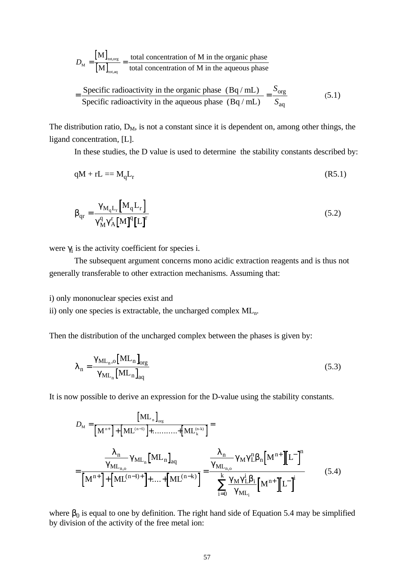$$
D_{\rm M} = \frac{[{\rm M}]_{\rm tot,org}}{[{\rm M}]_{\rm tot,eq}} = \frac{\text{total concentration of M in the organic phase}}{\text{total concentration of M in the aqueous phase}}
$$

$$
= \frac{\text{Specific radioactivity in the organic phase (Bq/mL)}}{\text{Specific radioactivity in the aqueous phase (Bq/mL)}} = \frac{S_{\rm org}}{S_{\rm ag}}
$$
(5.1)

The distribution ratio,  $D_M$ , is not a constant since it is dependent on, among other things, the ligand concentration, [L].

In these studies, the D value is used to determine the stability constants described by:

$$
qM + rL = M_qL_r \tag{R5.1}
$$

$$
\boldsymbol{b}_{\mathrm{qr}} = \frac{\boldsymbol{g}_{\mathrm{M}_{q}\mathrm{L}_{r}}\left[M_{q}\mathrm{L}_{r}\right]}{\boldsymbol{g}_{\mathrm{M}}^{q}\boldsymbol{g}_{\mathrm{A}}^{r}\left[M\right]^{q}\left[L\right]^{r}}
$$
(5.2)

were  $\gamma_i$  is the activity coefficient for species i.

The subsequent argument concerns mono acidic extraction reagents and is thus not generally transferable to other extraction mechanisms. Assuming that:

i) only mononuclear species exist and

ii) only one species is extractable, the uncharged complex MLn.

Then the distribution of the uncharged complex between the phases is given by:

$$
I_{\rm n} = \frac{\mathbf{g}_{\rm ML_{n},o} \left[ \mathrm{ML_{n}} \right]_{\rm org}}{\mathbf{g}_{\rm ML_{n}} \left[ \mathrm{ML_{n}} \right]_{\rm aq}} \tag{5.3}
$$

It is now possible to derive an expression for the D-value using the stability constants.

$$
D_{\rm M} = \frac{\left[\rm{ML}_{n}\right]_{\rm org}}{\left[\rm{M}^{n+}\right] + \left[\rm{ML}^{(n-1)}\right] + \dots + \left[\rm{ML}^{(n-k)}_{k}\right]} =
$$
\n
$$
= \frac{\frac{I_{n}}{g_{\rm ML}_{n,0}} g_{\rm ML_{n}} \left[\rm{ML}_{n}\right]_{\rm{aq}}}{\left[\rm{M}^{n+}\right] + \left[\rm{ML}^{(n-1)+}\right] + \dots + \left[\rm{ML}^{(n-k)}\right]} = \frac{\frac{I_{n}}{g_{\rm ML}_{n,0}} g_{\rm M} g_{\rm L}^{n} b_{n} \left[\rm{M}^{n+}\right] \left[\rm{L}^{-}\right]^{n}}{\sum_{i=0}^{k} \frac{g_{\rm M} g_{\rm L}^{i} b_{i}}{g_{\rm ML}_{i}} \left[\rm{M}^{n+}\right] \left[\rm{L}^{-}\right]^{i}} \tag{5.4}
$$

where  $\beta_0$  is equal to one by definition. The right hand side of Equation 5.4 may be simplified by division of the activity of the free metal ion: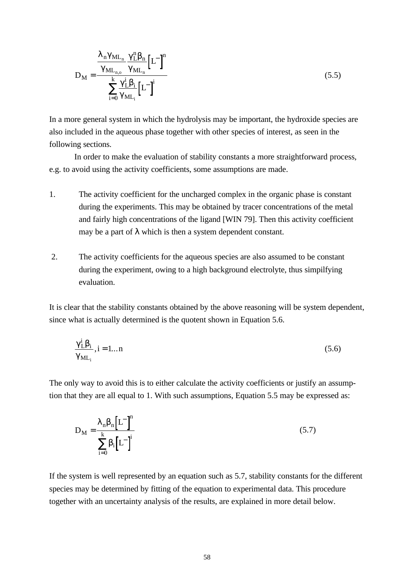$$
D_{M} = \frac{\frac{I_{n}g_{ML_{n}}}{g_{ML_{n,0}}}\frac{g_{L}^{n}b_{n}}{g_{ML_{n}}}\left[L^{-}\right]^{n}}{\sum_{i=0}^{k}\frac{g_{L}^{i}b_{i}}{g_{ML_{i}}}\left[L^{-}\right]^{i}}
$$
(5.5)

In a more general system in which the hydrolysis may be important, the hydroxide species are also included in the aqueous phase together with other species of interest, as seen in the following sections.

In order to make the evaluation of stability constants a more straightforward process, e.g. to avoid using the activity coefficients, some assumptions are made.

- 1. The activity coefficient for the uncharged complex in the organic phase is constant during the experiments. This may be obtained by tracer concentrations of the metal and fairly high concentrations of the ligand [WIN 79]. Then this activity coefficient may be a part of  $\lambda$  which is then a system dependent constant.
- 2. The activity coefficients for the aqueous species are also assumed to be constant during the experiment, owing to a high background electrolyte, thus simpilfying evaluation.

It is clear that the stability constants obtained by the above reasoning will be system dependent, since what is actually determined is the quotent shown in Equation 5.6.

$$
\frac{\mathbf{g}_{\mathrm{L}}^{\mathrm{i}} \mathbf{b}_{\mathrm{i}}}{\mathbf{g}_{\mathrm{ML}_{\mathrm{i}}}}, \mathrm{i} = 1...n \tag{5.6}
$$

The only way to avoid this is to either calculate the activity coefficients or justify an assumption that they are all equal to 1. With such assumptions, Equation 5.5 may be expressed as:

$$
D_{\rm M} = \frac{I_{\rm n} b_{\rm n} \left[L^{-}\right]^{\rm n}}{\sum_{\rm i=0}^{\rm k} b_{\rm i} \left[L^{-}\right]^{\rm i}}
$$
\n(5.7)

If the system is well represented by an equation such as 5.7, stability constants for the different species may be determined by fitting of the equation to experimental data. This procedure together with an uncertainty analysis of the results, are explained in more detail below.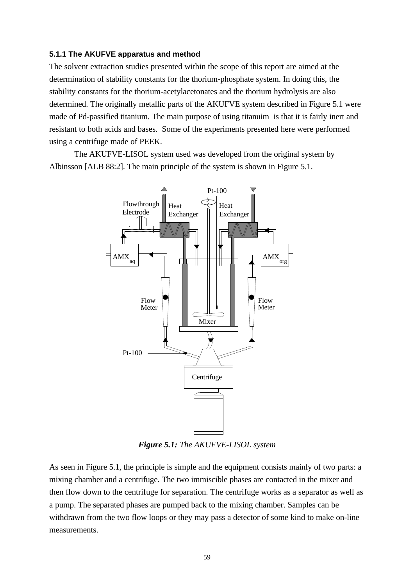### **5.1.1 The AKUFVE apparatus and method**

The solvent extraction studies presented within the scope of this report are aimed at the determination of stability constants for the thorium-phosphate system. In doing this, the stability constants for the thorium-acetylacetonates and the thorium hydrolysis are also determined. The originally metallic parts of the AKUFVE system described in Figure 5.1 were made of Pd-passified titanium. The main purpose of using titanuim is that it is fairly inert and resistant to both acids and bases. Some of the experiments presented here were performed using a centrifuge made of PEEK.

The AKUFVE-LISOL system used was developed from the original system by Albinsson [ALB 88:2]. The main principle of the system is shown in Figure 5.1.



*Figure 5.1: The AKUFVE-LISOL system*

As seen in Figure 5.1, the principle is simple and the equipment consists mainly of two parts: a mixing chamber and a centrifuge. The two immiscible phases are contacted in the mixer and then flow down to the centrifuge for separation. The centrifuge works as a separator as well as a pump. The separated phases are pumped back to the mixing chamber. Samples can be withdrawn from the two flow loops or they may pass a detector of some kind to make on-line measurements.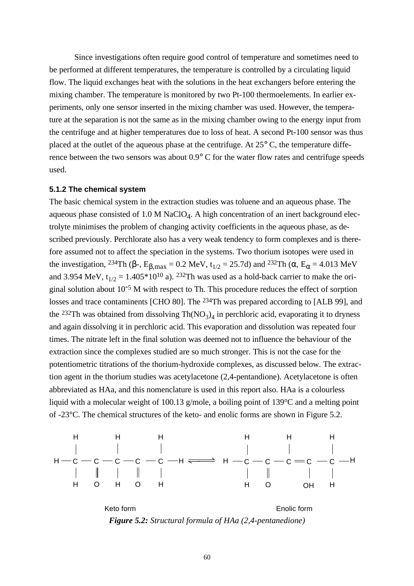Since investigations often require good control of temperature and sometimes need to be performed at different temperatures, the temperature is controlled by a circulating liquid flow. The liquid exchanges heat with the solutions in the heat exchangers before entering the mixing chamber. The temperature is monitored by two Pt-100 thermoelements. In earlier experiments, only one sensor inserted in the mixing chamber was used. However, the temperature at the separation is not the same as in the mixing chamber owing to the energy input from the centrifuge and at higher temperatures due to loss of heat. A second Pt-100 sensor was thus placed at the outlet of the aqueous phase at the centrifuge. At 25° C, the temperature difference between the two sensors was about 0.9° C for the water flow rates and centrifuge speeds used.

# **5.1.2 The chemical system**

The basic chemical system in the extraction studies was toluene and an aqueous phase. The aqueous phase consisted of  $1.0 M NaClO<sub>4</sub>$ . A high concentration of an inert background electrolyte minimises the problem of changing activity coefficients in the aqueous phase, as described previously. Perchlorate also has a very weak tendency to form complexes and is therefore assumed not to affect the speciation in the systems. Two thorium isotopes were used in the investigation, <sup>234</sup>Th (β-,  $E_{\beta, max} = 0.2$  MeV,  $t_{1/2} = 25.7d$ ) and <sup>232</sup>Th ( $\alpha$ ,  $E_{\alpha} = 4.013$  MeV and 3.954 MeV,  $t_{1/2} = 1.405*10^{10}$  a). <sup>232</sup>Th was used as a hold-back carrier to make the original solution about  $10^{-5}$  M with respect to Th. This procedure reduces the effect of sorption losses and trace contaminents [CHO 80]. The 234Th was prepared according to [ALB 99], and the <sup>232</sup>Th was obtained from dissolving  $Th(NO<sub>3</sub>)<sub>4</sub>$  in perchloric acid, evaporating it to dryness and again dissolving it in perchloric acid. This evaporation and dissolution was repeated four times. The nitrate left in the final solution was deemed not to influence the behaviour of the extraction since the complexes studied are so much stronger. This is not the case for the potentiometric titrations of the thorium-hydroxide complexes, as discussed below. The extraction agent in the thorium studies was acetylacetone (2,4-pentandione). Acetylacetone is often abbreviated as HAa, and this nomenclature is used in this report also. HAa is a colourless liquid with a molecular weight of 100.13 g/mole, a boiling point of 139°C and a melting point of -23°C. The chemical structures of the keto- and enolic forms are shown in Figure 5.2.



*Figure 5.2: Structural formula of HAa (2,4-pentanedione)*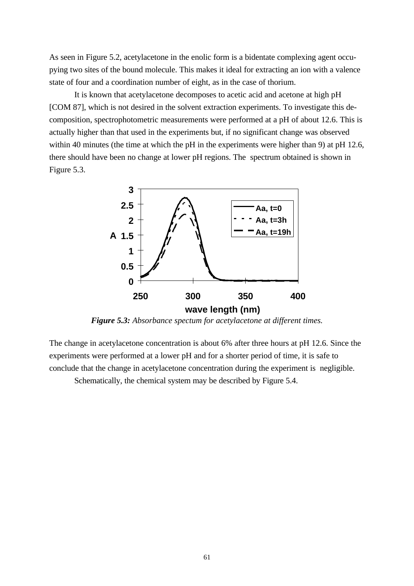As seen in Figure 5.2, acetylacetone in the enolic form is a bidentate complexing agent occupying two sites of the bound molecule. This makes it ideal for extracting an ion with a valence state of four and a coordination number of eight, as in the case of thorium.

It is known that acetylacetone decomposes to acetic acid and acetone at high pH [COM 87], which is not desired in the solvent extraction experiments. To investigate this decomposition, spectrophotometric measurements were performed at a pH of about 12.6. This is actually higher than that used in the experiments but, if no significant change was observed within 40 minutes (the time at which the pH in the experiments were higher than 9) at pH 12.6, there should have been no change at lower pH regions. The spectrum obtained is shown in Figure 5.3.



*Figure 5.3: Absorbance spectum for acetylacetone at different times.*

The change in acetylacetone concentration is about 6% after three hours at pH 12.6. Since the experiments were performed at a lower pH and for a shorter period of time, it is safe to conclude that the change in acetylacetone concentration during the experiment is negligible.

Schematically, the chemical system may be described by Figure 5.4.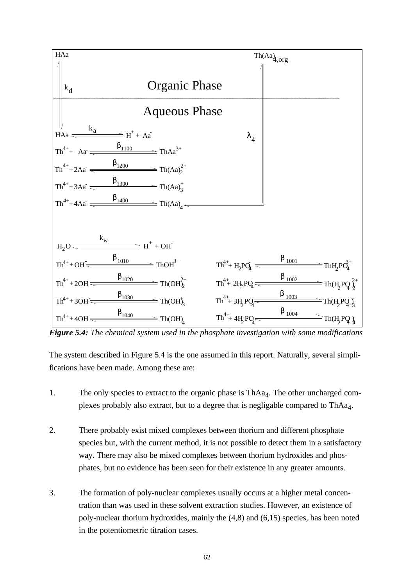

*Figure 5.4: The chemical system used in the phosphate investigation with some modifications*

The system described in Figure 5.4 is the one assumed in this report. Naturally, several simplifications have been made. Among these are:

- 1. The only species to extract to the organic phase is ThAa<sub>4</sub>. The other uncharged complexes probably also extract, but to a degree that is negligable compared to ThAa<sub>4</sub>.
- 2. There probably exist mixed complexes between thorium and different phosphate species but, with the current method, it is not possible to detect them in a satisfactory way. There may also be mixed complexes between thorium hydroxides and phosphates, but no evidence has been seen for their existence in any greater amounts.
- 3. The formation of poly-nuclear complexes usually occurs at a higher metal concentration than was used in these solvent extraction studies. However, an existence of poly-nuclear thorium hydroxides, mainly the (4,8) and (6,15) species, has been noted in the potentiometric titration cases.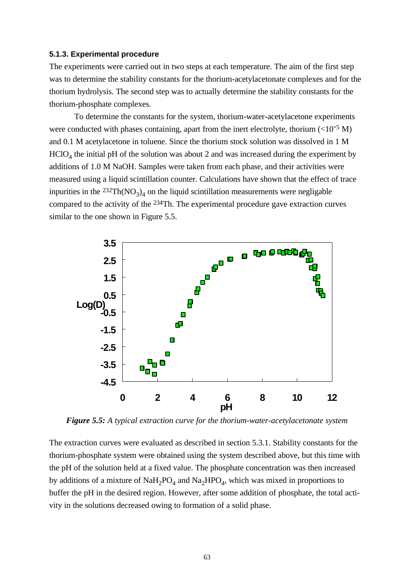### **5.1.3. Experimental procedure**

The experiments were carried out in two steps at each temperature. The aim of the first step was to determine the stability constants for the thorium-acetylacetonate complexes and for the thorium hydrolysis. The second step was to actually determine the stability constants for the thorium-phosphate complexes.

To determine the constants for the system, thorium-water-acetylacetone experiments were conducted with phases containing, apart from the inert electrolyte, thorium  $\left($  <10<sup>-5</sup> M) and 0.1 M acetylacetone in toluene. Since the thorium stock solution was dissolved in 1 M  $HClO<sub>4</sub>$  the initial pH of the solution was about 2 and was increased during the experiment by additions of 1.0 M NaOH. Samples were taken from each phase, and their activities were measured using a liquid scintillation counter. Calculations have shown that the effect of trace inpurities in the  $^{232}Th(NO_3)_4$  on the liquid scintillation measurements were negligable compared to the activity of the 234Th. The experimental procedure gave extraction curves similar to the one shown in Figure 5.5.



*Figure 5.5: A typical extraction curve for the thorium-water-acetylacetonate system*

The extraction curves were evaluated as described in section 5.3.1. Stability constants for the thorium-phosphate system were obtained using the system described above, but this time with the pH of the solution held at a fixed value. The phosphate concentration was then increased by additions of a mixture of  $\text{NaH}_2\text{PO}_4$  and  $\text{Na}_2\text{HPO}_4$ , which was mixed in proportions to buffer the pH in the desired region. However, after some addition of phosphate, the total activity in the solutions decreased owing to formation of a solid phase.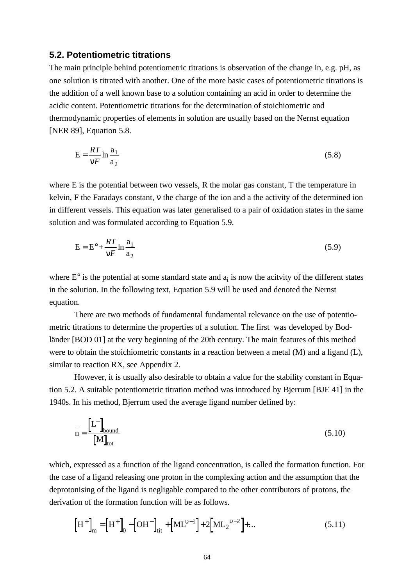# **5.2. Potentiometric titrations**

The main principle behind potentiometric titrations is observation of the change in, e.g. pH, as one solution is titrated with another. One of the more basic cases of potentiometric titrations is the addition of a well known base to a solution containing an acid in order to determine the acidic content. Potentiometric titrations for the determination of stoichiometric and thermodynamic properties of elements in solution are usually based on the Nernst equation [NER 89], Equation 5.8.

$$
E = \frac{RT}{nF} \ln \frac{a_1}{a_2} \tag{5.8}
$$

where E is the potential between two vessels, R the molar gas constant, T the temperature in kelvin, F the Faradays constant, ν the charge of the ion and a the activity of the determined ion in different vessels. This equation was later generalised to a pair of oxidation states in the same solution and was formulated according to Equation 5.9.

$$
E = E^{\circ} + \frac{RT}{nF} \ln \frac{a_1}{a_2}
$$
 (5.9)

where  $E^{\circ}$  is the potential at some standard state and  $a_i$  is now the acityity of the different states in the solution. In the following text, Equation 5.9 will be used and denoted the Nernst equation.

There are two methods of fundamental fundamental relevance on the use of potentiometric titrations to determine the properties of a solution. The first was developed by Bodländer [BOD 01] at the very beginning of the 20th century. The main features of this method were to obtain the stoichiometric constants in a reaction between a metal (M) and a ligand (L), similar to reaction RX, see Appendix 2.

However, it is usually also desirable to obtain a value for the stability constant in Equation 5.2. A suitable potentiometric titration method was introduced by Bjerrum [BJE 41] in the 1940s. In his method, Bjerrum used the average ligand number defined by:

$$
\bar{n} = \frac{\begin{bmatrix} L^{-} \end{bmatrix}_{\text{bound}}}{\begin{bmatrix} M \end{bmatrix}_{\text{tot}}} \tag{5.10}
$$

which, expressed as a function of the ligand concentration, is called the formation function. For the case of a ligand releasing one proton in the complexing action and the assumption that the deprotonising of the ligand is negligable compared to the other contributors of protons, the derivation of the formation function will be as follows.

$$
\left[H^{+}\right]_{m} = \left[H^{+}\right]_{0} - \left[OH^{-}\right]_{\text{tit}} + \left[ML^{u-1}\right] + 2\left[ML_{2}^{u-2}\right] + \dots \tag{5.11}
$$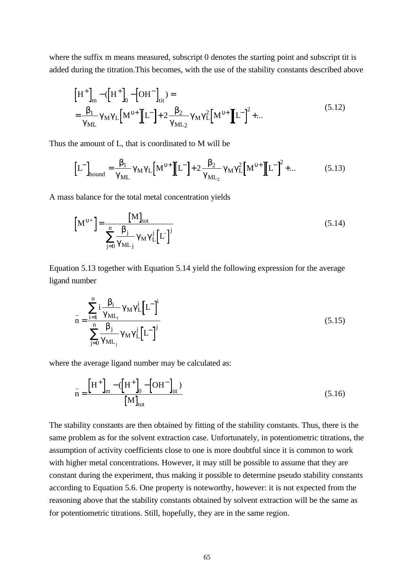where the suffix m means measured, subscript 0 denotes the starting point and subscript tit is added during the titration.This becomes, with the use of the stability constants described above

$$
\left[H^{+}\right]_{m} - (\left[H^{+}\right]_{0} - \left[OH^{-}\right]_{\text{tit}}) =
$$
\n
$$
= \frac{b_{1}}{g_{\text{ML}}} g_{\text{M}} g_{\text{L}} \left[M^{u+} \left[\!\left[I^{-}\right] + 2 \frac{b_{2}}{g_{\text{ML}}}\right] g_{\text{M}} g_{\text{L}}^{2} \left[M^{u+} \left[\!\left[I^{-}\right]^{2} + \dots\right]\right] \right]
$$
\n(5.12)

Thus the amount of L, that is coordinated to M will be

$$
\left[L^{-}\right]_{\text{bound}} = \frac{b_1}{g_{\text{ML}}} g_{\text{M}} g_{\text{L}} \left[M^{u+}\right] \left[L^{-}\right] + 2 \frac{b_2}{g_{\text{ML}_2}} g_{\text{M}} g_{\text{L}}^2 \left[M^{u+}\right] \left[L^{-}\right]^2 + \dots \tag{5.13}
$$

A mass balance for the total metal concentration yields

$$
\left[\mathbf{M}^{u+}\right] = \frac{\left[\mathbf{M}\right]_{\text{tot}}}{\sum_{j=0}^{n} \mathbf{g}_{\text{ML}_j} \mathbf{g}_{\text{M}} \mathbf{g}_{\text{L}}^j \left[L^{-}\right]^j}
$$
(5.14)

Equation 5.13 together with Equation 5.14 yield the following expression for the average ligand number

$$
\bar{n} = \frac{\sum_{i=1}^{n} \frac{b_i}{g_{ML_i}} g_M g_L^i \left[ L^{-} \right]^i}{\sum_{j=0}^{n} \frac{b_j}{g_{ML_j}} g_M g_L^j \left[ L^{-} \right]^j}
$$
(5.15)

where the average ligand number may be calculated as:

$$
\bar{n} = \frac{\left[H^{+}\right]_{m} - \left(H^{+}\right]_{0} - \left[OH^{-}\right]_{\text{tit}}}{\left[M\right]_{\text{tot}}}
$$
\n(5.16)

The stability constants are then obtained by fitting of the stability constants. Thus, there is the same problem as for the solvent extraction case. Unfortunately, in potentiometric titrations, the assumption of activity coefficients close to one is more doubtful since it is common to work with higher metal concentrations. However, it may still be possible to assume that they are constant during the experiment, thus making it possible to determine pseudo stability constants according to Equation 5.6. One property is noteworthy, however: it is not expected from the reasoning above that the stability constants obtained by solvent extraction will be the same as for potentiometric titrations. Still, hopefully, they are in the same region.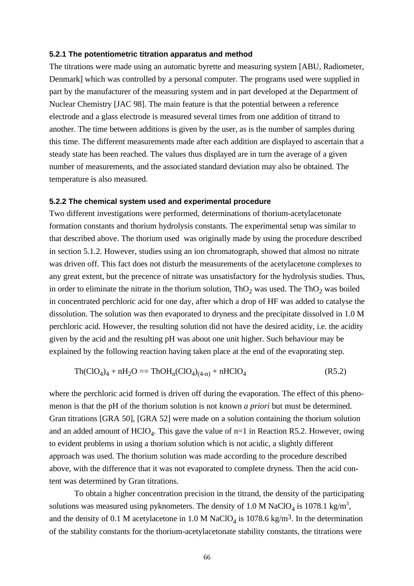#### **5.2.1 The potentiometric titration apparatus and method**

The titrations were made using an automatic byrette and measuring system [ABU, Radiometer, Denmark] which was controlled by a personal computer. The programs used were supplied in part by the manufacturer of the measuring system and in part developed at the Department of Nuclear Chemistry [JAC 98]. The main feature is that the potential between a reference electrode and a glass electrode is measured several times from one addition of titrand to another. The time between additions is given by the user, as is the number of samples during this time. The different measurements made after each addition are displayed to ascertain that a steady state has been reached. The values thus displayed are in turn the average of a given number of measurements, and the associated standard deviation may also be obtained. The temperature is also measured.

### **5.2.2 The chemical system used and experimental procedure**

Two different investigations were performed, determinations of thorium-acetylacetonate formation constants and thorium hydrolysis constants. The experimental setup was similar to that described above. The thorium used was originally made by using the procedure described in section 5.1.2. However, studies using an ion chromatograph, showed that almost no nitrate was driven off. This fact does not disturb the measurements of the acetylacetone complexes to any great extent, but the precence of nitrate was unsatisfactory for the hydrolysis studies. Thus, in order to eliminate the nitrate in the thorium solution,  $ThO_2$  was used. The  $ThO_2$  was boiled in concentrated perchloric acid for one day, after which a drop of HF was added to catalyse the dissolution. The solution was then evaporated to dryness and the precipitate dissolved in 1.0 M perchloric acid. However, the resulting solution did not have the desired acidity, i.e. the acidity given by the acid and the resulting pH was about one unit higher. Such behaviour may be explained by the following reaction having taken place at the end of the evaporating step.

$$
Th(CIO4)4 + nH2O = ThOHn(ClO4)(4-n) + nHClO4
$$
 (R5.2)

where the perchloric acid formed is driven off during the evaporation. The effect of this phenomenon is that the pH of the thorium solution is not known *a priori* but must be determined. Gran titrations [GRA 50], [GRA 52] were made on a solution containing the thorium solution and an added amount of  $HClO<sub>4</sub>$ . This gave the value of  $n=1$  in Reaction R5.2. However, owing to evident problems in using a thorium solution which is not acidic, a slightly different approach was used. The thorium solution was made according to the procedure described above, with the difference that it was not evaporated to complete dryness. Then the acid content was determined by Gran titrations.

To obtain a higher concentration precision in the titrand, the density of the participating solutions was measured using pyknometers. The density of 1.0 M NaClO<sub>4</sub> is 1078.1 kg/m<sup>3</sup>, and the density of 0.1 M acetylacetone in 1.0 M NaClO<sub>4</sub> is 1078.6 kg/m<sup>3</sup>. In the determination of the stability constants for the thorium-acetylacetonate stability constants, the titrations were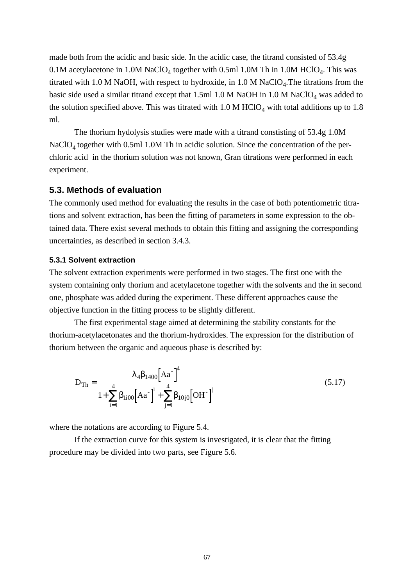made both from the acidic and basic side. In the acidic case, the titrand consisted of 53.4g 0.1M acetylacetone in 1.0M NaClO<sub>4</sub> together with 0.5ml 1.0M Th in 1.0M HClO<sub>4</sub>. This was titrated with 1.0 M NaOH, with respect to hydroxide, in  $1.0$  M NaClO<sub>4</sub>. The titrations from the basic side used a similar titrand except that  $1.5$ ml  $1.0$  M NaOH in  $1.0$  M NaClO<sub>4</sub> was added to the solution specified above. This was titrated with  $1.0 \text{ M } HClO_4$  with total additions up to 1.8 ml.

The thorium hydolysis studies were made with a titrand constisting of 53.4g 1.0M NaClO<sub>4</sub> together with 0.5ml 1.0M Th in acidic solution. Since the concentration of the perchloric acid in the thorium solution was not known, Gran titrations were performed in each experiment.

# **5.3. Methods of evaluation**

The commonly used method for evaluating the results in the case of both potentiometric titrations and solvent extraction, has been the fitting of parameters in some expression to the obtained data. There exist several methods to obtain this fitting and assigning the corresponding uncertainties, as described in section 3.4.3.

### **5.3.1 Solvent extraction**

The solvent extraction experiments were performed in two stages. The first one with the system containing only thorium and acetylacetone together with the solvents and the in second one, phosphate was added during the experiment. These different approaches cause the objective function in the fitting process to be slightly different.

The first experimental stage aimed at determining the stability constants for the thorium-acetylacetonates and the thorium-hydroxides. The expression for the distribution of thorium between the organic and aqueous phase is described by:

$$
D_{Th} = \frac{I_4 b_{1400} [Aa^-]^4}{1 + \sum_{i=1}^4 b_{1i00} [Aa^-]^i + \sum_{j=1}^4 b_{10j0} [OH^-]^j}
$$
(5.17)

where the notations are according to Figure 5.4.

If the extraction curve for this system is investigated, it is clear that the fitting procedure may be divided into two parts, see Figure 5.6.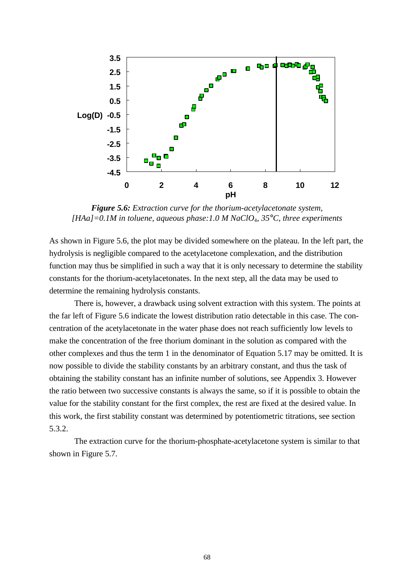

*Figure 5.6: Extraction curve for the thorium-acetylacetonate system, [HAa]=0.1M in toluene, aqueous phase:1.0 M NaClO*4*, 35°C, three experiments*

As shown in Figure 5.6, the plot may be divided somewhere on the plateau. In the left part, the hydrolysis is negligible compared to the acetylacetone complexation, and the distribution function may thus be simplified in such a way that it is only necessary to determine the stability constants for the thorium-acetylacetonates. In the next step, all the data may be used to determine the remaining hydrolysis constants.

There is, however, a drawback using solvent extraction with this system. The points at the far left of Figure 5.6 indicate the lowest distribution ratio detectable in this case. The concentration of the acetylacetonate in the water phase does not reach sufficiently low levels to make the concentration of the free thorium dominant in the solution as compared with the other complexes and thus the term 1 in the denominator of Equation 5.17 may be omitted. It is now possible to divide the stability constants by an arbitrary constant, and thus the task of obtaining the stability constant has an infinite number of solutions, see Appendix 3. However the ratio between two successive constants is always the same, so if it is possible to obtain the value for the stability constant for the first complex, the rest are fixed at the desired value. In this work, the first stability constant was determined by potentiometric titrations, see section 5.3.2.

The extraction curve for the thorium-phosphate-acetylacetone system is similar to that shown in Figure 5.7.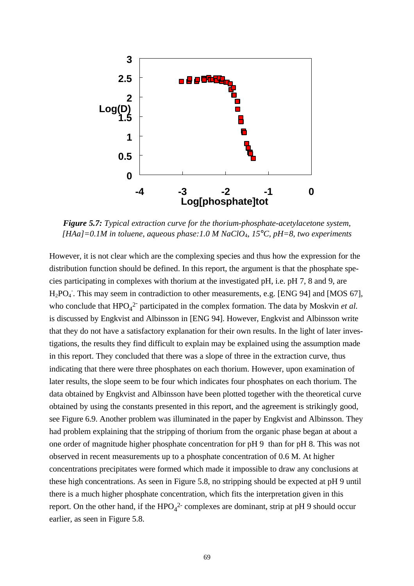

*Figure 5.7: Typical extraction curve for the thorium-phosphate-acetylacetone system, [HAa]=0.1M in toluene, aqueous phase:1.0 M NaClO*4*, 15°C, pH=8, two experiments*

However, it is not clear which are the complexing species and thus how the expression for the distribution function should be defined. In this report, the argument is that the phosphate species participating in complexes with thorium at the investigated pH, i.e. pH 7, 8 and 9, are H<sub>2</sub>PO<sub>4</sub>. This may seem in contradiction to other measurements, e.g. [ENG 94] and [MOS 67], who conclude that  $HPO_4^2$  participated in the complex formation. The data by Moskvin *et al.* is discussed by Engkvist and Albinsson in [ENG 94]. However, Engkvist and Albinsson write that they do not have a satisfactory explanation for their own results. In the light of later investigations, the results they find difficult to explain may be explained using the assumption made in this report. They concluded that there was a slope of three in the extraction curve, thus indicating that there were three phosphates on each thorium. However, upon examination of later results, the slope seem to be four which indicates four phosphates on each thorium. The data obtained by Engkvist and Albinsson have been plotted together with the theoretical curve obtained by using the constants presented in this report, and the agreement is strikingly good, see Figure 6.9. Another problem was illuminated in the paper by Engkvist and Albinsson. They had problem explaining that the stripping of thorium from the organic phase began at about a one order of magnitude higher phosphate concentration for pH 9 than for pH 8. This was not observed in recent measurements up to a phosphate concentration of 0.6 M. At higher concentrations precipitates were formed which made it impossible to draw any conclusions at these high concentrations. As seen in Figure 5.8, no stripping should be expected at pH 9 until there is a much higher phosphate concentration, which fits the interpretation given in this report. On the other hand, if the  $HPO_4^2$  complexes are dominant, strip at pH 9 should occur earlier, as seen in Figure 5.8.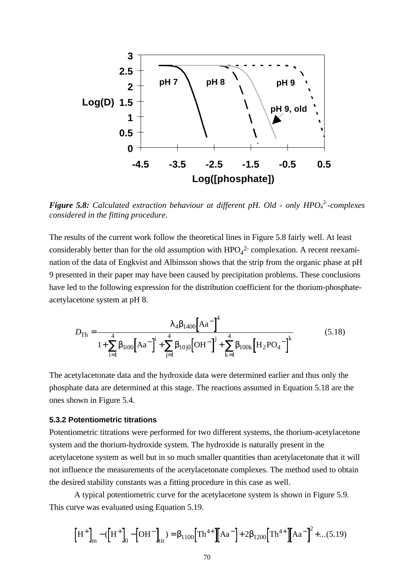

**Figure 5.8:** Calculated extraction behaviour at different pH. Old - only HPO<sub>4</sub><sup>2</sup>-complexes *considered in the fitting procedure.*

The results of the current work follow the theoretical lines in Figure 5.8 fairly well. At least considerably better than for the old assumption with  $HPO<sub>4</sub><sup>2</sup>$  complexation. A recent reexamination of the data of Engkvist and Albinsson shows that the strip from the organic phase at pH 9 presented in their paper may have been caused by precipitation problems. These conclusions have led to the following expression for the distribution coefficient for the thorium-phosphateacetylacetone system at pH 8.

$$
D_{\text{Th}} = \frac{I_4 b_{1400} [\text{Aa}^-]^4}{1 + \sum_{i=1}^4 b_{1i00} [\text{Aa}^-]^i + \sum_{j=1}^4 b_{10j0} [\text{OH}^-]^j + \sum_{k=1}^4 b_{100k} [\text{H}_2 \text{PO}_4^-]^k}
$$
(5.18)

The acetylacetonate data and the hydroxide data were determined earlier and thus only the phosphate data are determined at this stage. The reactions assumed in Equation 5.18 are the ones shown in Figure 5.4.

### **5.3.2 Potentiometric titrations**

Potentiometric titrations were performed for two different systems, the thorium-acetylacetone system and the thorium-hydroxide system. The hydroxide is naturally present in the acetylacetone system as well but in so much smaller quantities than acetylacetonate that it will not influence the measurements of the acetylacetonate complexes. The method used to obtain the desired stability constants was a fitting procedure in this case as well.

A typical potentiometric curve for the acetylacetone system is shown in Figure 5.9. This curve was evaluated using Equation 5.19.

$$
\left[H^{+}\right]_{m} - \left(H^{+}\right]_{0} - \left[OH^{-}\right]_{\text{tit}}) = b_{1100} \left[Th^{4+} \left[Aa^{-}\right] + 2b_{1200} \left[Th^{4+} \left[Aa^{-}\right]^{2} + \dots (5.19)\right]\right]
$$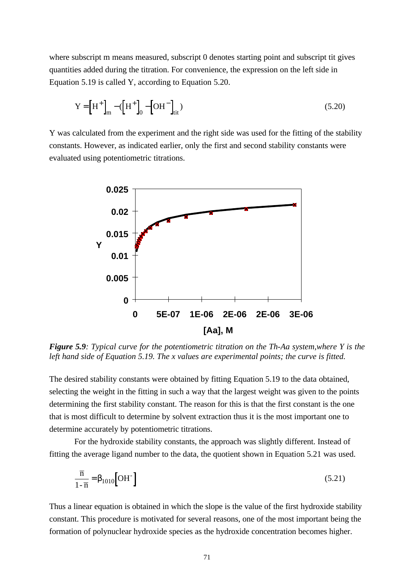where subscript m means measured, subscript 0 denotes starting point and subscript tit gives quantities added during the titration. For convenience, the expression on the left side in Equation 5.19 is called Y, according to Equation 5.20.

$$
Y = \left[H^{+}\right]_{m} - \left(H^{+}\right]_{0} - \left[OH^{-}\right]_{\text{tit}})
$$
\n(5.20)

Y was calculated from the experiment and the right side was used for the fitting of the stability constants. However, as indicated earlier, only the first and second stability constants were evaluated using potentiometric titrations.



*Figure 5.9: Typical curve for the potentiometric titration on the Th-Aa system,where Y is the left hand side of Equation 5.19. The x values are experimental points; the curve is fitted.*

The desired stability constants were obtained by fitting Equation 5.19 to the data obtained, selecting the weight in the fitting in such a way that the largest weight was given to the points determining the first stability constant. The reason for this is that the first constant is the one that is most difficult to determine by solvent extraction thus it is the most important one to determine accurately by potentiometric titrations.

For the hydroxide stability constants, the approach was slightly different. Instead of fitting the average ligand number to the data, the quotient shown in Equation 5.21 was used.

$$
\frac{\overline{n}}{1-\overline{n}} = b_{1010} \left[ \text{OH}^{-} \right] \tag{5.21}
$$

Thus a linear equation is obtained in which the slope is the value of the first hydroxide stability constant. This procedure is motivated for several reasons, one of the most important being the formation of polynuclear hydroxide species as the hydroxide concentration becomes higher.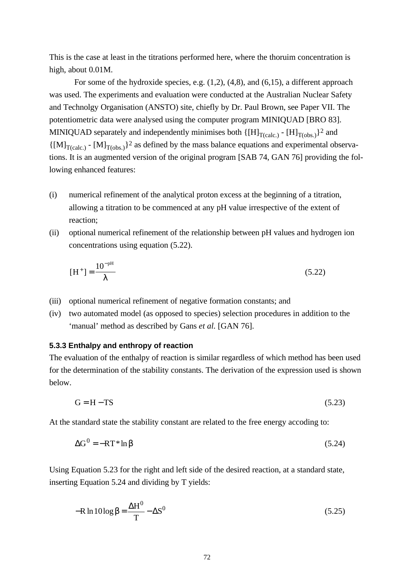This is the case at least in the titrations performed here, where the thoruim concentration is high, about 0.01M.

For some of the hydroxide species, e.g. (1,2), (4,8), and (6,15), a different approach was used. The experiments and evaluation were conducted at the Australian Nuclear Safety and Technolgy Organisation (ANSTO) site, chiefly by Dr. Paul Brown, see Paper VII. The potentiometric data were analysed using the computer program MINIQUAD [BRO 83]. MINIQUAD separately and independently minimises both  $\{[H]_{T(calc.)} - [H]_{T(obs.)}\}^2$  and  $\{[M]_{T(calc.)} - [M]_{T(obs.)}\}^2$  as defined by the mass balance equations and experimental observations. It is an augmented version of the original program [SAB 74, GAN 76] providing the following enhanced features:

- (i) numerical refinement of the analytical proton excess at the beginning of a titration, allowing a titration to be commenced at any pH value irrespective of the extent of reaction;
- (ii) optional numerical refinement of the relationship between pH values and hydrogen ion concentrations using equation (5.22).

$$
[\text{H}^+] = \frac{10^{-\text{pH}}}{I} \tag{5.22}
$$

- (iii) optional numerical refinement of negative formation constants; and
- (iv) two automated model (as opposed to species) selection procedures in addition to the 'manual' method as described by Gans *et al.* [GAN 76].

### **5.3.3 Enthalpy and enthropy of reaction**

The evaluation of the enthalpy of reaction is similar regardless of which method has been used for the determination of the stability constants. The derivation of the expression used is shown below.

$$
G = H - TS \tag{5.23}
$$

At the standard state the stability constant are related to the free energy accoding to:

$$
\Delta G^0 = -RT^* \ln b \tag{5.24}
$$

Using Equation 5.23 for the right and left side of the desired reaction, at a standard state, inserting Equation 5.24 and dividing by T yields:

$$
-R \ln 10 \log \mathbf{b} = \frac{\Delta H^0}{T} - \Delta S^0
$$
\n(5.25)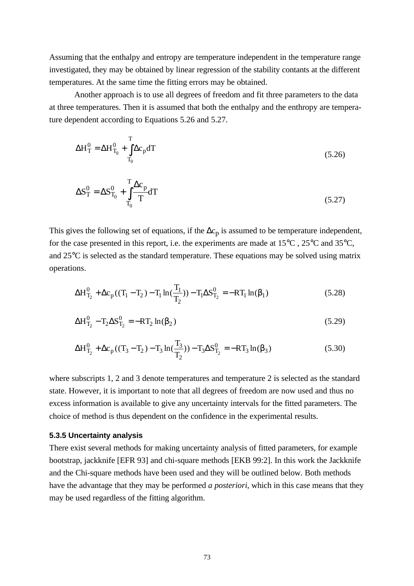Assuming that the enthalpy and entropy are temperature independent in the temperature range investigated, they may be obtained by linear regression of the stability contants at the different temperatures. At the same time the fitting errors may be obtained.

Another approach is to use all degrees of freedom and fit three parameters to the data at three temperatures. Then it is assumed that both the enthalpy and the enthropy are temperature dependent according to Equations 5.26 and 5.27.

$$
\Delta H_T^0 = \Delta H_{T_0}^0 + \int_{T_0}^T \Delta c_p dT
$$
\n(5.26)

$$
\Delta S_T^0 = \Delta S_{T_0}^0 + \int_{T_0}^{T} \frac{\Delta c_p}{T} dT
$$
\n(5.27)

This gives the following set of equations, if the  $\Delta c_p$  is assumed to be temperature independent, for the case presented in this report, i.e. the experiments are made at 15°C , 25°C and 35°C, and  $25^{\circ}$ C is selected as the standard temperature. These equations may be solved using matrix operations.

$$
\Delta H_{T_2}^0 + \Delta c_p ((T_1 - T_2) - T_1 \ln(\frac{T_1}{T_2})) - T_1 \Delta S_{T_2}^0 = -RT_1 \ln(\boldsymbol{b}_1)
$$
 (5.28)

$$
\Delta H_{T_2}^0 - T_2 \Delta S_{T_2}^0 = -RT_2 \ln(\mathbf{b}_2)
$$
\n(5.29)

$$
\Delta H_{T_2}^0 + \Delta c_p ((T_3 - T_2) - T_3 \ln(\frac{T_3}{T_2})) - T_3 \Delta S_{T_2}^0 = -RT_3 \ln(\mathbf{b}_3)
$$
\n(5.30)

where subscripts 1, 2 and 3 denote temperatures and temperature 2 is selected as the standard state. However, it is important to note that all degrees of freedom are now used and thus no excess information is available to give any uncertainty intervals for the fitted parameters. The choice of method is thus dependent on the confidence in the experimental results.

#### **5.3.5 Uncertainty analysis**

There exist several methods for making uncertainty analysis of fitted parameters, for example bootstrap, jackknife [EFR 93] and chi-square methods [EKB 99:2]. In this work the Jackknife and the Chi-square methods have been used and they will be outlined below. Both methods have the advantage that they may be performed *a posteriori*, which in this case means that they may be used regardless of the fitting algorithm.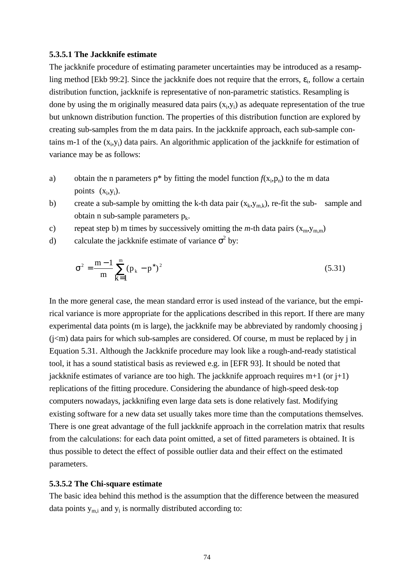#### **5.3.5.1 The Jackknife estimate**

The jackknife procedure of estimating parameter uncertainties may be introduced as a resampling method [Ekb 99:2]. Since the jackknife does not require that the errors,  $\varepsilon_i$ , follow a certain distribution function, jackknife is representative of non-parametric statistics. Resampling is done by using the m originally measured data pairs  $(x_i, y_i)$  as adequate representation of the true but unknown distribution function. The properties of this distribution function are explored by creating sub-samples from the m data pairs. In the jackknife approach, each sub-sample contains m-1 of the  $(x_i, y_i)$  data pairs. An algorithmic application of the jackknife for estimation of variance may be as follows:

- a) obtain the n parameters  $p^*$  by fitting the model function  $f(x_i, p_n)$  to the m data points  $(x_i, y_i)$ .
- b) create a sub-sample by omitting the k-th data pair  $(x_k, y_{m,k})$ , re-fit the sub- sample and obtain n sub-sample parameters  $p_k$ .
- c) repeat step b) m times by successively omitting the *m*-th data pairs  $(x_m, y_{m,m})$
- d) calculate the jackknife estimate of variance  $s^2$  by:

$$
\sigma^2 = \frac{m-1}{m} \sum_{k=1}^{m} (p_k - p^*)^2
$$
 (5.31)

In the more general case, the mean standard error is used instead of the variance, but the empirical variance is more appropriate for the applications described in this report. If there are many experimental data points (m is large), the jackknife may be abbreviated by randomly choosing j  $(j\leq m)$  data pairs for which sub-samples are considered. Of course, m must be replaced by j in Equation 5.31. Although the Jackknife procedure may look like a rough-and-ready statistical tool, it has a sound statistical basis as reviewed e.g. in [EFR 93]. It should be noted that jackknife estimates of variance are too high. The jackknife approach requires  $m+1$  (or  $j+1$ ) replications of the fitting procedure. Considering the abundance of high-speed desk-top computers nowadays, jackknifing even large data sets is done relatively fast. Modifying existing software for a new data set usually takes more time than the computations themselves. There is one great advantage of the full jackknife approach in the correlation matrix that results from the calculations: for each data point omitted, a set of fitted parameters is obtained. It is thus possible to detect the effect of possible outlier data and their effect on the estimated parameters.

#### **5.3.5.2 The Chi-square estimate**

The basic idea behind this method is the assumption that the difference between the measured data points  $y_{m,i}$  and  $y_i$  is normally distributed according to: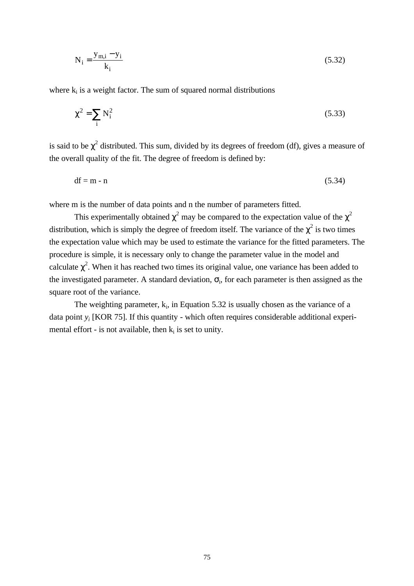$$
N_{i} = \frac{y_{m,i} - y_{i}}{k_{i}}
$$
 (5.32)

where  $k_i$  is a weight factor. The sum of squared normal distributions

$$
c^2 = \sum_{i} N_i^2
$$
 (5.33)

is said to be *c* 2 distributed. This sum, divided by its degrees of freedom (df), gives a measure of the overall quality of the fit. The degree of freedom is defined by:

 $df = m - n$  (5.34)

where m is the number of data points and n the number of parameters fitted.

This experimentally obtained  $c^2$  may be compared to the expectation value of the  $c^2$ distribution, which is simply the degree of freedom itself. The variance of the  $c^2$  is two times the expectation value which may be used to estimate the variance for the fitted parameters. The procedure is simple, it is necessary only to change the parameter value in the model and calculate *c* 2 . When it has reached two times its original value, one variance has been added to the investigated parameter. A standard deviation, *s*<sup>i</sup> , for each parameter is then assigned as the square root of the variance.

The weighting parameter,  $k_i$ , in Equation 5.32 is usually chosen as the variance of a data point *y<sup>i</sup>* [KOR 75]. If this quantity - which often requires considerable additional experimental effort - is not available, then  $k_i$  is set to unity.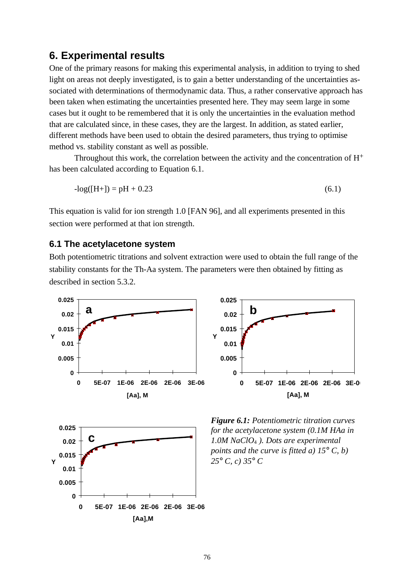# **6. Experimental results**

One of the primary reasons for making this experimental analysis, in addition to trying to shed light on areas not deeply investigated, is to gain a better understanding of the uncertainties associated with determinations of thermodynamic data. Thus, a rather conservative approach has been taken when estimating the uncertainties presented here. They may seem large in some cases but it ought to be remembered that it is only the uncertainties in the evaluation method that are calculated since, in these cases, they are the largest. In addition, as stated earlier, different methods have been used to obtain the desired parameters, thus trying to optimise method vs. stability constant as well as possible.

Throughout this work, the correlation between the activity and the concentration of H+ has been calculated according to Equation 6.1.

$$
-log([H+]) = pH + 0.23
$$
\n(6.1)

This equation is valid for ion strength 1.0 [FAN 96], and all experiments presented in this section were performed at that ion strength.

### **6.1 The acetylacetone system**

Both potentiometric titrations and solvent extraction were used to obtain the full range of the stability constants for the Th-Aa system. The parameters were then obtained by fitting as described in section 5.3.2.





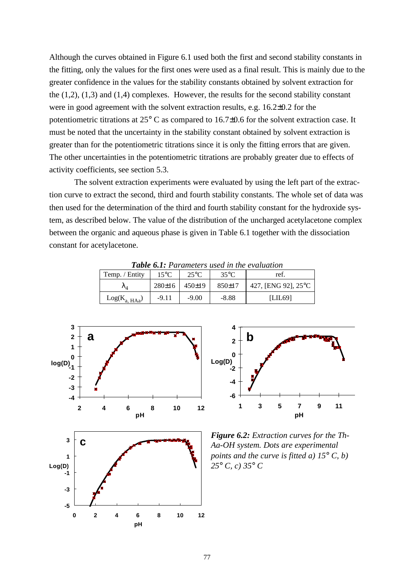Although the curves obtained in Figure 6.1 used both the first and second stability constants in the fitting, only the values for the first ones were used as a final result. This is mainly due to the greater confidence in the values for the stability constants obtained by solvent extraction for the  $(1,2)$ ,  $(1,3)$  and  $(1,4)$  complexes. However, the results for the second stability constant were in good agreement with the solvent extraction results, e.g. 16.2±0.2 for the potentiometric titrations at 25° C as compared to 16.7±0.6 for the solvent extraction case. It must be noted that the uncertainty in the stability constant obtained by solvent extraction is greater than for the potentiometric titrations since it is only the fitting errors that are given. The other uncertainties in the potentiometric titrations are probably greater due to effects of activity coefficients, see section 5.3.

The solvent extraction experiments were evaluated by using the left part of the extraction curve to extract the second, third and fourth stability constants. The whole set of data was then used for the determination of the third and fourth stability constant for the hydroxide system, as described below. The value of the distribution of the uncharged acetylacetone complex between the organic and aqueous phase is given in Table 6.1 together with the dissociation constant for acetylacetone.

|                    |                |                |                | <b>Table 0.1.</b> I dramelers used in the evaluation |
|--------------------|----------------|----------------|----------------|------------------------------------------------------|
| Temp. / Entity     | $15^{\circ}$ C | $25^{\circ}$ C | $35^{\circ}$ C | ref.                                                 |
| $\mathcal{N}_A$    | 280±16         | 450±19         | 850±17         | 427, [ENG 92], 25°C                                  |
| $Log(K_{a. H Aa})$ | $-9.11$        | $-9.00$        | $-8.88$        | [LIL69]                                              |

*Table 6.1: Parameters used in the evaluation*



**0 2 4 6 8 10 12 pH**

**-5**



*Figure 6.2: Extraction curves for the Th-Aa-OH system. Dots are experimental points and the curve is fitted a) 15° C, b) 25° C, c) 35° C*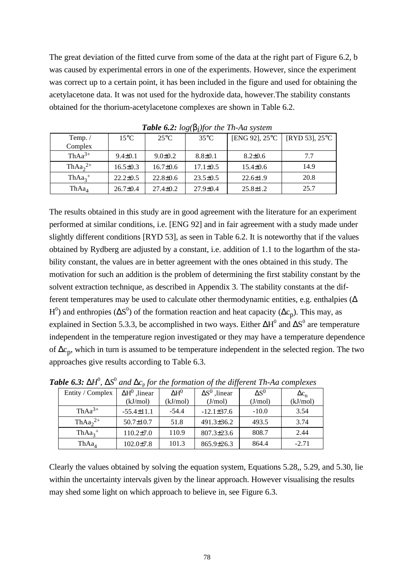The great deviation of the fitted curve from some of the data at the right part of Figure 6.2, b was caused by experimental errors in one of the experiments. However, since the experiment was correct up to a certain point, it has been included in the figure and used for obtaining the acetylacetone data. It was not used for the hydroxide data, however.The stability constants obtained for the thorium-acetylacetone complexes are shown in Table 6.2.

| Temp. $/$         | $15^{\circ}$ C | $25^{\circ}$ C | $35^{\circ}$ C | [ENG 92], $25^{\circ}$ C | [RYD 53], $25^{\circ}$ C |
|-------------------|----------------|----------------|----------------|--------------------------|--------------------------|
| Complex           |                |                |                |                          |                          |
| $ThAa^{3+}$       | $9.4 \pm 0.1$  | $9.0 \pm 0.2$  | $8.8 \pm 0.1$  | $8.2 \pm 0.6$            | 7.7                      |
| Th $Aa_2^{2+}$    | $16.5 \pm 0.3$ | $16.7 \pm 0.6$ | $17.1 \pm 0.5$ | $15.4 \pm 0.6$           | 14.9                     |
| $ThAa_3^+$        | $22.2 \pm 0.5$ | $22.8 \pm 0.6$ | $23.5 \pm 0.5$ | $22.6 \pm 1.9$           | 20.8                     |
| ThAa <sub>4</sub> | $26.7 \pm 0.4$ | $27.4 \pm 0.2$ | $27.9 \pm 0.4$ | $25.8 \pm 1.2$           | 25.7                     |

*Table 6.2: log(bi )for the Th-Aa system*

The results obtained in this study are in good agreement with the literature for an experiment performed at similar conditions, i.e. [ENG 92] and in fair agreement with a study made under slightly different conditions [RYD 53], as seen in Table 6.2. It is noteworthy that if the values obtained by Rydberg are adjusted by a constant, i.e. addition of 1.1 to the logarthm of the stability constant, the values are in better agreement with the ones obtained in this study. The motivation for such an addition is the problem of determining the first stability constant by the solvent extraction technique, as described in Appendix 3. The stability constants at the different temperatures may be used to calculate other thermodynamic entities, e.g. enthalpies ( $\Delta$ H<sup>0</sup>) and enthropies ( $\Delta S^0$ ) of the formation reaction and heat capacity ( $\Delta c_p$ ). This may, as explained in Section 5.3.3, be accomplished in two ways. Either  $\Delta H^0$  and  $\Delta S^0$  are temperature independent in the temperature region investigated or they may have a temperature dependence of  $\Delta c_p$ , which in turn is assumed to be temperature independent in the selected region. The two approaches give results according to Table 6.3.

|                   |                       |              | $\cdot$               |              |              |
|-------------------|-----------------------|--------------|-----------------------|--------------|--------------|
| Entity / Complex  | $\Delta H^0$ , linear | $\Delta H^0$ | $\Delta S^0$ , linear | $\Delta S^0$ | $\Delta c_n$ |
|                   | (kJ/mol)              | (kJ/mol)     | (J/mol)               | (J/mol)      | (kJ/mol)     |
| $ThAa^{3+}$       | $-55.4 \pm 11.1$      | $-54.4$      | $-12.1\pm37.6$        | $-10.0$      | 3.54         |
| $ThAa22+$         | $50.7 \pm 10.7$       | 51.8         | $491.3 \pm 36.2$      | 493.5        | 3.74         |
| $ThAa_3^+$        | $110.2{\pm}7.0$       | 110.9        | $807.3 \pm 23.6$      | 808.7        | 2.44         |
| ThAa <sub>4</sub> | $102.0 \pm 7.8$       | 101.3        | $865.9 \pm 26.3$      | 864.4        | $-2.71$      |

**Table 6.3: DH<sup>0</sup>, DS<sup>0</sup> and D<sub>C<sub>p</sub> for the formation of the different Th-Aa complexes**</sub>

Clearly the values obtained by solving the equation system, Equations 5.28,, 5.29, and 5.30, lie within the uncertainty intervals given by the linear approach. However visualising the results may shed some light on which approach to believe in, see Figure 6.3.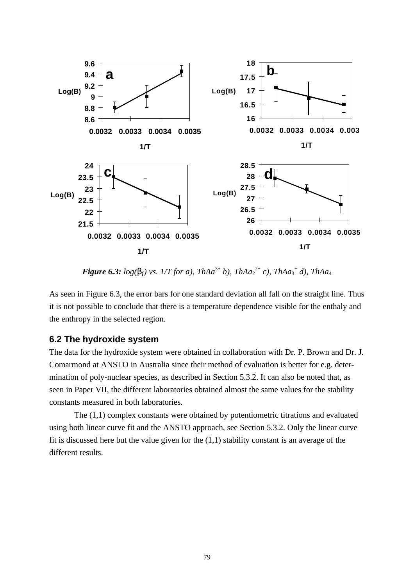

*Figure 6.3:*  $log(\bm{b}_i)$  vs. 1/T for a), ThAa<sup>3+</sup> b), ThAa<sub>2</sub><sup>2+</sup> c), ThAa<sub>3</sub><sup>+</sup> d), ThAa<sub>4</sub>

As seen in Figure 6.3, the error bars for one standard deviation all fall on the straight line. Thus it is not possible to conclude that there is a temperature dependence visible for the enthaly and the enthropy in the selected region.

## **6.2 The hydroxide system**

The data for the hydroxide system were obtained in collaboration with Dr. P. Brown and Dr. J. Comarmond at ANSTO in Australia since their method of evaluation is better for e.g. determination of poly-nuclear species, as described in Section 5.3.2. It can also be noted that, as seen in Paper VII, the different laboratories obtained almost the same values for the stability constants measured in both laboratories.

The (1,1) complex constants were obtained by potentiometric titrations and evaluated using both linear curve fit and the ANSTO approach, see Section 5.3.2. Only the linear curve fit is discussed here but the value given for the (1,1) stability constant is an average of the different results.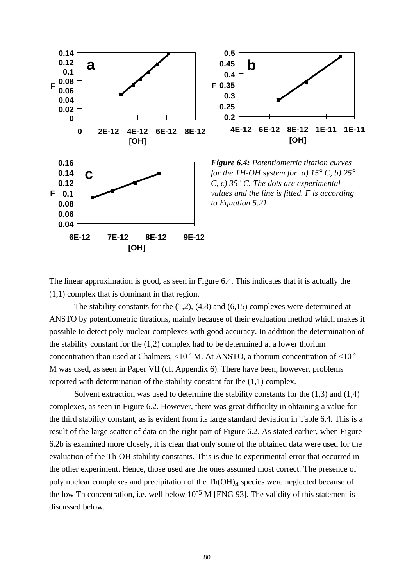

The linear approximation is good, as seen in Figure 6.4. This indicates that it is actually the (1,1) complex that is dominant in that region.

The stability constants for the (1,2), (4,8) and (6,15) complexes were determined at ANSTO by potentiometric titrations, mainly because of their evaluation method which makes it possible to detect poly-nuclear complexes with good accuracy. In addition the determination of the stability constant for the (1,2) complex had to be determined at a lower thorium concentration than used at Chalmers,  $\langle 10^{-2} \text{ M}$ . At ANSTO, a thorium concentration of  $\langle 10^{-3} \rangle$ M was used, as seen in Paper VII (cf. Appendix 6). There have been, however, problems reported with determination of the stability constant for the (1,1) complex.

Solvent extraction was used to determine the stability constants for the (1,3) and (1,4) complexes, as seen in Figure 6.2. However, there was great difficulty in obtaining a value for the third stability constant, as is evident from its large standard deviation in Table 6.4. This is a result of the large scatter of data on the right part of Figure 6.2. As stated earlier, when Figure 6.2b is examined more closely, it is clear that only some of the obtained data were used for the evaluation of the Th-OH stability constants. This is due to experimental error that occurred in the other experiment. Hence, those used are the ones assumed most correct. The presence of poly nuclear complexes and precipitation of the Th(OH)<sub>4</sub> species were neglected because of the low Th concentration, i.e. well below  $10^{-5}$  M [ENG 93]. The validity of this statement is discussed below.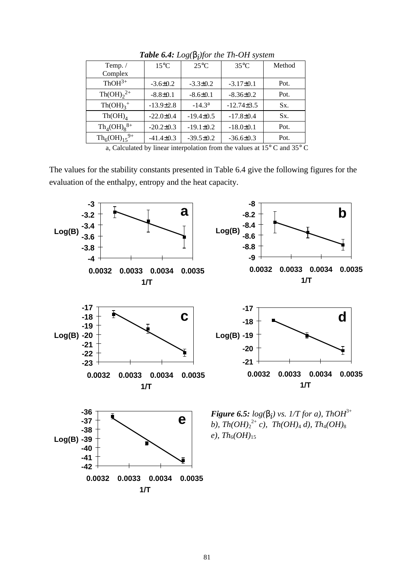| Temp. $/$                       | $15^{\circ}$ C  | $25^{\circ}$ C  | $35^{\circ}$ C  | Method |
|---------------------------------|-----------------|-----------------|-----------------|--------|
| Complex                         |                 |                 |                 |        |
| $ThOH3+$                        | $-3.6 \pm 0.2$  | $-3.3 \pm 0.2$  | $-3.17\pm0.1$   | Pot.   |
| $\text{Th}(\text{OH})_{2}^{2+}$ | $-8.8 \pm 0.1$  | $-8.6 \pm 0.1$  | $-8.36\pm0.2$   | Pot.   |
| $Th(OH)3$ <sup>+</sup>          | $-13.9\pm2.8$   | $-14.3a$        | $-12.74\pm3.5$  | Sx.    |
| $Th(OH)_{A}$                    | $-22.0 \pm 0.4$ | $-19.4\pm0.5$   | $-17.8 \pm 0.4$ | Sx.    |
| $Th_4(OH)_8^{8+}$               | $-20.2 \pm 0.3$ | $-19.1 \pm 0.2$ | $-18.0 \pm 0.1$ | Pot.   |
| $Th_6(OH)_{15}^{9+}$            | $-41.4 \pm 0.3$ | $-39.5 \pm 0.2$ | $-36.6 \pm 0.3$ | Pot.   |
|                                 |                 | .               |                 |        |

*Table 6.4: Log(bi )for the Th-OH system*

a, Calculated by linear interpolation from the values at 15° C and 35° C

The values for the stability constants presented in Table 6.4 give the following figures for the evaluation of the enthalpy, entropy and the heat capacity.

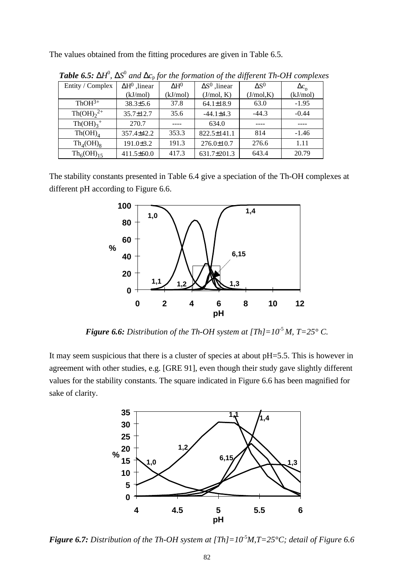The values obtained from the fitting procedures are given in Table 6.5.

| Entity / Complex                   | $\Delta H^0$ , linear | $\Delta H^0$ | $\Delta S^0$ , linear | $\Delta S^0$ | $\Delta c_n$ |
|------------------------------------|-----------------------|--------------|-----------------------|--------------|--------------|
|                                    | (kJ/mol)              | (kJ/mol)     | (J/mol, K)            | (J/mol,K)    | (kJ/mol)     |
| $ThOH^{3+}$                        | $38.3 \pm 5.6$        | 37.8         | $64.1 \pm 18.9$       | 63.0         | $-1.95$      |
| $\text{Th}(\text{OH})_{2}^{2+}$    | 35.7±12.7             | 35.6         | $-44.1 \pm 4.3$       | $-44.3$      | $-0.44$      |
| $Th(OH)3$ <sup>+</sup>             | 270.7                 |              | 634.0                 |              |              |
| Th(OH) <sub>4</sub>                | $357.4 \pm 42.2$      | 353.3        | $822.5 \pm 141.1$     | 814          | $-1.46$      |
| $Th_4(OH)_8$                       | $191.0 \pm 3.2$       | 191.3        | $276.0 \pm 10.7$      | 276.6        | 1.11         |
| Th <sub>6</sub> (OH) <sub>15</sub> | $411.5 \pm 60.0$      | 417.3        | 631.7±201.3           | 643.4        | 20.79        |

**Table 6.5: DH<sup>0</sup>, DS<sup>0</sup> and D<sub>C<sub>p</sub> for the formation of the different Th-OH complexes**</sub>

The stability constants presented in Table 6.4 give a speciation of the Th-OH complexes at different pH according to Figure 6.6.



*Figure 6.6: Distribution of the Th-OH system at [Th]=* $10^{-5}$  *M, T=* $25^{\circ}$  *C.* 

It may seem suspicious that there is a cluster of species at about pH=5.5. This is however in agreement with other studies, e.g. [GRE 91], even though their study gave slightly different values for the stability constants. The square indicated in Figure 6.6 has been magnified for sake of clarity.



*Figure 6.7: Distribution of the Th-OH system at [Th]=10<sup>-5</sup><i>M,T=25*<sup>o</sup>*C*; detail of Figure 6.6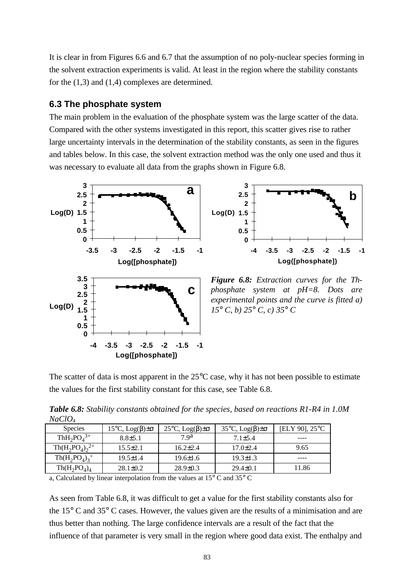It is clear in from Figures 6.6 and 6.7 that the assumption of no poly-nuclear species forming in the solvent extraction experiments is valid. At least in the region where the stability constants for the (1,3) and (1,4) complexes are determined.

## **6.3 The phosphate system**

The main problem in the evaluation of the phosphate system was the large scatter of the data. Compared with the other systems investigated in this report, this scatter gives rise to rather large uncertainty intervals in the determination of the stability constants, as seen in the figures and tables below. In this case, the solvent extraction method was the only one used and thus it was necessary to evaluate all data from the graphs shown in Figure 6.8.





*Figure 6.8: Extraction curves for the Thphosphate system at pH=8. Dots are experimental points and the curve is fitted a) 15° C, b) 25° C, c) 35° C*

The scatter of data is most apparent in the 25<sup>o</sup>C case, why it has not been possible to estimate the values for the first stability constant for this case, see Table 6.8.

*Table 6.8: Stability constants obtained for the species, based on reactions R1-R4 in 1.0M*  $NaClO<sub>4</sub>$ 

| 1100 U U U U                                   |                                     |                                     |                                     |                          |
|------------------------------------------------|-------------------------------------|-------------------------------------|-------------------------------------|--------------------------|
| <b>Species</b>                                 | $15^{\circ}$ C, Log(β) $\pm \sigma$ | $25^{\circ}$ C, Log(β) $\pm \sigma$ | $35^{\circ}$ C, Log(β) $\pm \sigma$ | [ELY 90], $25^{\circ}$ C |
| ThH <sub>2</sub> PO <sub>4</sub> <sup>3+</sup> | $8.8 \pm 5.1$                       | 7 9a                                | $7.1 \pm 5.4$                       | ----                     |
| $Th(H_2PO_4)_2^{2+}$                           | $15.5 \pm 2.1$                      | $16.2{\pm}2.4$                      | $17.0 \pm 2.4$                      | 9.65                     |
| $Th(H_2PO_4)_3^+$                              | $19.5 \pm 1.4$                      | $19.6 \pm 1.6$                      | $19.3 \pm 1.3$                      |                          |
| $Th(H_2PO_4)_4$                                | $28.1 \pm 0.2$                      | $28.9 \pm 0.3$                      | $29.4 \pm 0.1$                      | 11.86                    |

a, Calculated by linear interpolation from the values at 15° C and 35° C

As seen from Table 6.8, it was difficult to get a value for the first stability constants also for the 15° C and 35° C cases. However, the values given are the results of a minimisation and are thus better than nothing. The large confidence intervals are a result of the fact that the influence of that parameter is very small in the region where good data exist. The enthalpy and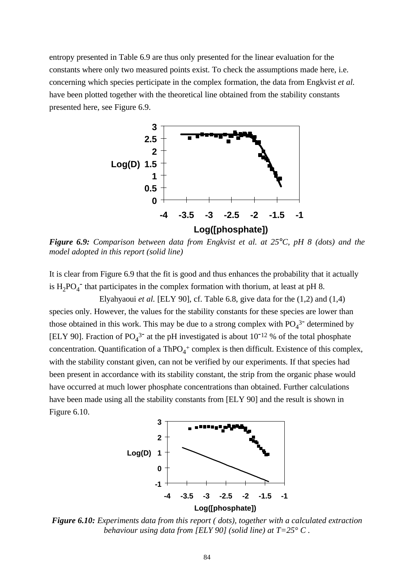entropy presented in Table 6.9 are thus only presented for the linear evaluation for the constants where only two measured points exist. To check the assumptions made here, i.e. concerning which species perticipate in the complex formation, the data from Engkvist *et al.* have been plotted together with the theoretical line obtained from the stability constants presented here, see Figure 6.9.



*Figure 6.9: Comparison between data from Engkvist et al. at 25°C, pH 8 (dots) and the model adopted in this report (solid line)*

It is clear from Figure 6.9 that the fit is good and thus enhances the probability that it actually is  $H_2PO_4^-$  that participates in the complex formation with thorium, at least at pH 8.

Elyahyaoui *et al.* [ELY 90], cf. Table 6.8, give data for the (1,2) and (1,4) species only. However, the values for the stability constants for these species are lower than those obtained in this work. This may be due to a strong complex with  $PO<sub>4</sub><sup>3</sup>$  determined by [ELY 90]. Fraction of  $PO_4^3$ <sup>-</sup> at the pH investigated is about 10<sup>-12</sup> % of the total phosphate concentration. Quantification of a  $ThPO<sub>4</sub><sup>+</sup>$  complex is then difficult. Existence of this complex, with the stability constant given, can not be verified by our experiments. If that species had been present in accordance with its stability constant, the strip from the organic phase would have occurred at much lower phosphate concentrations than obtained. Further calculations have been made using all the stability constants from [ELY 90] and the result is shown in Figure 6.10.



*Figure 6.10: Experiments data from this report ( dots), together with a calculated extraction behaviour using data from [ELY 90] (solid line) at T=25° C .*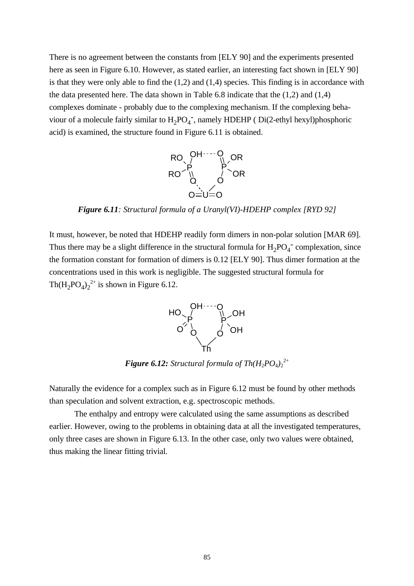There is no agreement between the constants from [ELY 90] and the experiments presented here as seen in Figure 6.10. However, as stated earlier, an interesting fact shown in [ELY 90] is that they were only able to find the (1,2) and (1,4) species. This finding is in accordance with the data presented here. The data shown in Table 6.8 indicate that the (1,2) and (1,4) complexes dominate - probably due to the complexing mechanism. If the complexing behaviour of a molecule fairly similar to  $H_2PO_4^-$ , namely HDEHP (Di(2-ethyl hexyl)phosphoric acid) is examined, the structure found in Figure 6.11 is obtained.



*Figure 6.11: Structural formula of a Uranyl(VI)-HDEHP complex [RYD 92]*

It must, however, be noted that HDEHP readily form dimers in non-polar solution [MAR 69]. Thus there may be a slight difference in the structural formula for  $H_2PO_4^-$  complexation, since the formation constant for formation of dimers is 0.12 [ELY 90]. Thus dimer formation at the concentrations used in this work is negligible. The suggested structural formula for  $Th(H_2PO_4)_2^{2+}$  is shown in Figure 6.12.



**Figure 6.12:** Structural formula of  $Th(H_2PO_4)_{2}^{2+}$ 

Naturally the evidence for a complex such as in Figure 6.12 must be found by other methods than speculation and solvent extraction, e.g. spectroscopic methods.

The enthalpy and entropy were calculated using the same assumptions as described earlier. However, owing to the problems in obtaining data at all the investigated temperatures, only three cases are shown in Figure 6.13. In the other case, only two values were obtained, thus making the linear fitting trivial.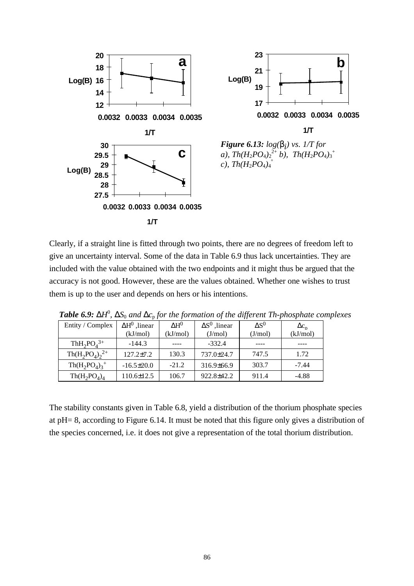

Clearly, if a straight line is fitted through two points, there are no degrees of freedom left to give an uncertainty interval. Some of the data in Table 6.9 thus lack uncertainties. They are included with the value obtained with the two endpoints and it might thus be argued that the accuracy is not good. However, these are the values obtained. Whether one wishes to trust them is up to the user and depends on hers or his intentions.

| Entity / Complex     | $\Delta H^0$ , linear | $\Delta H^0$ | $\Delta S^0$ , linear | $\Delta S^0$ | $\Delta c_n$ |
|----------------------|-----------------------|--------------|-----------------------|--------------|--------------|
|                      | (kJ/mol)              | (kJ/mol)     | (J/mol)               | (J/mol)      | (kJ/mol)     |
| $ThH_2PO_4^{3+}$     | $-144.3$              |              | $-332.4$              |              |              |
| $Th(H_2PO_4)_2^{2+}$ | $127.2 \pm 7.2$       | 130.3        | 737.0±24.7            | 747.5        | 1.72         |
| $Th(H_2PO_4)_3^+$    | $-16.5 \pm 20.0$      | $-21.2$      | $316.9\pm 66.9$       | 303.7        | $-7.44$      |
| $Th(H_2PO_4)_4$      | 110.6±12.5            | 106.7        | 922.8±42.2            | 911.4        | $-4.88$      |

**Table 6.9: DH<sup>0</sup>, DS<sub>0</sub> and D<sub>C<sub>P</sub> for the formation of the different Th-phosphate complexes**</sub>

The stability constants given in Table 6.8, yield a distribution of the thorium phosphate species at pH= 8, according to Figure 6.14. It must be noted that this figure only gives a distribution of the species concerned, i.e. it does not give a representation of the total thorium distribution.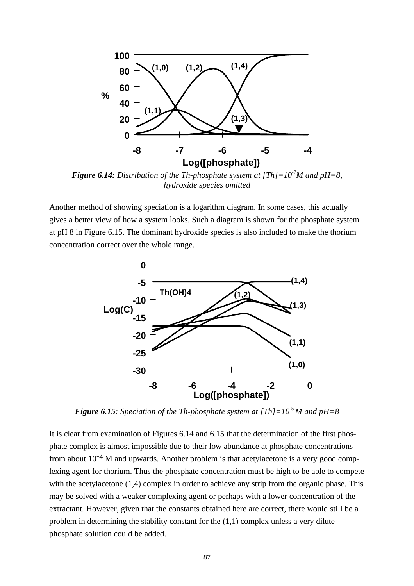

*Figure 6.14: Distribution of the Th-phosphate system at*  $[Th]=10<sup>7</sup>M$  *and pH=8, hydroxide species omitted*

Another method of showing speciation is a logarithm diagram. In some cases, this actually gives a better view of how a system looks. Such a diagram is shown for the phosphate system at pH 8 in Figure 6.15. The dominant hydroxide species is also included to make the thorium concentration correct over the whole range.



*Figure 6.15: Speciation of the Th-phosphate system at*  $[Th]=10<sup>5</sup> M$  *and*  $pH=8$ 

It is clear from examination of Figures 6.14 and 6.15 that the determination of the first phosphate complex is almost impossible due to their low abundance at phosphate concentrations from about  $10^{-4}$  M and upwards. Another problem is that acetylacetone is a very good complexing agent for thorium. Thus the phosphate concentration must be high to be able to compete with the acetylacetone  $(1,4)$  complex in order to achieve any strip from the organic phase. This may be solved with a weaker complexing agent or perhaps with a lower concentration of the extractant. However, given that the constants obtained here are correct, there would still be a problem in determining the stability constant for the (1,1) complex unless a very dilute phosphate solution could be added.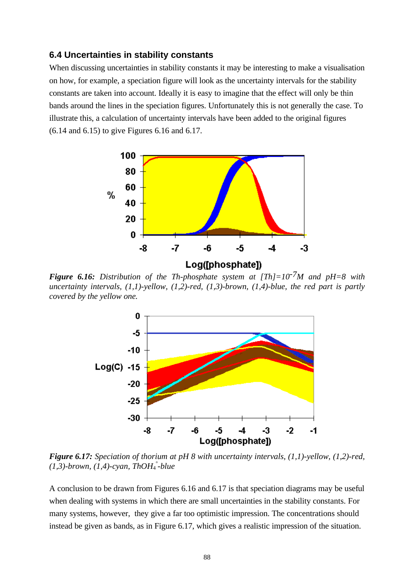#### **6.4 Uncertainties in stability constants**

When discussing uncertainties in stability constants it may be interesting to make a visualisation on how, for example, a speciation figure will look as the uncertainty intervals for the stability constants are taken into account. Ideally it is easy to imagine that the effect will only be thin bands around the lines in the speciation figures. Unfortunately this is not generally the case. To illustrate this, a calculation of uncertainty intervals have been added to the original figures (6.14 and 6.15) to give Figures 6.16 and 6.17.



*Figure 6.16: Distribution of the Th-phosphate system at [Th]=10-7M and pH=8 with uncertainty intervals, (1,1)-yellow, (1,2)-red, (1,3)-brown, (1,4)-blue, the red part is partly covered by the yellow one.*



*Figure 6.17: Speciation of thorium at pH 8 with uncertainty intervals, (1,1)-yellow, (1,2)-red, (1,3)-brown, (1,4)-cyan, ThOH*<sup>2</sup>-*blue* 

A conclusion to be drawn from Figures 6.16 and 6.17 is that speciation diagrams may be useful when dealing with systems in which there are small uncertainties in the stability constants. For many systems, however, they give a far too optimistic impression. The concentrations should instead be given as bands, as in Figure 6.17, which gives a realistic impression of the situation.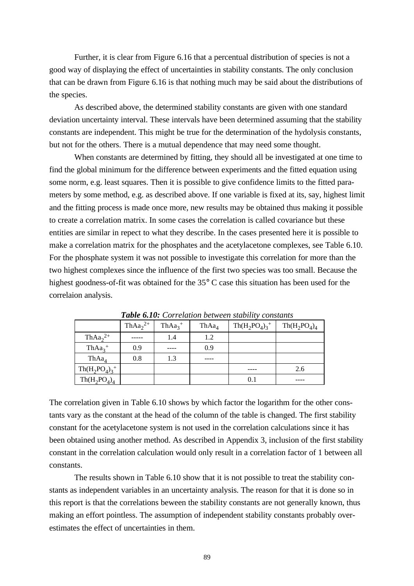Further, it is clear from Figure 6.16 that a percentual distribution of species is not a good way of displaying the effect of uncertainties in stability constants. The only conclusion that can be drawn from Figure 6.16 is that nothing much may be said about the distributions of the species.

As described above, the determined stability constants are given with one standard deviation uncertainty interval. These intervals have been determined assuming that the stability constants are independent. This might be true for the determination of the hydolysis constants, but not for the others. There is a mutual dependence that may need some thought.

When constants are determined by fitting, they should all be investigated at one time to find the global minimum for the difference between experiments and the fitted equation using some norm, e.g. least squares. Then it is possible to give confidence limits to the fitted parameters by some method, e.g. as described above. If one variable is fixed at its, say, highest limit and the fitting process is made once more, new results may be obtained thus making it possible to create a correlation matrix. In some cases the correlation is called covariance but these entities are similar in repect to what they describe. In the cases presented here it is possible to make a correlation matrix for the phosphates and the acetylacetone complexes, see Table 6.10. For the phosphate system it was not possible to investigate this correlation for more than the two highest complexes since the influence of the first two species was too small. Because the highest goodness-of-fit was obtained for the 35° C case this situation has been used for the correlaion analysis.

|                   | Th $Aa_2^{2+}$ | $ThAa_2^+$ | ThAa <sub>4</sub> | $Th(H_2PO_4)_3^+$ | $Th(H_2PO_4)_4$ |
|-------------------|----------------|------------|-------------------|-------------------|-----------------|
| Th $Aa_2^{2+}$    |                | 1.4        | 1.2               |                   |                 |
| $ThAa_3^+$        | 0.9            |            | 0.9               |                   |                 |
| ThAa <sub>4</sub> | 0.8            | 1.3        |                   |                   |                 |
| $Th(H_2PO_4)_3^+$ |                |            |                   |                   | 2.6             |
| $Th(H_2PO_4)_4$   |                |            |                   | 0.1               |                 |

*Table 6.10: Correlation between stability constants*

The correlation given in Table 6.10 shows by which factor the logarithm for the other constants vary as the constant at the head of the column of the table is changed. The first stability constant for the acetylacetone system is not used in the correlation calculations since it has been obtained using another method. As described in Appendix 3, inclusion of the first stability constant in the correlation calculation would only result in a correlation factor of 1 between all constants.

The results shown in Table 6.10 show that it is not possible to treat the stability constants as independent variables in an uncertainty analysis. The reason for that it is done so in this report is that the correlations beween the stability constants are not generally known, thus making an effort pointless. The assumption of independent stability constants probably overestimates the effect of uncertainties in them.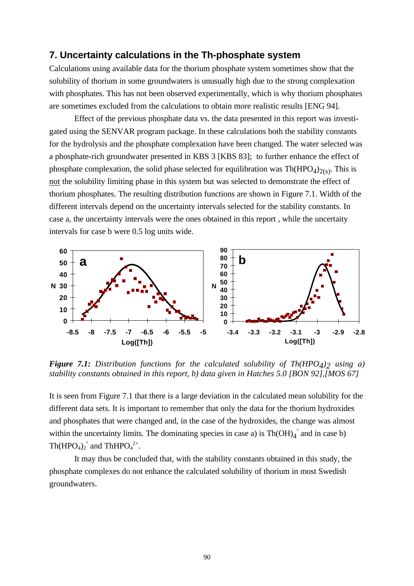## **7. Uncertainty calculations in the Th-phosphate system**

Calculations using available data for the thorium phosphate system sometimes show that the solubility of thorium in some groundwaters is unusually high due to the strong complexation with phosphates. This has not been observed experimentally, which is why thorium phosphates are sometimes excluded from the calculations to obtain more realistic results [ENG 94].

Effect of the previous phosphate data vs. the data presented in this report was investigated using the SENVAR program package. In these calculations both the stability constants for the hydrolysis and the phosphate complexation have been changed. The water selected was a phosphate-rich groundwater presented in KBS 3 [KBS 83]; to further enhance the effect of phosphate complexation, the solid phase selected for equilibration was  $Th(HPO<sub>4</sub>)<sub>2(s)</sub>$ . This is not the solubility limiting phase in this system but was selected to demonstrate the effect of thorium phosphates. The resulting distribution functions are shown in Figure 7.1. Width of the different intervals depend on the uncertainty intervals selected for the stability constants. In case a, the uncertainty intervals were the ones obtained in this report , while the uncertaity intervals for case b were 0.5 log units wide.



**Figure 7.1:** Distribution functions for the calculated solubility of Th(HPO<sub>4</sub>)<sub>2</sub> using a) *stability constants obtained in this report, b) data given in Hatches 5.0 [BON 92],[MOS 67]*

It is seen from Figure 7.1 that there is a large deviation in the calculated mean solubility for the different data sets. It is important to remember that only the data for the thorium hydroxides and phosphates that were changed and, in the case of the hydroxides, the change was almost within the uncertainty limits. The dominating species in case a) is  $Th(OH)<sub>4</sub>$ <sup>°</sup> and in case b)  $\text{Th}(\text{HPO}_4)_2$ <sup>°</sup> and  $\text{ThHPO}_4^2$ <sup> $\text{+}$ </sup>.

It may thus be concluded that, with the stability constants obtained in this study, the phosphate complexes do not enhance the calculated solubility of thorium in most Swedish groundwaters.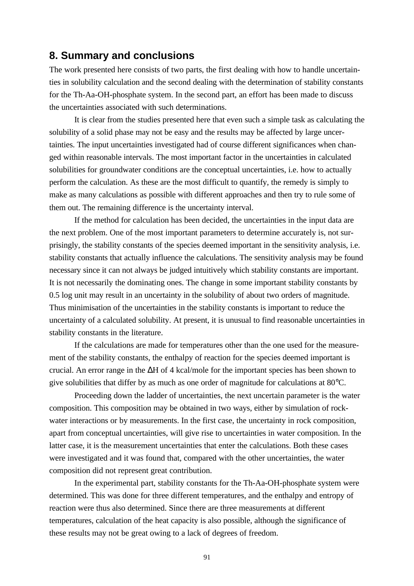# **8. Summary and conclusions**

The work presented here consists of two parts, the first dealing with how to handle uncertainties in solubility calculation and the second dealing with the determination of stability constants for the Th-Aa-OH-phosphate system. In the second part, an effort has been made to discuss the uncertainties associated with such determinations.

It is clear from the studies presented here that even such a simple task as calculating the solubility of a solid phase may not be easy and the results may be affected by large uncertainties. The input uncertainties investigated had of course different significances when changed within reasonable intervals. The most important factor in the uncertainties in calculated solubilities for groundwater conditions are the conceptual uncertainties, i.e. how to actually perform the calculation. As these are the most difficult to quantify, the remedy is simply to make as many calculations as possible with different approaches and then try to rule some of them out. The remaining difference is the uncertainty interval.

If the method for calculation has been decided, the uncertainties in the input data are the next problem. One of the most important parameters to determine accurately is, not surprisingly, the stability constants of the species deemed important in the sensitivity analysis, i.e. stability constants that actually influence the calculations. The sensitivity analysis may be found necessary since it can not always be judged intuitively which stability constants are important. It is not necessarily the dominating ones. The change in some important stability constants by 0.5 log unit may result in an uncertainty in the solubility of about two orders of magnitude. Thus minimisation of the uncertainties in the stability constants is important to reduce the uncertainty of a calculated solubility. At present, it is unusual to find reasonable uncertainties in stability constants in the literature.

If the calculations are made for temperatures other than the one used for the measurement of the stability constants, the enthalpy of reaction for the species deemed important is crucial. An error range in the ΔH of 4 kcal/mole for the important species has been shown to give solubilities that differ by as much as one order of magnitude for calculations at 80°C.

Proceeding down the ladder of uncertainties, the next uncertain parameter is the water composition. This composition may be obtained in two ways, either by simulation of rockwater interactions or by measurements. In the first case, the uncertainty in rock composition, apart from conceptual uncertainties, will give rise to uncertainties in water composition. In the latter case, it is the measurement uncertainties that enter the calculations. Both these cases were investigated and it was found that, compared with the other uncertainties, the water composition did not represent great contribution.

In the experimental part, stability constants for the Th-Aa-OH-phosphate system were determined. This was done for three different temperatures, and the enthalpy and entropy of reaction were thus also determined. Since there are three measurements at different temperatures, calculation of the heat capacity is also possible, although the significance of these results may not be great owing to a lack of degrees of freedom.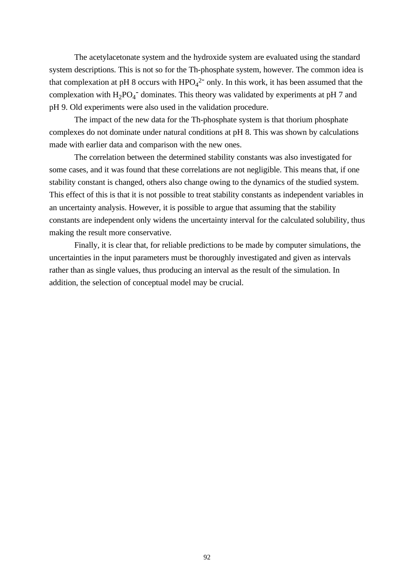The acetylacetonate system and the hydroxide system are evaluated using the standard system descriptions. This is not so for the Th-phosphate system, however. The common idea is that complexation at pH 8 occurs with  $HPO<sub>4</sub><sup>2</sup>$  only. In this work, it has been assumed that the complexation with  $H_2PO_4^-$  dominates. This theory was validated by experiments at pH 7 and pH 9. Old experiments were also used in the validation procedure.

The impact of the new data for the Th-phosphate system is that thorium phosphate complexes do not dominate under natural conditions at pH 8. This was shown by calculations made with earlier data and comparison with the new ones.

The correlation between the determined stability constants was also investigated for some cases, and it was found that these correlations are not negligible. This means that, if one stability constant is changed, others also change owing to the dynamics of the studied system. This effect of this is that it is not possible to treat stability constants as independent variables in an uncertainty analysis. However, it is possible to argue that assuming that the stability constants are independent only widens the uncertainty interval for the calculated solubility, thus making the result more conservative.

Finally, it is clear that, for reliable predictions to be made by computer simulations, the uncertainties in the input parameters must be thoroughly investigated and given as intervals rather than as single values, thus producing an interval as the result of the simulation. In addition, the selection of conceptual model may be crucial.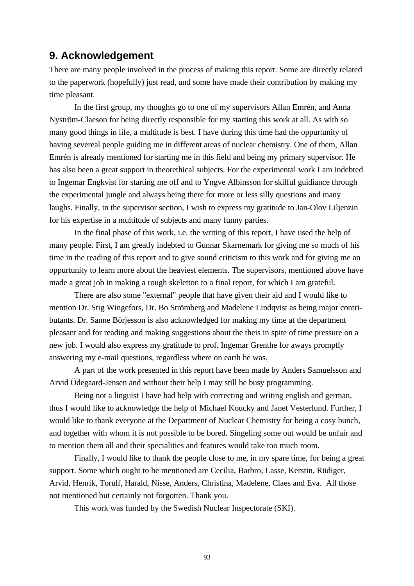# **9. Acknowledgement**

There are many people involved in the process of making this report. Some are directly related to the paperwork (hopefully) just read, and some have made their contribution by making my time pleasant.

In the first group, my thoughts go to one of my supervisors Allan Emrén, and Anna Nyström-Claeson for being directly responsible for my starting this work at all. As with so many good things in life, a multitude is best. I have during this time had the oppurtunity of having severeal people guiding me in different areas of nuclear chemistry. One of them, Allan Emrén is already mentioned for starting me in this field and being my primary supervisor. He has also been a great support in theorethical subjects. For the experimental work I am indebted to Ingemar Engkvist for starting me off and to Yngve Albinsson for skilful guidiance through the experimental jungle and always being there for more or less silly questions and many laughs. Finally, in the supervisor section, I wish to express my gratitude to Jan-Olov Liljenzin for his expertise in a multitude of subjects and many funny parties.

In the final phase of this work, i.e. the writing of this report, I have used the help of many people. First, I am greatly indebted to Gunnar Skarnemark for giving me so much of his time in the reading of this report and to give sound criticism to this work and for giving me an oppurtunity to learn more about the heaviest elements. The supervisors, mentioned above have made a great job in making a rough skeletton to a final report, for which I am grateful.

There are also some "external" people that have given their aid and I would like to mention Dr. Stig Wingefors, Dr. Bo Strömberg and Madelene Lindqvist as being major contributants. Dr. Sanne Börjesson is also acknowledged for making my time at the department pleasant and for reading and making suggestions about the theis in spite of time pressure on a new job. I would also express my gratitude to prof. Ingemar Grenthe for aways promptly answering my e-mail questions, regardless where on earth he was.

A part of the work presented in this report have been made by Anders Samuelsson and Arvid Ödegaard-Jensen and without their help I may still be busy programming.

Being not a linguist I have had help with correcting and writing english and german, thus I would like to acknowledge the help of Michael Koucky and Janet Vesterlund. Further, I would like to thank everyone at the Department of Nuclear Chemistry for being a cosy bunch, and together with whom it is not possible to be bored. Singeling some out would be unfair and to mention them all and their specialities and features would take too much room.

Finally, I would like to thank the people close to me, in my spare time, for being a great support. Some which ought to be mentioned are Cecilia, Barbro, Lasse, Kerstin, Rüdiger, Arvid, Henrik, Torulf, Harald, Nisse, Anders, Christina, Madelene, Claes and Eva. All those not mentioned but certainly not forgotten. Thank you.

This work was funded by the Swedish Nuclear Inspectorate (SKI).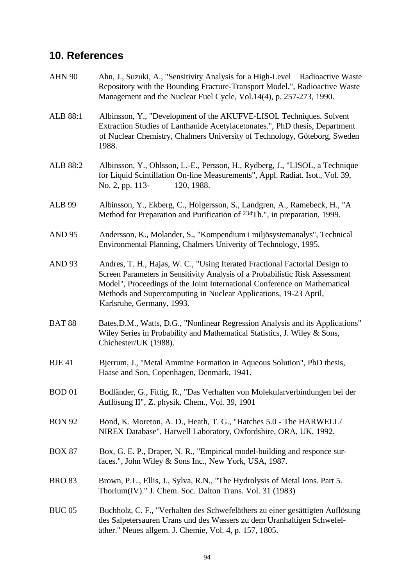# **10. References**

| <b>AHN 90</b> | Ahn, J., Suzuki, A., "Sensitivity Analysis for a High-Level Radioactive Waste<br>Repository with the Bounding Fracture-Transport Model.", Radioactive Waste<br>Management and the Nuclear Fuel Cycle, Vol.14(4), p. 257-273, 1990.                                                                                                        |  |  |  |  |  |
|---------------|-------------------------------------------------------------------------------------------------------------------------------------------------------------------------------------------------------------------------------------------------------------------------------------------------------------------------------------------|--|--|--|--|--|
| ALB 88:1      | Albinsson, Y., "Development of the AKUFVE-LISOL Techniques. Solvent<br>Extraction Studies of Lanthanide Acetylacetonates.", PhD thesis, Department<br>of Nuclear Chemistry, Chalmers University of Technology, Göteborg, Sweden<br>1988.                                                                                                  |  |  |  |  |  |
| ALB 88:2      | Albinsson, Y., Ohlsson, L.-E., Persson, H., Rydberg, J., "LISOL, a Technique<br>for Liquid Scintillation On-line Measurements", Appl. Radiat. Isot., Vol. 39,<br>No. 2, pp. 113-<br>120, 1988.                                                                                                                                            |  |  |  |  |  |
| <b>ALB 99</b> | Albinsson, Y., Ekberg, C., Holgersson, S., Landgren, A., Ramebeck, H., "A<br>Method for Preparation and Purification of <sup>234</sup> Th.", in preparation, 1999.                                                                                                                                                                        |  |  |  |  |  |
| <b>AND 95</b> | Andersson, K., Molander, S., "Kompendium i miljösystemanalys", Technical<br>Environmental Planning, Chalmers Univerity of Technology, 1995.                                                                                                                                                                                               |  |  |  |  |  |
| <b>AND 93</b> | Andres, T. H., Hajas, W. C., "Using Iterated Fractional Factorial Design to<br>Screen Parameters in Sensitivity Analysis of a Probabilistic Risk Assessment<br>Model", Proceedings of the Joint International Conference on Mathematical<br>Methods and Supercomputing in Nuclear Applications, 19-23 April,<br>Karlsruhe, Germany, 1993. |  |  |  |  |  |
| <b>BAT 88</b> | Bates, D.M., Watts, D.G., "Nonlinear Regression Analysis and its Applications"<br>Wiley Series in Probability and Mathematical Statistics, J. Wiley & Sons,<br>Chichester/UK (1988).                                                                                                                                                      |  |  |  |  |  |
| <b>BJE 41</b> | Bjerrum, J., "Metal Ammine Formation in Aqueous Solution", PhD thesis,<br>Haase and Son, Copenhagen, Denmark, 1941.                                                                                                                                                                                                                       |  |  |  |  |  |
| <b>BOD 01</b> | Bodländer, G., Fittig, R., "Das Verhalten von Molekularverbindungen bei der<br>Auflösung II", Z. physik. Chem., Vol. 39, 1901                                                                                                                                                                                                             |  |  |  |  |  |
| <b>BON 92</b> | Bond, K. Moreton, A. D., Heath, T. G., "Hatches 5.0 - The HARWELL/<br>NIREX Database", Harwell Laboratory, Oxfordshire, ORA, UK, 1992.                                                                                                                                                                                                    |  |  |  |  |  |
| <b>BOX 87</b> | Box, G. E. P., Draper, N. R., "Empirical model-building and responce sur-<br>faces.", John Wiley & Sons Inc., New York, USA, 1987.                                                                                                                                                                                                        |  |  |  |  |  |
| <b>BRO 83</b> | Brown, P.L., Ellis, J., Sylva, R.N., "The Hydrolysis of Metal Ions. Part 5.<br>Thorium(IV)." J. Chem. Soc. Dalton Trans. Vol. 31 (1983)                                                                                                                                                                                                   |  |  |  |  |  |
| <b>BUC 05</b> | Buchholz, C. F., "Verhalten des Schwefeläthers zu einer gesättigten Auflösung<br>des Salpetersauren Urans und des Wassers zu dem Uranhaltigen Schwefel-<br>äther." Neues allgem. J. Chemie, Vol. 4, p. 157, 1805.                                                                                                                         |  |  |  |  |  |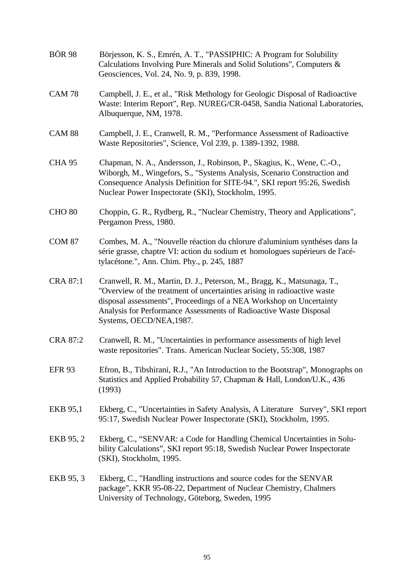| <b>BOR 98</b>   | Börjesson, K. S., Emrén, A. T., "PASSIPHIC: A Program for Solubility<br>Calculations Involving Pure Minerals and Solid Solutions", Computers &<br>Geosciences, Vol. 24, No. 9, p. 839, 1998.                                                                                                                                 |
|-----------------|------------------------------------------------------------------------------------------------------------------------------------------------------------------------------------------------------------------------------------------------------------------------------------------------------------------------------|
| <b>CAM 78</b>   | Campbell, J. E., et al., "Risk Methology for Geologic Disposal of Radioactive<br>Waste: Interim Report", Rep. NUREG/CR-0458, Sandia National Laboratories,<br>Albuquerque, NM, 1978.                                                                                                                                         |
| <b>CAM 88</b>   | Campbell, J. E., Cranwell, R. M., "Performance Assessment of Radioactive<br>Waste Repositories", Science, Vol 239, p. 1389-1392, 1988.                                                                                                                                                                                       |
| <b>CHA 95</b>   | Chapman, N. A., Andersson, J., Robinson, P., Skagius, K., Wene, C.-O.,<br>Wiborgh, M., Wingefors, S., "Systems Analysis, Scenario Construction and<br>Consequence Analysis Definition for SITE-94.", SKI report 95:26, Swedish<br>Nuclear Power Inspectorate (SKI), Stockholm, 1995.                                         |
| <b>CHO 80</b>   | Choppin, G. R., Rydberg, R., "Nuclear Chemistry, Theory and Applications",<br>Pergamon Press, 1980.                                                                                                                                                                                                                          |
| <b>COM 87</b>   | Combes, M. A., "Nouvelle réaction du chlorure d'aluminium synthéses dans la<br>série grasse, chaptre VI: action du sodium et homologues supérieurs de l'acé-<br>tylacétone.", Ann. Chim. Phy., p. 245, 1887                                                                                                                  |
| <b>CRA 87:1</b> | Cranwell, R. M., Martin, D. J., Peterson, M., Bragg, K., Matsunaga, T.,<br>"Overview of the treatment of uncertainties arising in radioactive waste<br>disposal assessments", Proceedings of a NEA Workshop on Uncertainty<br>Analysis for Performance Assessments of Radioactive Waste Disposal<br>Systems, OECD/NEA, 1987. |
| <b>CRA 87:2</b> | Cranwell, R. M., "Uncertainties in performance assessments of high level<br>waste repositories". Trans. American Nuclear Society, 55:308, 1987                                                                                                                                                                               |
| <b>EFR 93</b>   | Efron, B., Tibshirani, R.J., "An Introduction to the Bootstrap", Monographs on<br>Statistics and Applied Probability 57, Chapman & Hall, London/U.K., 436<br>(1993)                                                                                                                                                          |
| EKB 95,1        | Ekberg, C., "Uncertainties in Safety Analysis, A Literature Survey", SKI report<br>95:17, Swedish Nuclear Power Inspectorate (SKI), Stockholm, 1995.                                                                                                                                                                         |
| EKB 95, 2       | Ekberg, C., "SENVAR: a Code for Handling Chemical Uncertainties in Solu-<br>bility Calculations", SKI report 95:18, Swedish Nuclear Power Inspectorate<br>(SKI), Stockholm, 1995.                                                                                                                                            |
| EKB 95, 3       | Ekberg, C., "Handling instructions and source codes for the SENVAR<br>package", KKR 95-08-22, Department of Nuclear Chemistry, Chalmers<br>University of Technology, Göteborg, Sweden, 1995                                                                                                                                  |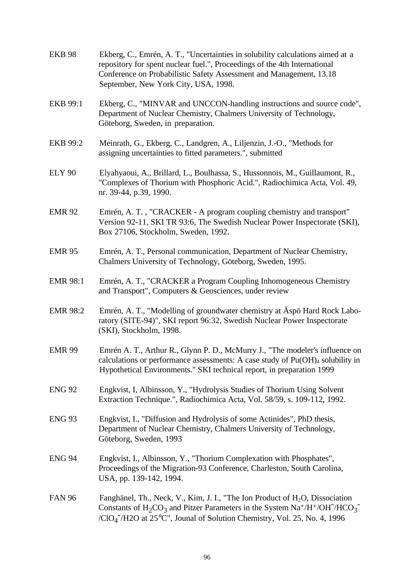| <b>EKB 98</b>   | Ekberg, C., Emrén, A. T., "Uncertainties in solubility calculations aimed at a<br>repository for spent nuclear fuel.", Proceedings of the 4th International<br>Conference on Probabilistic Safety Assessment and Management, 13.18<br>September, New York City, USA, 1998.                                                                 |
|-----------------|--------------------------------------------------------------------------------------------------------------------------------------------------------------------------------------------------------------------------------------------------------------------------------------------------------------------------------------------|
| EKB 99:1        | Ekberg, C., "MINVAR and UNCCON-handling instructions and source code",<br>Department of Nuclear Chemistry, Chalmers University of Technology,<br>Göteborg, Sweden, in preparation.                                                                                                                                                         |
| <b>EKB 99:2</b> | Meinrath, G., Ekberg, C., Landgren, A., Liljenzin, J.-O., "Methods for<br>assigning uncertainties to fitted parameters.", submitted                                                                                                                                                                                                        |
| <b>ELY 90</b>   | Elyahyaoui, A., Brillard, L., Boulhassa, S., Hussonnois, M., Guillaumont, R.,<br>"Complexes of Thorium with Phosphoric Acid.", Radiochimica Acta, Vol. 49,<br>nr. 39-44, p.39, 1990.                                                                                                                                                       |
| <b>EMR 92</b>   | Emrén, A. T., "CRACKER - A program coupling chemistry and transport"<br>Version 92-11, SKI TR 93:6, The Swedish Nuclear Power Inspectorate (SKI),<br>Box 27106, Stockholm, Sweden, 1992.                                                                                                                                                   |
| <b>EMR 95</b>   | Emrén, A. T., Personal communication, Department of Nuclear Chemistry,<br>Chalmers University of Technology, Göteborg, Sweden, 1995.                                                                                                                                                                                                       |
| <b>EMR 98:1</b> | Emrén, A. T., "CRACKER a Program Coupling Inhomogeneous Chemistry<br>and Transport", Computers & Geosciences, under review                                                                                                                                                                                                                 |
| <b>EMR 98:2</b> | Emrén, A. T., "Modelling of groundwater chemistry at Aspö Hard Rock Labo-<br>ratory (SITE-94)", SKI report 96:32, Swedish Nuclear Power Inspectorate<br>(SKI), Stockholm, 1998.                                                                                                                                                            |
| <b>EMR 99</b>   | Emrén A. T., Arthur R., Glynn P. D., McMurry J., "The modeler's influence on<br>calculations or performance assessments: A case study of $Pu(OH)4$ solubility in<br>Hypothetical Environments." SKI technical report, in preparation 1999                                                                                                  |
| <b>ENG 92</b>   | Engkvist, I, Albinsson, Y., "Hydrolysis Studies of Thorium Using Solvent<br>Extraction Technique.", Radiochimica Acta, Vol. 58/59, s. 109-112, 1992.                                                                                                                                                                                       |
| <b>ENG 93</b>   | Engkvist, I., "Diffusion and Hydrolysis of some Actinides", PhD thesis,<br>Department of Nuclear Chemistry, Chalmers University of Technology,<br>Göteborg, Sweden, 1993                                                                                                                                                                   |
| <b>ENG 94</b>   | Engkvist, I., Albinsson, Y., "Thorium Complexation with Phosphates",<br>Proceedings of the Migration-93 Conference, Charleston, South Carolina,<br>USA, pp. 139-142, 1994.                                                                                                                                                                 |
| <b>FAN 96</b>   | Fanghänel, Th., Neck, V., Kim, J. I., "The Ion Product of H <sub>2</sub> O, Dissociation<br>Constants of $H_2CO_3$ and Pitzer Parameters in the System Na <sup>+</sup> /H <sup>+</sup> /OH <sup>-</sup> /HCO <sub>3</sub> <sup>-</sup><br>/ClO <sub>4</sub> <sup>-</sup> /H2O at 25°C", Jounal of Solution Chemistry, Vol. 25, No. 4, 1996 |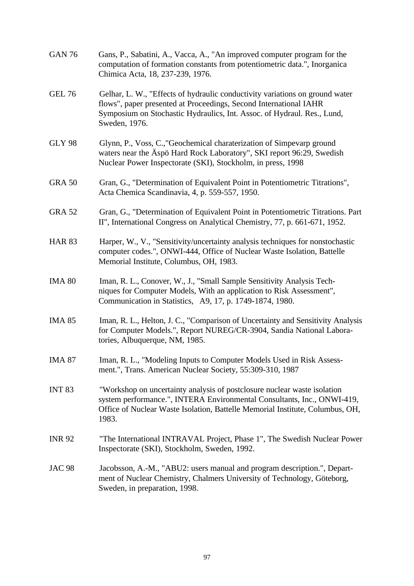| <b>GAN 76</b> | Gans, P., Sabatini, A., Vacca, A., "An improved computer program for the<br>computation of formation constants from potentiometric data.", Inorganica<br>Chimica Acta, 18, 237-239, 1976.                                                     |
|---------------|-----------------------------------------------------------------------------------------------------------------------------------------------------------------------------------------------------------------------------------------------|
| <b>GEL 76</b> | Gelhar, L. W., "Effects of hydraulic conductivity variations on ground water<br>flows", paper presented at Proceedings, Second International IAHR<br>Symposium on Stochastic Hydraulics, Int. Assoc. of Hydraul. Res., Lund,<br>Sweden, 1976. |
| <b>GLY 98</b> | Glynn, P., Voss, C.,"Geochemical charaterization of Simpevarp ground<br>waters near the Äspö Hard Rock Laboratory", SKI report 96:29, Swedish<br>Nuclear Power Inspectorate (SKI), Stockholm, in press, 1998                                  |
| <b>GRA 50</b> | Gran, G., "Determination of Equivalent Point in Potentiometric Titrations",<br>Acta Chemica Scandinavia, 4, p. 559-557, 1950.                                                                                                                 |
| <b>GRA 52</b> | Gran, G., "Determination of Equivalent Point in Potentiometric Titrations. Part<br>II", International Congress on Analytical Chemistry, 77, p. 661-671, 1952.                                                                                 |
| <b>HAR 83</b> | Harper, W., V., "Sensitivity/uncertainty analysis techniques for nonstochastic<br>computer codes.", ONWI-444, Office of Nuclear Waste Isolation, Battelle<br>Memorial Institute, Columbus, OH, 1983.                                          |
| <b>IMA 80</b> | Iman, R. L., Conover, W., J., "Small Sample Sensitivity Analysis Tech-<br>niques for Computer Models, With an application to Risk Assessment",<br>Communication in Statistics, A9, 17, p. 1749-1874, 1980.                                    |
| <b>IMA 85</b> | Iman, R. L., Helton, J. C., "Comparison of Uncertainty and Sensitivity Analysis<br>for Computer Models.", Report NUREG/CR-3904, Sandia National Labora-<br>tories, Albuquerque, NM, 1985.                                                     |
| <b>IMA 87</b> | Iman, R. L., "Modeling Inputs to Computer Models Used in Risk Assess-<br>ment.", Trans. American Nuclear Society, 55:309-310, 1987                                                                                                            |
| <b>INT 83</b> | "Workshop on uncertainty analysis of postclosure nuclear waste isolation<br>system performance.", INTERA Environmental Consultants, Inc., ONWI-419,<br>Office of Nuclear Waste Isolation, Battelle Memorial Institute, Columbus, OH,<br>1983. |
| <b>INR 92</b> | "The International INTRAVAL Project, Phase 1", The Swedish Nuclear Power<br>Inspectorate (SKI), Stockholm, Sweden, 1992.                                                                                                                      |
| <b>JAC 98</b> | Jacobsson, A.-M., "ABU2: users manual and program description.", Depart-<br>ment of Nuclear Chemistry, Chalmers University of Technology, Göteborg,<br>Sweden, in preparation, 1998.                                                          |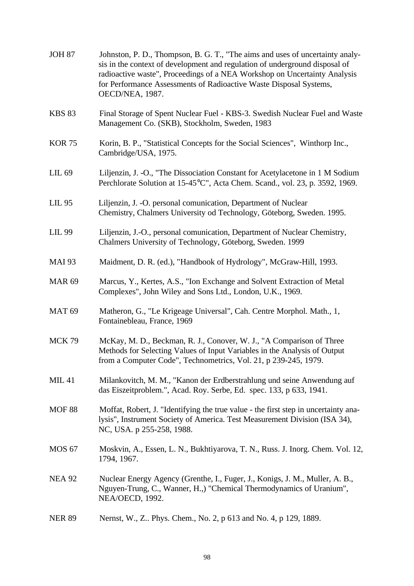| <b>JOH 87</b>     | Johnston, P. D., Thompson, B. G. T., "The aims and uses of uncertainty analy-<br>sis in the context of development and regulation of underground disposal of<br>radioactive waste", Proceedings of a NEA Workshop on Uncertainty Analysis<br>for Performance Assessments of Radioactive Waste Disposal Systems,<br>OECD/NEA, 1987. |
|-------------------|------------------------------------------------------------------------------------------------------------------------------------------------------------------------------------------------------------------------------------------------------------------------------------------------------------------------------------|
| <b>KBS 83</b>     | Final Storage of Spent Nuclear Fuel - KBS-3. Swedish Nuclear Fuel and Waste<br>Management Co. (SKB), Stockholm, Sweden, 1983                                                                                                                                                                                                       |
| <b>KOR 75</b>     | Korin, B. P., "Statistical Concepts for the Social Sciences", Winthorp Inc.,<br>Cambridge/USA, 1975.                                                                                                                                                                                                                               |
| LIL 69            | Liljenzin, J. -O., "The Dissociation Constant for Acetylacetone in 1 M Sodium<br>Perchlorate Solution at 15-45°C", Acta Chem. Scand., vol. 23, p. 3592, 1969.                                                                                                                                                                      |
| LIL 95            | Liljenzin, J. -O. personal comunication, Department of Nuclear<br>Chemistry, Chalmers University od Technology, Göteborg, Sweden. 1995.                                                                                                                                                                                            |
| <b>LIL 99</b>     | Liljenzin, J.-O., personal comunication, Department of Nuclear Chemistry,<br>Chalmers University of Technology, Göteborg, Sweden. 1999                                                                                                                                                                                             |
| <b>MAI 93</b>     | Maidment, D. R. (ed.), "Handbook of Hydrology", McGraw-Hill, 1993.                                                                                                                                                                                                                                                                 |
| <b>MAR 69</b>     | Marcus, Y., Kertes, A.S., "Ion Exchange and Solvent Extraction of Metal<br>Complexes", John Wiley and Sons Ltd., London, U.K., 1969.                                                                                                                                                                                               |
| MAT <sub>69</sub> | Matheron, G., "Le Krigeage Universal", Cah. Centre Morphol. Math., 1,<br>Fontainebleau, France, 1969                                                                                                                                                                                                                               |
| <b>MCK 79</b>     | McKay, M. D., Beckman, R. J., Conover, W. J., "A Comparison of Three<br>Methods for Selecting Values of Input Variables in the Analysis of Output<br>from a Computer Code", Technometrics, Vol. 21, p 239-245, 1979.                                                                                                               |
| <b>MIL 41</b>     | Milankovitch, M. M., "Kanon der Erdberstrahlung und seine Anwendung auf<br>das Eiszeitproblem.", Acad. Roy. Serbe, Ed. spec. 133, p 633, 1941.                                                                                                                                                                                     |
| <b>MOF 88</b>     | Moffat, Robert, J. "Identifying the true value - the first step in uncertainty ana-<br>lysis", Instrument Society of America. Test Measurement Division (ISA 34),<br>NC, USA. p 255-258, 1988.                                                                                                                                     |
| <b>MOS 67</b>     | Moskvin, A., Essen, L. N., Bukhtiyarova, T. N., Russ. J. Inorg. Chem. Vol. 12,<br>1794, 1967.                                                                                                                                                                                                                                      |
| <b>NEA 92</b>     | Nuclear Energy Agency (Grenthe, I., Fuger, J., Konigs, J. M., Muller, A. B.,<br>Nguyen-Trung, C., Wanner, H.,) "Chemical Thermodynamics of Uranium",<br>NEA/OECD, 1992.                                                                                                                                                            |
| <b>NER 89</b>     | Nernst, W., Z Phys. Chem., No. 2, p 613 and No. 4, p 129, 1889.                                                                                                                                                                                                                                                                    |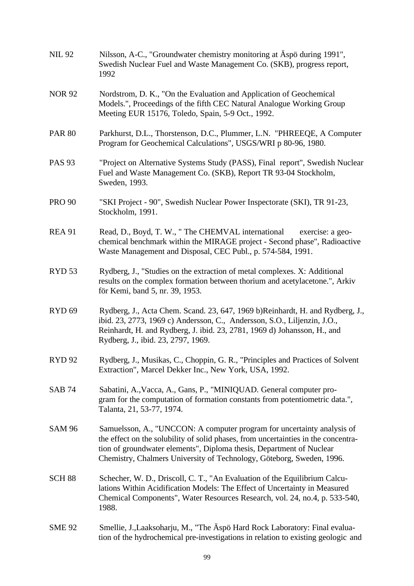| <b>NIL 92</b>     | Nilsson, A-C., "Groundwater chemistry monitoring at Aspo during 1991",<br>Swedish Nuclear Fuel and Waste Management Co. (SKB), progress report,<br>1992                                                                                                                                                        |
|-------------------|----------------------------------------------------------------------------------------------------------------------------------------------------------------------------------------------------------------------------------------------------------------------------------------------------------------|
| <b>NOR 92</b>     | Nordstrom, D. K., "On the Evaluation and Application of Geochemical<br>Models.", Proceedings of the fifth CEC Natural Analogue Working Group<br>Meeting EUR 15176, Toledo, Spain, 5-9 Oct., 1992.                                                                                                              |
| <b>PAR 80</b>     | Parkhurst, D.L., Thorstenson, D.C., Plummer, L.N. "PHREEQE, A Computer<br>Program for Geochemical Calculations", USGS/WRI p 80-96, 1980.                                                                                                                                                                       |
| <b>PAS 93</b>     | "Project on Alternative Systems Study (PASS), Final report", Swedish Nuclear<br>Fuel and Waste Management Co. (SKB), Report TR 93-04 Stockholm,<br>Sweden, 1993.                                                                                                                                               |
| <b>PRO 90</b>     | "SKI Project - 90", Swedish Nuclear Power Inspectorate (SKI), TR 91-23,<br>Stockholm, 1991.                                                                                                                                                                                                                    |
| <b>REA 91</b>     | Read, D., Boyd, T. W., "The CHEMVAL international<br>exercise: a geo-<br>chemical benchmark within the MIRAGE project - Second phase", Radioactive<br>Waste Management and Disposal, CEC Publ., p. 574-584, 1991.                                                                                              |
| RYD <sub>53</sub> | Rydberg, J., "Studies on the extraction of metal complexes. X: Additional<br>results on the complex formation between thorium and acetylacetone.", Arkiv<br>för Kemi, band 5, nr. 39, 1953.                                                                                                                    |
| RYD <sub>69</sub> | Rydberg, J., Acta Chem. Scand. 23, 647, 1969 b)Reinhardt, H. and Rydberg, J.,<br>ibid. 23, 2773, 1969 c) Andersson, C., Andersson, S.O., Liljenzin, J.O.,<br>Reinhardt, H. and Rydberg, J. ibid. 23, 2781, 1969 d) Johansson, H., and<br>Rydberg, J., ibid. 23, 2797, 1969.                                    |
| <b>RYD 92</b>     | Rydberg, J., Musikas, C., Choppin, G. R., "Principles and Practices of Solvent<br>Extraction", Marcel Dekker Inc., New York, USA, 1992.                                                                                                                                                                        |
| <b>SAB 74</b>     | Sabatini, A., Vacca, A., Gans, P., "MINIQUAD. General computer pro-<br>gram for the computation of formation constants from potentiometric data.",<br>Talanta, 21, 53-77, 1974.                                                                                                                                |
| <b>SAM 96</b>     | Samuelsson, A., "UNCCON: A computer program for uncertainty analysis of<br>the effect on the solubility of solid phases, from uncertainties in the concentra-<br>tion of groundwater elements", Diploma thesis, Department of Nuclear<br>Chemistry, Chalmers University of Technology, Göteborg, Sweden, 1996. |
| <b>SCH 88</b>     | Schecher, W. D., Driscoll, C. T., "An Evaluation of the Equilibrium Calcu-<br>lations Within Acidification Models: The Effect of Uncertainty in Measured<br>Chemical Components", Water Resources Research, vol. 24, no.4, p. 533-540,<br>1988.                                                                |
| <b>SME 92</b>     | Smellie, J., Laaksoharju, M., "The Äspö Hard Rock Laboratory: Final evalua-<br>tion of the hydrochemical pre-investigations in relation to existing geologic and                                                                                                                                               |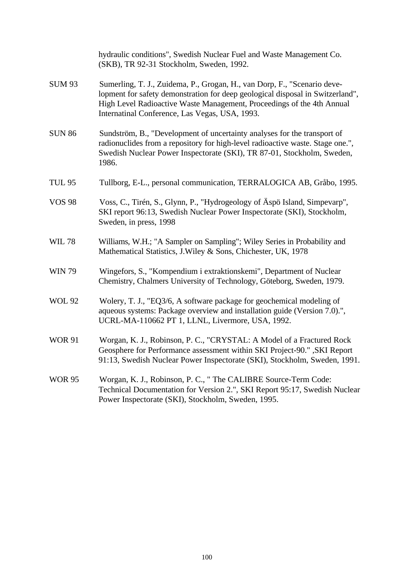|               | hydraulic conditions", Swedish Nuclear Fuel and Waste Management Co.<br>(SKB), TR 92-31 Stockholm, Sweden, 1992.                                                                                                                                                                       |
|---------------|----------------------------------------------------------------------------------------------------------------------------------------------------------------------------------------------------------------------------------------------------------------------------------------|
| <b>SUM 93</b> | Sumerling, T. J., Zuidema, P., Grogan, H., van Dorp, F., "Scenario deve-<br>lopment for safety demonstration for deep geological disposal in Switzerland",<br>High Level Radioactive Waste Management, Proceedings of the 4th Annual<br>Internatinal Conference, Las Vegas, USA, 1993. |
| <b>SUN 86</b> | Sundström, B., "Development of uncertainty analyses for the transport of<br>radionuclides from a repository for high-level radioactive waste. Stage one.",<br>Swedish Nuclear Power Inspectorate (SKI), TR 87-01, Stockholm, Sweden,<br>1986.                                          |
| <b>TUL 95</b> | Tullborg, E-L., personal communication, TERRALOGICA AB, Gråbo, 1995.                                                                                                                                                                                                                   |
| <b>VOS 98</b> | Voss, C., Tirén, S., Glynn, P., "Hydrogeology of Äspö Island, Simpevarp",<br>SKI report 96:13, Swedish Nuclear Power Inspectorate (SKI), Stockholm,<br>Sweden, in press, 1998                                                                                                          |
| <b>WIL 78</b> | Williams, W.H.; "A Sampler on Sampling"; Wiley Series in Probability and<br>Mathematical Statistics, J. Wiley & Sons, Chichester, UK, 1978                                                                                                                                             |
| <b>WIN 79</b> | Wingefors, S., "Kompendium i extraktionskemi", Department of Nuclear<br>Chemistry, Chalmers University of Technology, Göteborg, Sweden, 1979.                                                                                                                                          |
| <b>WOL 92</b> | Wolery, T. J., "EQ3/6, A software package for geochemical modeling of<br>aqueous systems: Package overview and installation guide (Version 7.0).",<br>UCRL-MA-110662 PT 1, LLNL, Livermore, USA, 1992.                                                                                 |
| <b>WOR 91</b> | Worgan, K. J., Robinson, P. C., "CRYSTAL: A Model of a Fractured Rock<br>Geosphere for Performance assessment within SKI Project-90." , SKI Report<br>91:13, Swedish Nuclear Power Inspectorate (SKI), Stockholm, Sweden, 1991.                                                        |
| <b>WOR 95</b> | Worgan, K. J., Robinson, P. C., " The CALIBRE Source-Term Code:<br>Technical Documentation for Version 2.", SKI Report 95:17, Swedish Nuclear<br>Power Inspectorate (SKI), Stockholm, Sweden, 1995.                                                                                    |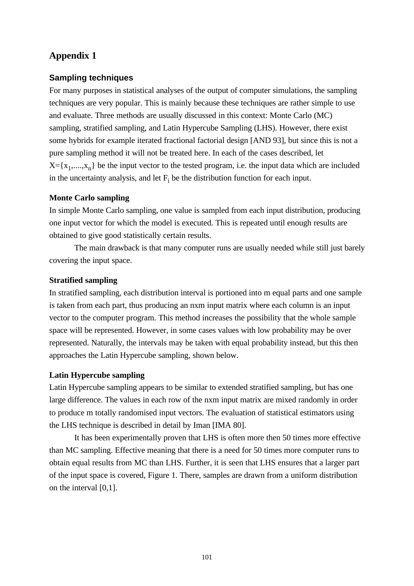# **Appendix 1**

#### **Sampling techniques**

For many purposes in statistical analyses of the output of computer simulations, the sampling techniques are very popular. This is mainly because these techniques are rather simple to use and evaluate. Three methods are usually discussed in this context: Monte Carlo (MC) sampling, stratified sampling, and Latin Hypercube Sampling (LHS). However, there exist some hybrids for example iterated fractional factorial design [AND 93], but since this is not a pure sampling method it will not be treated here. In each of the cases described, let  $X = \{x_1, \ldots, x_n\}$  be the input vector to the tested program, i.e. the input data which are included in the uncertainty analysis, and let  $F_i$  be the distribution function for each input.

#### **Monte Carlo sampling**

In simple Monte Carlo sampling, one value is sampled from each input distribution, producing one input vector for which the model is executed. This is repeated until enough results are obtained to give good statistically certain results.

The main drawback is that many computer runs are usually needed while still just barely covering the input space.

#### **Stratified sampling**

In stratified sampling, each distribution interval is portioned into m equal parts and one sample is taken from each part, thus producing an nxm input matrix where each column is an input vector to the computer program. This method increases the possibility that the whole sample space will be represented. However, in some cases values with low probability may be over represented. Naturally, the intervals may be taken with equal probability instead, but this then approaches the Latin Hypercube sampling, shown below.

#### **Latin Hypercube sampling**

Latin Hypercube sampling appears to be similar to extended stratified sampling, but has one large difference. The values in each row of the nxm input matrix are mixed randomly in order to produce m totally randomised input vectors. The evaluation of statistical estimators using the LHS technique is described in detail by Iman [IMA 80].

It has been experimentally proven that LHS is often more then 50 times more effective than MC sampling. Effective meaning that there is a need for 50 times more computer runs to obtain equal results from MC than LHS. Further, it is seen that LHS ensures that a larger part of the input space is covered, Figure 1. There, samples are drawn from a uniform distribution on the interval [0,1].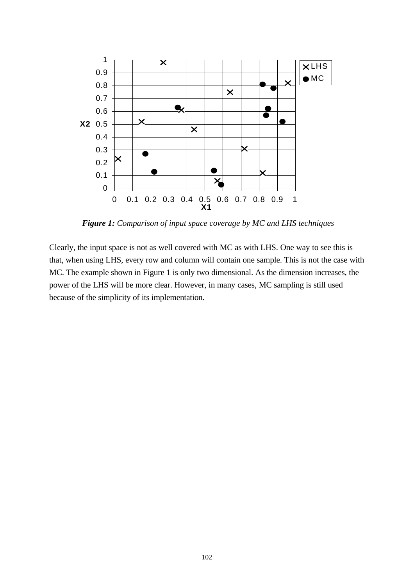

 *Figure 1: Comparison of input space coverage by MC and LHS techniques*

Clearly, the input space is not as well covered with MC as with LHS. One way to see this is that, when using LHS, every row and column will contain one sample. This is not the case with MC. The example shown in Figure 1 is only two dimensional. As the dimension increases, the power of the LHS will be more clear. However, in many cases, MC sampling is still used because of the simplicity of its implementation.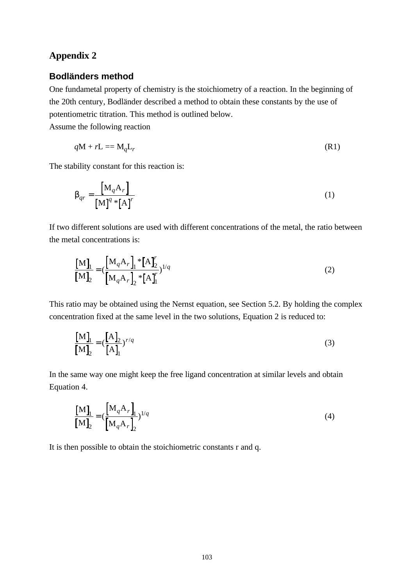# **Appendix 2**

## **Bodländers method**

One fundametal property of chemistry is the stoichiometry of a reaction. In the beginning of the 20th century, Bodländer described a method to obtain these constants by the use of potentiometric titration. This method is outlined below.

Assume the following reaction

$$
qM + rL = M_qL_r \tag{R1}
$$

The stability constant for this reaction is:

$$
\boldsymbol{b}_{qr} = \frac{\begin{bmatrix} \mathbf{M}_q \mathbf{A}_r \end{bmatrix}}{\begin{bmatrix} \mathbf{M} \end{bmatrix}^q * \begin{bmatrix} \mathbf{A} \end{bmatrix}^r}
$$
 (1)

If two different solutions are used with different concentrations of the metal, the ratio between the metal concentrations is:

$$
\frac{\left[\mathbf{M}\right]_1}{\left[\mathbf{M}\right]_2} = \left(\frac{\left[\mathbf{M}_q \mathbf{A}_r\right]_1 * \left[\mathbf{A}\right]_2'}{\left[\mathbf{M}_q \mathbf{A}_r\right]_2 * \left[\mathbf{A}\right]_1'}\right)^{1/q}
$$
\n(2)

This ratio may be obtained using the Nernst equation, see Section 5.2. By holding the complex concentration fixed at the same level in the two solutions, Equation 2 is reduced to:

$$
\frac{\left[\mathbf{M}\right]_1}{\left[\mathbf{M}\right]_2} = \left(\frac{\left[\mathbf{A}\right]_2}{\left[\mathbf{A}\right]_1}\right)^{r/q} \tag{3}
$$

In the same way one might keep the free ligand concentration at similar levels and obtain Equation 4.

$$
\frac{\begin{bmatrix} \mathbf{M} \end{bmatrix}_{1}}{\begin{bmatrix} \mathbf{M} \end{bmatrix}_{2}} = (\frac{\begin{bmatrix} \mathbf{M}_{q} \mathbf{A}_{r} \end{bmatrix}_{1}}{\begin{bmatrix} \mathbf{M}_{q} \mathbf{A}_{r} \end{bmatrix}_{2}})^{1/q}
$$
\n(4)

It is then possible to obtain the stoichiometric constants r and q.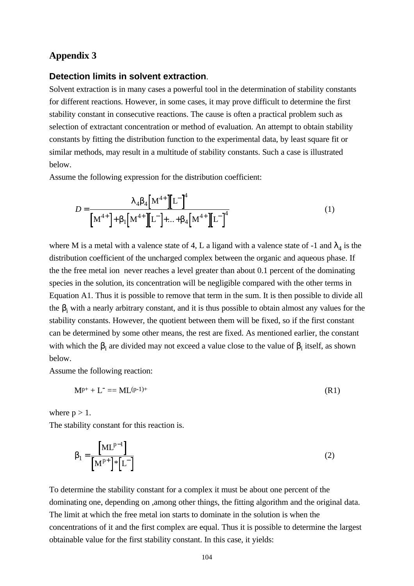## **Appendix 3**

#### **Detection limits in solvent extraction**.

Solvent extraction is in many cases a powerful tool in the determination of stability constants for different reactions. However, in some cases, it may prove difficult to determine the first stability constant in consecutive reactions. The cause is often a practical problem such as selection of extractant concentration or method of evaluation. An attempt to obtain stability constants by fitting the distribution function to the experimental data, by least square fit or similar methods, may result in a multitude of stability constants. Such a case is illustrated below.

Assume the following expression for the distribution coefficient:

$$
D = \frac{I_4 b_4 \left[ M^{4+} \right] \left[ L^{-} \right]^4}{\left[ M^{4+} \right] + b_1 \left[ M^{4+} \right] \left[ L^{-} \right] + \dots + b_4 \left[ M^{4+} \right] \left[ L^{-} \right]^4}
$$
(1)

where M is a metal with a valence state of 4, L a ligand with a valence state of -1 and  $\lambda_4$  is the distribution coefficient of the uncharged complex between the organic and aqueous phase. If the the free metal ion never reaches a level greater than about 0.1 percent of the dominating species in the solution, its concentration will be negligible compared with the other terms in Equation A1. Thus it is possible to remove that term in the sum. It is then possible to divide all the  $\beta_i$  with a nearly arbitrary constant, and it is thus possible to obtain almost any values for the stability constants. However, the quotient between them will be fixed, so if the first constant can be determined by some other means, the rest are fixed. As mentioned earlier, the constant with which the  $\beta_i$  are divided may not exceed a value close to the value of  $\beta_i$  itself, as shown below.

Assume the following reaction:

$$
M^{p+} + L^- = ML^{(p-1)+}
$$
 (R1)

where  $p > 1$ .

The stability constant for this reaction is.

$$
\boldsymbol{b}_1 = \frac{\left[\mathbf{M} \mathbf{L}^{p-1}\right]}{\left[\mathbf{M}^{p+}\right] \ast \left[\mathbf{L}^{-}\right]} \tag{2}
$$

To determine the stability constant for a complex it must be about one percent of the dominating one, depending on ,among other things, the fitting algorithm and the original data. The limit at which the free metal ion starts to dominate in the solution is when the concentrations of it and the first complex are equal. Thus it is possible to determine the largest obtainable value for the first stability constant. In this case, it yields: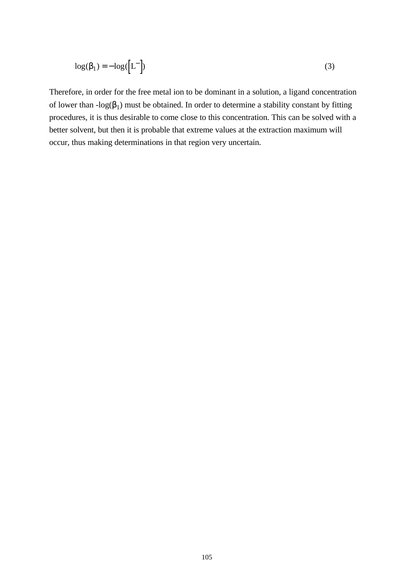$$
\log(\boldsymbol{b}_1) = -\log([\mathbf{L}^-])
$$
\n(3)

Therefore, in order for the free metal ion to be dominant in a solution, a ligand concentration of lower than  $-log(\beta_1)$  must be obtained. In order to determine a stability constant by fitting procedures, it is thus desirable to come close to this concentration. This can be solved with a better solvent, but then it is probable that extreme values at the extraction maximum will occur, thus making determinations in that region very uncertain.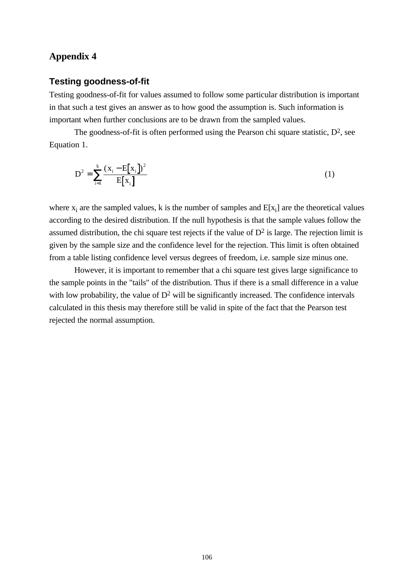## **Appendix 4**

#### **Testing goodness-of-fit**

Testing goodness-of-fit for values assumed to follow some particular distribution is important in that such a test gives an answer as to how good the assumption is. Such information is important when further conclusions are to be drawn from the sampled values.

The goodness-of-fit is often performed using the Pearson chi square statistic, D<sup>2</sup>, see Equation 1.

$$
D^{2} = \sum_{i=1}^{k} \frac{(x_{i} - E[x_{i}])^{2}}{E[x_{i}]}
$$
 (1)

where  $x_i$  are the sampled values, k is the number of samples and  $E[x_i]$  are the theoretical values according to the desired distribution. If the null hypothesis is that the sample values follow the assumed distribution, the chi square test rejects if the value of  $D<sup>2</sup>$  is large. The rejection limit is given by the sample size and the confidence level for the rejection. This limit is often obtained from a table listing confidence level versus degrees of freedom, i.e. sample size minus one.

However, it is important to remember that a chi square test gives large significance to the sample points in the "tails" of the distribution. Thus if there is a small difference in a value with low probability, the value of  $D^2$  will be significantly increased. The confidence intervals calculated in this thesis may therefore still be valid in spite of the fact that the Pearson test rejected the normal assumption.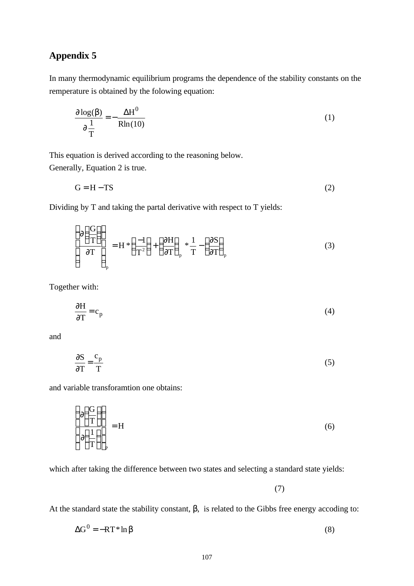# **Appendix 5**

In many thermodynamic equilibrium programs the dependence of the stability constants on the remperature is obtained by the folowing equation:

$$
\frac{\mathcal{J}\log(\mathbf{b})}{\mathcal{J}\frac{1}{T}} = -\frac{\Delta H^0}{\text{Rln}(10)}\tag{1}
$$

This equation is derived according to the reasoning below. Generally, Equation 2 is true.

$$
G = H - TS \tag{2}
$$

Dividing by T and taking the partal derivative with respect to T yields:

$$
\left(\frac{\eta\left(\frac{G}{T}\right)}{\eta T}\right)_p = H^*\left(\frac{-1}{T^2}\right) + \left(\frac{\eta H}{\eta T}\right)_p * \frac{1}{T} - \left(\frac{\eta S}{\eta T}\right)_p \tag{3}
$$

Together with:

$$
\frac{\sqrt{fH}}{\sqrt{f}} = c_p \tag{4}
$$

and

$$
\frac{\sqrt{2}}{\sqrt{T}} = \frac{c_p}{T}
$$
 (5)

and variable transforamtion one obtains:

$$
\left(\frac{\partial \left(\frac{\Pi}{T}\right)}{\partial \left(\frac{1}{T}\right)}\right)_{P} = H
$$
\n(6)

which after taking the difference between two states and selecting a standard state yields:

(7)

At the standard state the stability constant, β, is related to the Gibbs free energy accoding to:

$$
\Delta G^0 = -RT^* \ln b \tag{8}
$$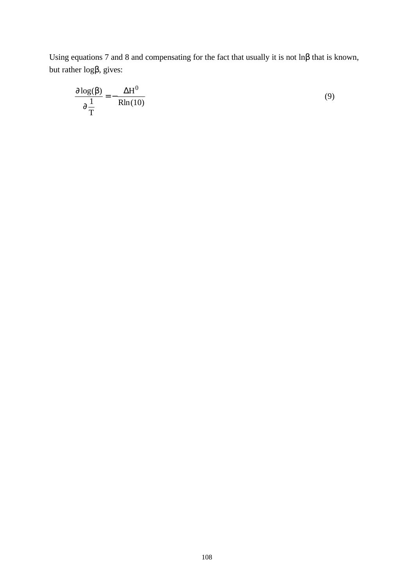Using equations 7 and 8 and compensating for the fact that usually it is not lnβ that is known, but rather logβ, gives:

$$
\frac{\mathbf{\eta}\log(\mathbf{b})}{\mathbf{\eta}\frac{1}{T}} = -\frac{\Delta H^0}{\text{Rln}(10)}\tag{9}
$$